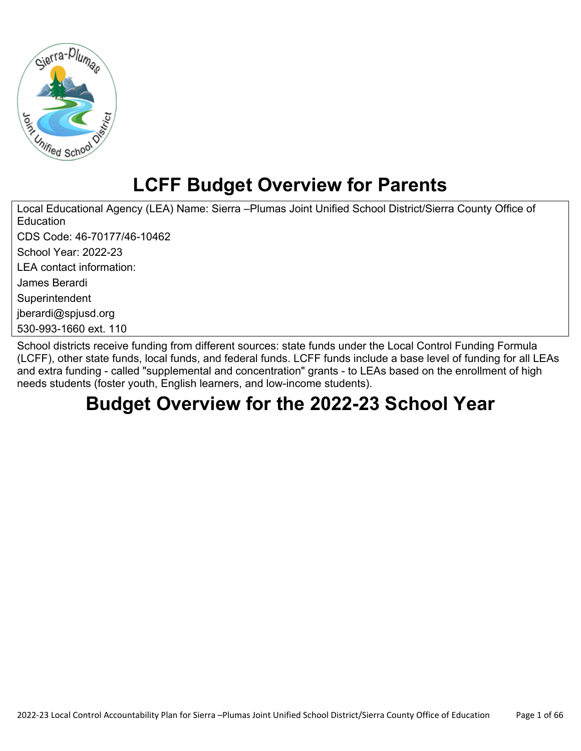

# **LCFF Budget Overview for Parents**

Local Educational Agency (LEA) Name: Sierra –Plumas Joint Unified School District/Sierra County Office of **Education** CDS Code: 46-70177/46-10462 School Year: 2022-23 LEA contact information: James Berardi **Superintendent** jberardi@spjusd.org 530-993-1660 ext. 110

School districts receive funding from different sources: state funds under the Local Control Funding Formula (LCFF), other state funds, local funds, and federal funds. LCFF funds include a base level of funding for all LEAs and extra funding - called "supplemental and concentration" grants - to LEAs based on the enrollment of high needs students (foster youth, English learners, and low-income students).

# **Budget Overview for the 2022-23 School Year**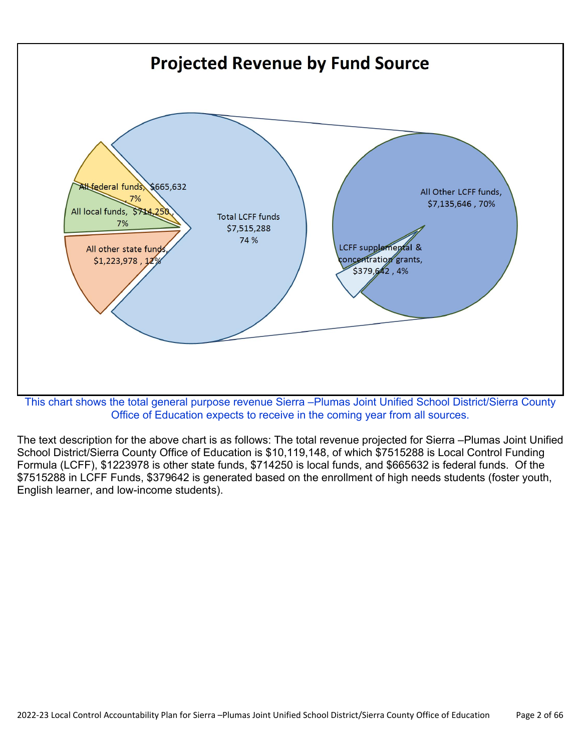

Office of Education expects to receive in the coming year from all sources.

The text description for the above chart is as follows: The total revenue projected for Sierra –Plumas Joint Unified School District/Sierra County Office of Education is \$10,119,148, of which \$7515288 is Local Control Funding Formula (LCFF), \$1223978 is other state funds, \$714250 is local funds, and \$665632 is federal funds. Of the \$7515288 in LCFF Funds, \$379642 is generated based on the enrollment of high needs students (foster youth, English learner, and low-income students).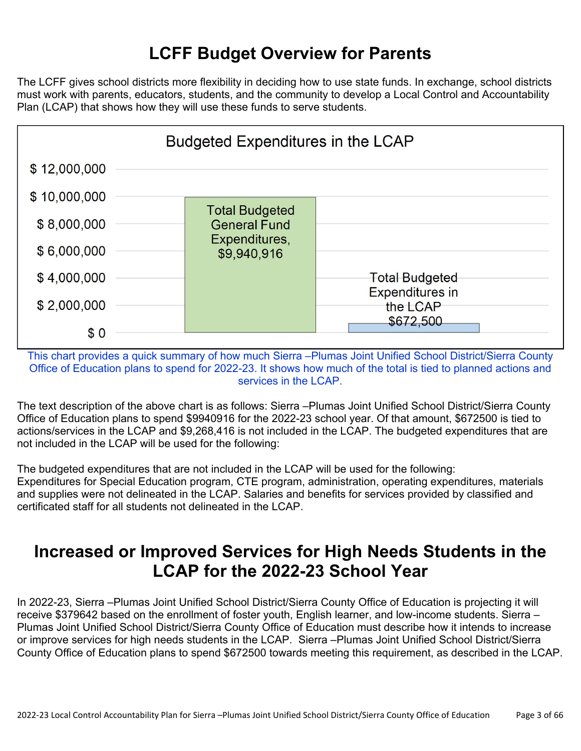# **LCFF Budget Overview for Parents**

The LCFF gives school districts more flexibility in deciding how to use state funds. In exchange, school districts must work with parents, educators, students, and the community to develop a Local Control and Accountability Plan (LCAP) that shows how they will use these funds to serve students.



This chart provides a quick summary of how much Sierra –Plumas Joint Unified School District/Sierra County Office of Education plans to spend for 2022-23. It shows how much of the total is tied to planned actions and services in the LCAP.

The text description of the above chart is as follows: Sierra –Plumas Joint Unified School District/Sierra County Office of Education plans to spend \$9940916 for the 2022-23 school year. Of that amount, \$672500 is tied to actions/services in the LCAP and \$9,268,416 is not included in the LCAP. The budgeted expenditures that are not included in the LCAP will be used for the following:

The budgeted expenditures that are not included in the LCAP will be used for the following: Expenditures for Special Education program, CTE program, administration, operating expenditures, materials and supplies were not delineated in the LCAP. Salaries and benefits for services provided by classified and certificated staff for all students not delineated in the LCAP.

## **Increased or Improved Services for High Needs Students in the LCAP for the 2022-23 School Year**

In 2022-23, Sierra –Plumas Joint Unified School District/Sierra County Office of Education is projecting it will receive \$379642 based on the enrollment of foster youth, English learner, and low-income students. Sierra – Plumas Joint Unified School District/Sierra County Office of Education must describe how it intends to increase or improve services for high needs students in the LCAP. Sierra –Plumas Joint Unified School District/Sierra County Office of Education plans to spend \$672500 towards meeting this requirement, as described in the LCAP.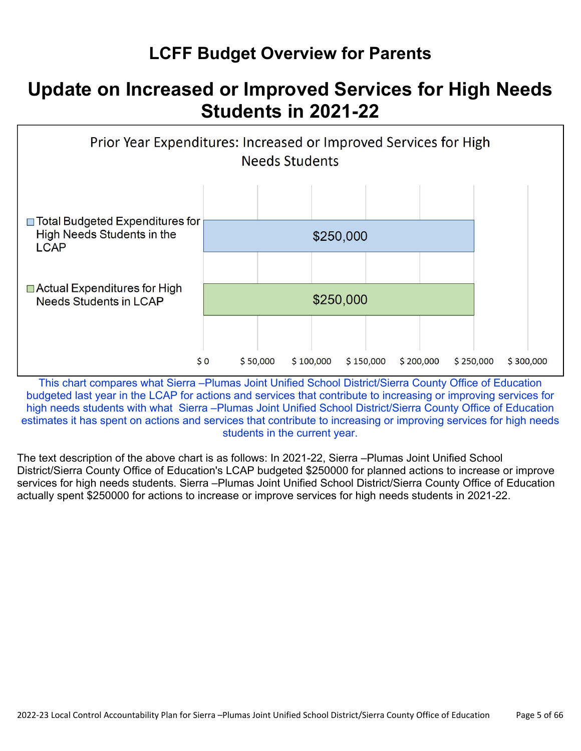# **LCFF Budget Overview for Parents**

# **Update on Increased or Improved Services for High Needs Students in 2021-22**



This chart compares what Sierra -Plumas Joint Unified School District/Sierra County Office of Education budgeted last year in the LCAP for actions and services that contribute to increasing or improving services for high needs students with what Sierra –Plumas Joint Unified School District/Sierra County Office of Education estimates it has spent on actions and services that contribute to increasing or improving services for high needs students in the current year.

The text description of the above chart is as follows: In 2021-22, Sierra –Plumas Joint Unified School District/Sierra County Office of Education's LCAP budgeted \$250000 for planned actions to increase or improve services for high needs students. Sierra –Plumas Joint Unified School District/Sierra County Office of Education actually spent \$250000 for actions to increase or improve services for high needs students in 2021-22.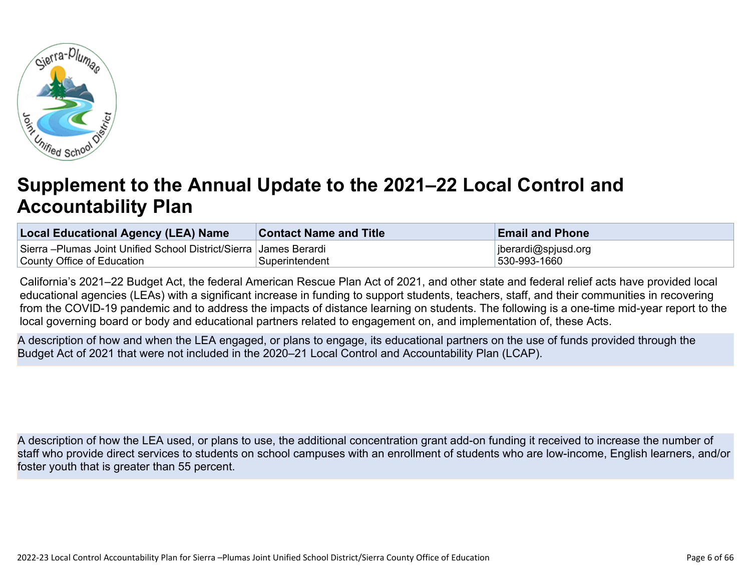

# **Supplement to the Annual Update to the 2021–22 Local Control and Accountability Plan**

| <b>Local Educational Agency (LEA) Name</b>                          | <b>Contact Name and Title</b> | <b>Email and Phone</b> |
|---------------------------------------------------------------------|-------------------------------|------------------------|
| Sierra –Plumas Joint Unified School District/Sierra   James Berardi |                               | jberardi@spjusd.org    |
| County Office of Education                                          | Superintendent                | 530-993-1660           |

California's 2021–22 Budget Act, the federal American Rescue Plan Act of 2021, and other state and federal relief acts have provided local educational agencies (LEAs) with a significant increase in funding to support students, teachers, staff, and their communities in recovering from the COVID-19 pandemic and to address the impacts of distance learning on students. The following is a one-time mid-year report to the local governing board or body and educational partners related to engagement on, and implementation of, these Acts.

A description of how and when the LEA engaged, or plans to engage, its educational partners on the use of funds provided through the Budget Act of 2021 that were not included in the 2020–21 Local Control and Accountability Plan (LCAP).

A description of how the LEA used, or plans to use, the additional concentration grant add-on funding it received to increase the number of staff who provide direct services to students on school campuses with an enrollment of students who are low-income, English learners, and/or foster youth that is greater than 55 percent.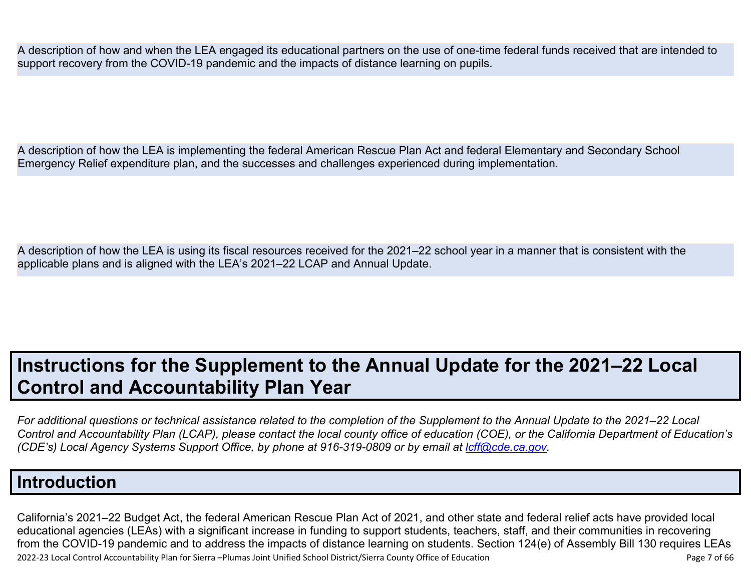A description of how and when the LEA engaged its educational partners on the use of one-time federal funds received that are intended to support recovery from the COVID-19 pandemic and the impacts of distance learning on pupils.

A description of how the LEA is implementing the federal American Rescue Plan Act and federal Elementary and Secondary School Emergency Relief expenditure plan, and the successes and challenges experienced during implementation.

A description of how the LEA is using its fiscal resources received for the 2021–22 school year in a manner that is consistent with the applicable plans and is aligned with the LEA's 2021–22 LCAP and Annual Update.

# **Instructions for the Supplement to the Annual Update for the 2021–22 Local Control and Accountability Plan Year**

*For additional questions or technical assistance related to the completion of the Supplement to the Annual Update to the 2021–22 Local Control and Accountability Plan (LCAP), please contact the local county office of education (COE), or the California Department of Education's (CDE's) Local Agency Systems Support Office, by phone at 916-319-0809 or by email at <i>[lcff@cde.ca.gov](mailto:lcff@cde.ca.gov)*.

### **Introduction**

2022-23 Local Control Accountability Plan for Sierra –Plumas Joint Unified School District/Sierra County Office of Education Page 7 of 66 California's 2021–22 Budget Act, the federal American Rescue Plan Act of 2021, and other state and federal relief acts have provided local educational agencies (LEAs) with a significant increase in funding to support students, teachers, staff, and their communities in recovering from the COVID-19 pandemic and to address the impacts of distance learning on students. Section 124(e) of Assembly Bill 130 requires LEAs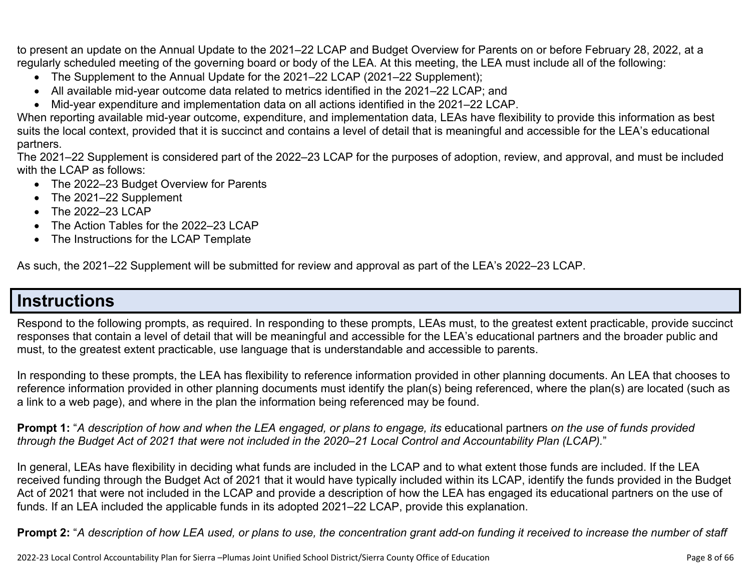to present an update on the Annual Update to the 2021–22 LCAP and Budget Overview for Parents on or before February 28, 2022, at a regularly scheduled meeting of the governing board or body of the LEA. At this meeting, the LEA must include all of the following:

- The Supplement to the Annual Update for the 2021–22 LCAP (2021–22 Supplement);
- All available mid-year outcome data related to metrics identified in the 2021–22 LCAP; and
- Mid-year expenditure and implementation data on all actions identified in the 2021–22 LCAP.

When reporting available mid-year outcome, expenditure, and implementation data, LEAs have flexibility to provide this information as best suits the local context, provided that it is succinct and contains a level of detail that is meaningful and accessible for the LEA's educational partners.

The 2021–22 Supplement is considered part of the 2022–23 LCAP for the purposes of adoption, review, and approval, and must be included with the LCAP as follows:

- The 2022–23 Budget Overview for Parents
- The 2021–22 Supplement
- The 2022-23 LCAP
- The Action Tables for the 2022–23 LCAP
- The Instructions for the LCAP Template

As such, the 2021–22 Supplement will be submitted for review and approval as part of the LEA's 2022–23 LCAP.

## **Instructions**

Respond to the following prompts, as required. In responding to these prompts, LEAs must, to the greatest extent practicable, provide succinct responses that contain a level of detail that will be meaningful and accessible for the LEA's educational partners and the broader public and must, to the greatest extent practicable, use language that is understandable and accessible to parents.

In responding to these prompts, the LEA has flexibility to reference information provided in other planning documents. An LEA that chooses to reference information provided in other planning documents must identify the plan(s) being referenced, where the plan(s) are located (such as a link to a web page), and where in the plan the information being referenced may be found.

**Prompt 1:** "*A description of how and when the LEA engaged, or plans to engage, its* educational partners *on the use of funds provided through the Budget Act of 2021 that were not included in the 2020–21 Local Control and Accountability Plan (LCAP).*"

In general, LEAs have flexibility in deciding what funds are included in the LCAP and to what extent those funds are included. If the LEA received funding through the Budget Act of 2021 that it would have typically included within its LCAP, identify the funds provided in the Budget Act of 2021 that were not included in the LCAP and provide a description of how the LEA has engaged its educational partners on the use of funds. If an LEA included the applicable funds in its adopted 2021–22 LCAP, provide this explanation.

**Prompt 2:** "*A description of how LEA used, or plans to use, the concentration grant add-on funding it received to increase the number of staff*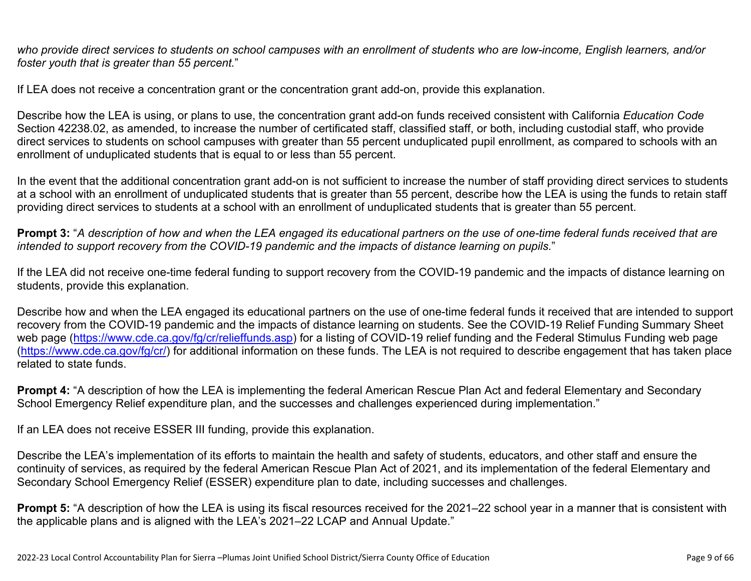*who provide direct services to students on school campuses with an enrollment of students who are low-income, English learners, and/or foster youth that is greater than 55 percent.*"

If LEA does not receive a concentration grant or the concentration grant add-on, provide this explanation.

Describe how the LEA is using, or plans to use, the concentration grant add-on funds received consistent with California *Education Code* Section 42238.02, as amended, to increase the number of certificated staff, classified staff, or both, including custodial staff, who provide direct services to students on school campuses with greater than 55 percent unduplicated pupil enrollment, as compared to schools with an enrollment of unduplicated students that is equal to or less than 55 percent.

In the event that the additional concentration grant add-on is not sufficient to increase the number of staff providing direct services to students at a school with an enrollment of unduplicated students that is greater than 55 percent, describe how the LEA is using the funds to retain staff providing direct services to students at a school with an enrollment of unduplicated students that is greater than 55 percent.

**Prompt 3:** "*A description of how and when the LEA engaged its educational partners on the use of one-time federal funds received that are intended to support recovery from the COVID-19 pandemic and the impacts of distance learning on pupils.*"

If the LEA did not receive one-time federal funding to support recovery from the COVID-19 pandemic and the impacts of distance learning on students, provide this explanation.

Describe how and when the LEA engaged its educational partners on the use of one-time federal funds it received that are intended to support recovery from the COVID-19 pandemic and the impacts of distance learning on students. See the COVID-19 Relief Funding Summary Sheet web page [\(https://www.cde.ca.gov/fg/cr/relieffunds.asp\)](https://www.cde.ca.gov/fg/cr/relieffunds.asp) for a listing of COVID-19 relief funding and the Federal Stimulus Funding web page (<https://www.cde.ca.gov/fg/cr/>) for additional information on these funds. The LEA is not required to describe engagement that has taken place related to state funds.

**Prompt 4:** "A description of how the LEA is implementing the federal American Rescue Plan Act and federal Elementary and Secondary School Emergency Relief expenditure plan, and the successes and challenges experienced during implementation."

If an LEA does not receive ESSER III funding, provide this explanation.

Describe the LEA's implementation of its efforts to maintain the health and safety of students, educators, and other staff and ensure the continuity of services, as required by the federal American Rescue Plan Act of 2021, and its implementation of the federal Elementary and Secondary School Emergency Relief (ESSER) expenditure plan to date, including successes and challenges.

**Prompt 5:** "A description of how the LEA is using its fiscal resources received for the 2021–22 school year in a manner that is consistent with the applicable plans and is aligned with the LEA's 2021–22 LCAP and Annual Update."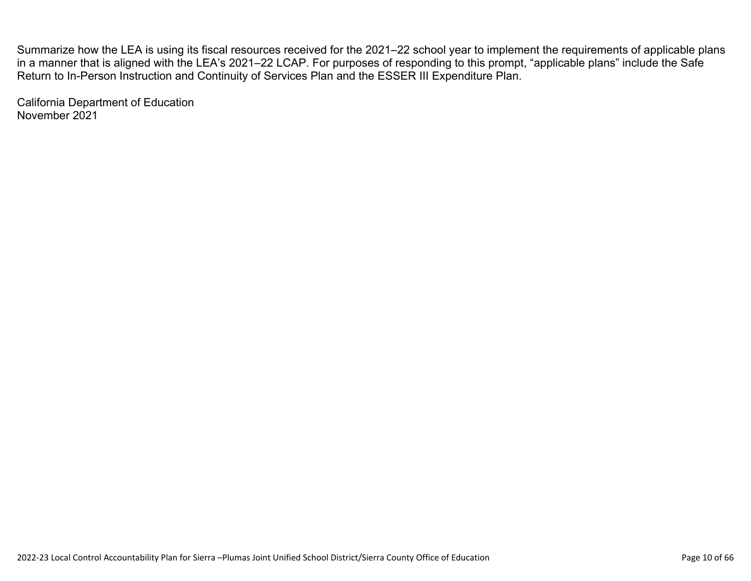Summarize how the LEA is using its fiscal resources received for the 2021–22 school year to implement the requirements of applicable plans in a manner that is aligned with the LEA's 2021–22 LCAP. For purposes of responding to this prompt, "applicable plans" include the Safe Return to In-Person Instruction and Continuity of Services Plan and the ESSER III Expenditure Plan.

California Department of Education November 2021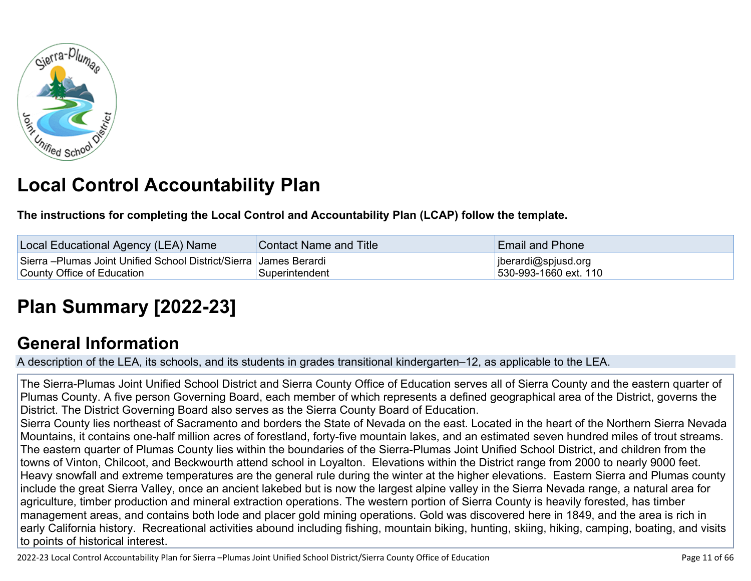

# **Local Control Accountability Plan**

**The instructions for completing the Local Control and Accountability Plan (LCAP) follow the template.**

| Local Educational Agency (LEA) Name                                  | Contact Name and Title | <b>Email and Phone</b> |
|----------------------------------------------------------------------|------------------------|------------------------|
| Sierra – Plumas Joint Unified School District/Sierra   James Berardi |                        | jberardi@spjusd.org    |
| County Office of Education                                           | Superintendent         | 530-993-1660 ext. 110  |

# **[Plan Summary \[2022-23\]](http://www.doc-tracking.com/screenshots/22LCAP/Instructions/22LCAPInstructions.htm#PlanSummary)**

## **[General Information](http://www.doc-tracking.com/screenshots/22LCAP/Instructions/22LCAPInstructions.htm#generalinformation)**

A description of the LEA, its schools, and its students in grades transitional kindergarten–12, as applicable to the LEA.

The Sierra-Plumas Joint Unified School District and Sierra County Office of Education serves all of Sierra County and the eastern quarter of Plumas County. A five person Governing Board, each member of which represents a defined geographical area of the District, governs the District. The District Governing Board also serves as the Sierra County Board of Education.

Sierra County lies northeast of Sacramento and borders the State of Nevada on the east. Located in the heart of the Northern Sierra Nevada Mountains, it contains one-half million acres of forestland, forty-five mountain lakes, and an estimated seven hundred miles of trout streams. The eastern quarter of Plumas County lies within the boundaries of the Sierra-Plumas Joint Unified School District, and children from the towns of Vinton, Chilcoot, and Beckwourth attend school in Loyalton. Elevations within the District range from 2000 to nearly 9000 feet. Heavy snowfall and extreme temperatures are the general rule during the winter at the higher elevations. Eastern Sierra and Plumas county include the great Sierra Valley, once an ancient lakebed but is now the largest alpine valley in the Sierra Nevada range, a natural area for agriculture, timber production and mineral extraction operations. The western portion of Sierra County is heavily forested, has timber management areas, and contains both lode and placer gold mining operations. Gold was discovered here in 1849, and the area is rich in early California history. Recreational activities abound including fishing, mountain biking, hunting, skiing, hiking, camping, boating, and visits to points of historical interest.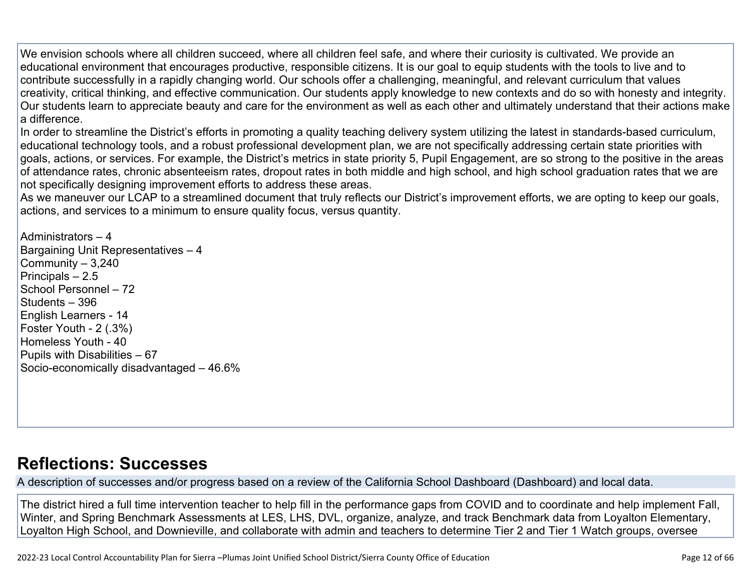We envision schools where all children succeed, where all children feel safe, and where their curiosity is cultivated. We provide an educational environment that encourages productive, responsible citizens. It is our goal to equip students with the tools to live and to contribute successfully in a rapidly changing world. Our schools offer a challenging, meaningful, and relevant curriculum that values creativity, critical thinking, and effective communication. Our students apply knowledge to new contexts and do so with honesty and integrity. Our students learn to appreciate beauty and care for the environment as well as each other and ultimately understand that their actions make a difference.

In order to streamline the District's efforts in promoting a quality teaching delivery system utilizing the latest in standards-based curriculum, educational technology tools, and a robust professional development plan, we are not specifically addressing certain state priorities with goals, actions, or services. For example, the District's metrics in state priority 5, Pupil Engagement, are so strong to the positive in the areas of attendance rates, chronic absenteeism rates, dropout rates in both middle and high school, and high school graduation rates that we are not specifically designing improvement efforts to address these areas.

As we maneuver our LCAP to a streamlined document that truly reflects our District's improvement efforts, we are opting to keep our goals, actions, and services to a minimum to ensure quality focus, versus quantity.

Administrators – 4 Bargaining Unit Representatives – 4 Community – 3,240 Principals – 2.5 School Personnel – 72 Students – 396 English Learners - 14 Foster Youth - 2 (.3%) Homeless Youth - 40 Pupils with Disabilities – 67 Socio-economically disadvantaged – 46.6%

## **[Reflections: Successes](http://www.doc-tracking.com/screenshots/22LCAP/Instructions/22LCAPInstructions.htm#ReflectionsSuccesses)**

A description of successes and/or progress based on a review of the California School Dashboard (Dashboard) and local data.

The district hired a full time intervention teacher to help fill in the performance gaps from COVID and to coordinate and help implement Fall, Winter, and Spring Benchmark Assessments at LES, LHS, DVL, organize, analyze, and track Benchmark data from Loyalton Elementary, Loyalton High School, and Downieville, and collaborate with admin and teachers to determine Tier 2 and Tier 1 Watch groups, oversee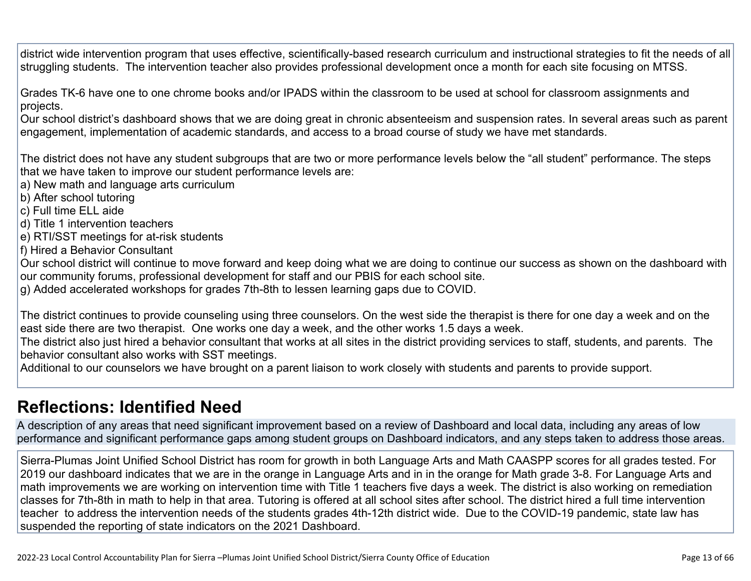district wide intervention program that uses effective, scientifically-based research curriculum and instructional strategies to fit the needs of all struggling students. The intervention teacher also provides professional development once a month for each site focusing on MTSS.

Grades TK-6 have one to one chrome books and/or IPADS within the classroom to be used at school for classroom assignments and projects.

Our school district's dashboard shows that we are doing great in chronic absenteeism and suspension rates. In several areas such as parent engagement, implementation of academic standards, and access to a broad course of study we have met standards.

The district does not have any student subgroups that are two or more performance levels below the "all student" performance. The steps that we have taken to improve our student performance levels are:

a) New math and language arts curriculum

- b) After school tutoring
- c) Full time ELL aide
- d) Title 1 intervention teachers
- e) RTI/SST meetings for at-risk students
- f) Hired a Behavior Consultant

Our school district will continue to move forward and keep doing what we are doing to continue our success as shown on the dashboard with our community forums, professional development for staff and our PBIS for each school site.

g) Added accelerated workshops for grades 7th-8th to lessen learning gaps due to COVID.

The district continues to provide counseling using three counselors. On the west side the therapist is there for one day a week and on the east side there are two therapist. One works one day a week, and the other works 1.5 days a week.

The district also just hired a behavior consultant that works at all sites in the district providing services to staff, students, and parents. The behavior consultant also works with SST meetings.

Additional to our counselors we have brought on a parent liaison to work closely with students and parents to provide support.

## **[Reflections: Identified Need](http://www.doc-tracking.com/screenshots/22LCAP/Instructions/22LCAPInstructions.htm#ReflectionsIdentifiedNeed)**

A description of any areas that need significant improvement based on a review of Dashboard and local data, including any areas of low performance and significant performance gaps among student groups on Dashboard indicators, and any steps taken to address those areas.

Sierra-Plumas Joint Unified School District has room for growth in both Language Arts and Math CAASPP scores for all grades tested. For 2019 our dashboard indicates that we are in the orange in Language Arts and in in the orange for Math grade 3-8. For Language Arts and math improvements we are working on intervention time with Title 1 teachers five days a week. The district is also working on remediation classes for 7th-8th in math to help in that area. Tutoring is offered at all school sites after school. The district hired a full time intervention teacher to address the intervention needs of the students grades 4th-12th district wide. Due to the COVID-19 pandemic, state law has suspended the reporting of state indicators on the 2021 Dashboard.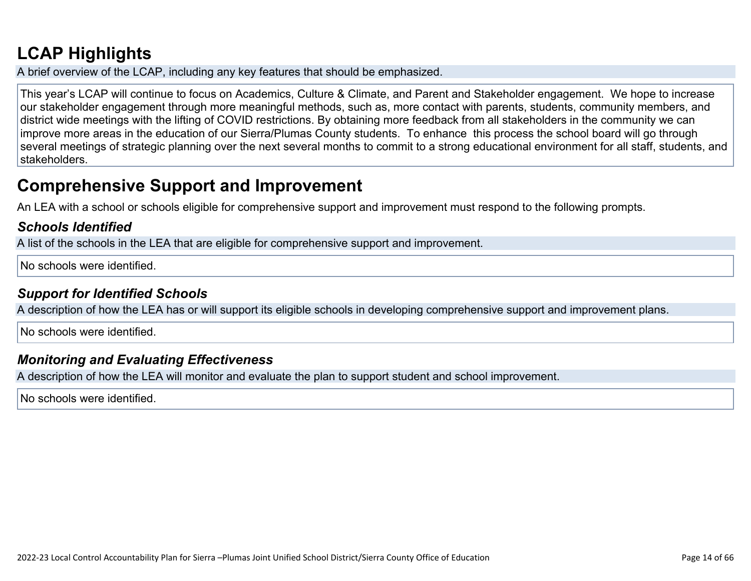# **[LCAP Highlights](http://www.doc-tracking.com/screenshots/22LCAP/Instructions/22LCAPInstructions.htm#LCAPHighlights)**

A brief overview of the LCAP, including any key features that should be emphasized.

This year's LCAP will continue to focus on Academics, Culture & Climate, and Parent and Stakeholder engagement. We hope to increase our stakeholder engagement through more meaningful methods, such as, more contact with parents, students, community members, and district wide meetings with the lifting of COVID restrictions. By obtaining more feedback from all stakeholders in the community we can improve more areas in the education of our Sierra/Plumas County students. To enhance this process the school board will go through several meetings of strategic planning over the next several months to commit to a strong educational environment for all staff, students, and stakeholders.

## **Comprehensive Support and Improvement**

An LEA with a school or schools eligible for comprehensive support and improvement must respond to the following prompts.

### *[Schools Identified](http://www.doc-tracking.com/screenshots/22LCAP/Instructions/22LCAPInstructions.htm#SchoolsIdentified)*

A list of the schools in the LEA that are eligible for comprehensive support and improvement.

No schools were identified.

### *[Support for Identified Schools](http://www.doc-tracking.com/screenshots/22LCAP/Instructions/22LCAPInstructions.htm#SupportforIdentifiedSchools)*

A description of how the LEA has or will support its eligible schools in developing comprehensive support and improvement plans.

No schools were identified.

### *[Monitoring and Evaluating Effectiveness](http://www.doc-tracking.com/screenshots/22LCAP/Instructions/22LCAPInstructions.htm#MonitoringandEvaluatingEffectiveness)*

A description of how the LEA will monitor and evaluate the plan to support student and school improvement.

No schools were identified.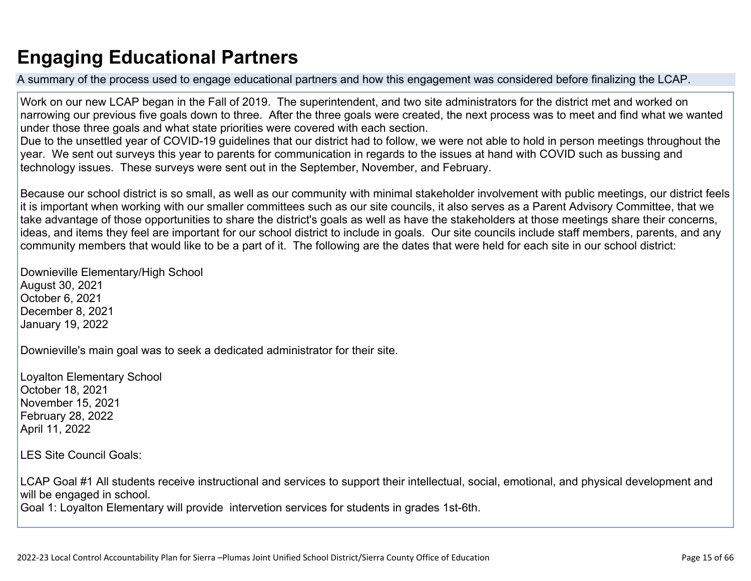# **Engaging Educational Partners**

A summary of the process used to engage educational partners and how this engagement was considered before finalizing the LCAP.

Work on our new LCAP began in the Fall of 2019. The superintendent, and two site administrators for the district met and worked on narrowing our previous five goals down to three. After the three goals were created, the next process was to meet and find what we wanted under those three goals and what state priorities were covered with each section.

Due to the unsettled year of COVID-19 guidelines that our district had to follow, we were not able to hold in person meetings throughout the year. We sent out surveys this year to parents for communication in regards to the issues at hand with COVID such as bussing and technology issues. These surveys were sent out in the September, November, and February.

Because our school district is so small, as well as our community with minimal stakeholder involvement with public meetings, our district feels it is important when working with our smaller committees such as our site councils, it also serves as a Parent Advisory Committee, that we take advantage of those opportunities to share the district's goals as well as have the stakeholders at those meetings share their concerns, ideas, and items they feel are important for our school district to include in goals. Our site councils include staff members, parents, and any community members that would like to be a part of it. The following are the dates that were held for each site in our school district:

Downieville Elementary/High School August 30, 2021 October 6, 2021 December 8, 2021 January 19, 2022

Downieville's main goal was to seek a dedicated administrator for their site.

Loyalton Elementary School October 18, 2021 November 15, 2021 February 28, 2022 April 11, 2022

LES Site Council Goals:

LCAP Goal #1 All students receive instructional and services to support their intellectual, social, emotional, and physical development and will be engaged in school.

Goal 1: Loyalton Elementary will provide intervetion services for students in grades 1st-6th.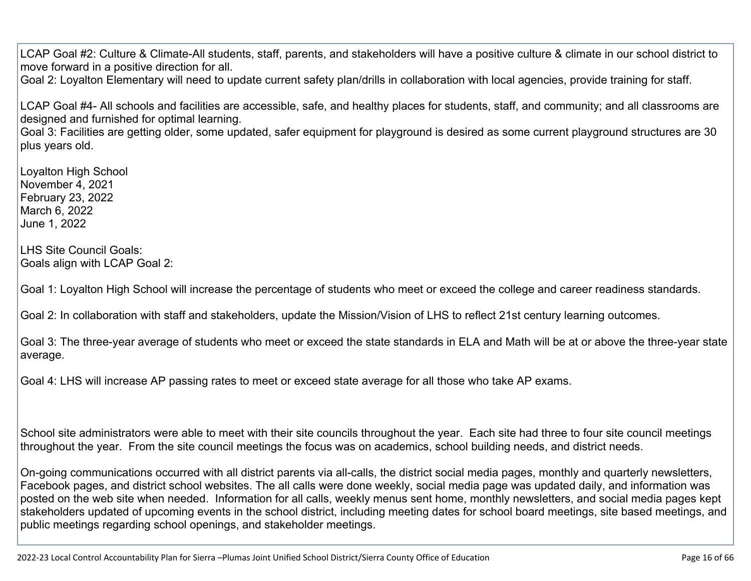LCAP Goal #2: Culture & Climate-All students, staff, parents, and stakeholders will have a positive culture & climate in our school district to move forward in a positive direction for all.

Goal 2: Loyalton Elementary will need to update current safety plan/drills in collaboration with local agencies, provide training for staff.

LCAP Goal #4- All schools and facilities are accessible, safe, and healthy places for students, staff, and community; and all classrooms are designed and furnished for optimal learning.

Goal 3: Facilities are getting older, some updated, safer equipment for playground is desired as some current playground structures are 30 plus years old.

Loyalton High School November 4, 2021 February 23, 2022 March 6, 2022 June 1, 2022

LHS Site Council Goals: Goals align with LCAP Goal 2:

Goal 1: Loyalton High School will increase the percentage of students who meet or exceed the college and career readiness standards.

Goal 2: In collaboration with staff and stakeholders, update the Mission/Vision of LHS to reflect 21st century learning outcomes.

Goal 3: The three-year average of students who meet or exceed the state standards in ELA and Math will be at or above the three-year state average.

Goal 4: LHS will increase AP passing rates to meet or exceed state average for all those who take AP exams.

School site administrators were able to meet with their site councils throughout the year. Each site had three to four site council meetings throughout the year. From the site council meetings the focus was on academics, school building needs, and district needs.

On-going communications occurred with all district parents via all-calls, the district social media pages, monthly and quarterly newsletters, Facebook pages, and district school websites. The all calls were done weekly, social media page was updated daily, and information was posted on the web site when needed. Information for all calls, weekly menus sent home, monthly newsletters, and social media pages kept stakeholders updated of upcoming events in the school district, including meeting dates for school board meetings, site based meetings, and public meetings regarding school openings, and stakeholder meetings.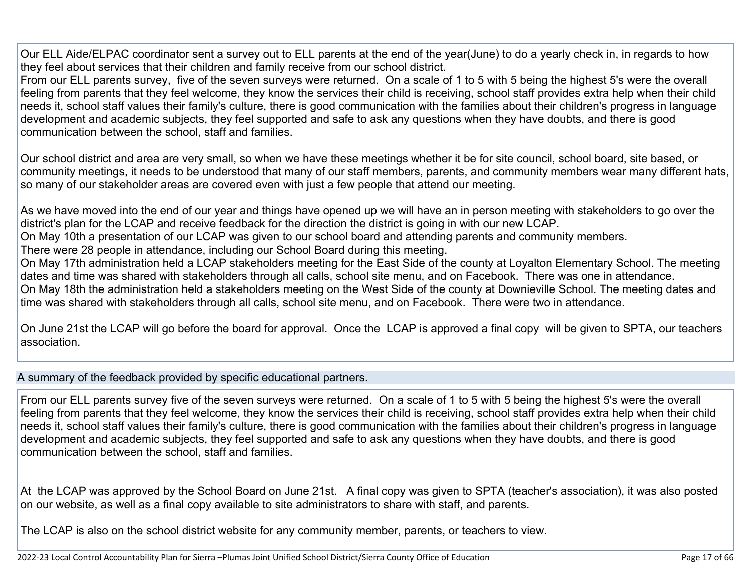Our ELL Aide/ELPAC coordinator sent a survey out to ELL parents at the end of the year(June) to do a yearly check in, in regards to how they feel about services that their children and family receive from our school district.

From our ELL parents survey, five of the seven surveys were returned. On a scale of 1 to 5 with 5 being the highest 5's were the overall feeling from parents that they feel welcome, they know the services their child is receiving, school staff provides extra help when their child needs it, school staff values their family's culture, there is good communication with the families about their children's progress in language development and academic subjects, they feel supported and safe to ask any questions when they have doubts, and there is good communication between the school, staff and families.

Our school district and area are very small, so when we have these meetings whether it be for site council, school board, site based, or community meetings, it needs to be understood that many of our staff members, parents, and community members wear many different hats, so many of our stakeholder areas are covered even with just a few people that attend our meeting.

As we have moved into the end of our year and things have opened up we will have an in person meeting with stakeholders to go over the district's plan for the LCAP and receive feedback for the direction the district is going in with our new LCAP.

On May 10th a presentation of our LCAP was given to our school board and attending parents and community members.

There were 28 people in attendance, including our School Board during this meeting.

On May 17th administration held a LCAP stakeholders meeting for the East Side of the county at Loyalton Elementary School. The meeting dates and time was shared with stakeholders through all calls, school site menu, and on Facebook. There was one in attendance. On May 18th the administration held a stakeholders meeting on the West Side of the county at Downieville School. The meeting dates and time was shared with stakeholders through all calls, school site menu, and on Facebook. There were two in attendance.

On June 21st the LCAP will go before the board for approval. Once the LCAP is approved a final copy will be given to SPTA, our teachers association.

A summary of the feedback provided by specific educational partners.

From our ELL parents survey five of the seven surveys were returned. On a scale of 1 to 5 with 5 being the highest 5's were the overall feeling from parents that they feel welcome, they know the services their child is receiving, school staff provides extra help when their child needs it, school staff values their family's culture, there is good communication with the families about their children's progress in language development and academic subjects, they feel supported and safe to ask any questions when they have doubts, and there is good communication between the school, staff and families.

At the LCAP was approved by the School Board on June 21st. A final copy was given to SPTA (teacher's association), it was also posted on our website, as well as a final copy available to site administrators to share with staff, and parents.

The LCAP is also on the school district website for any community member, parents, or teachers to view.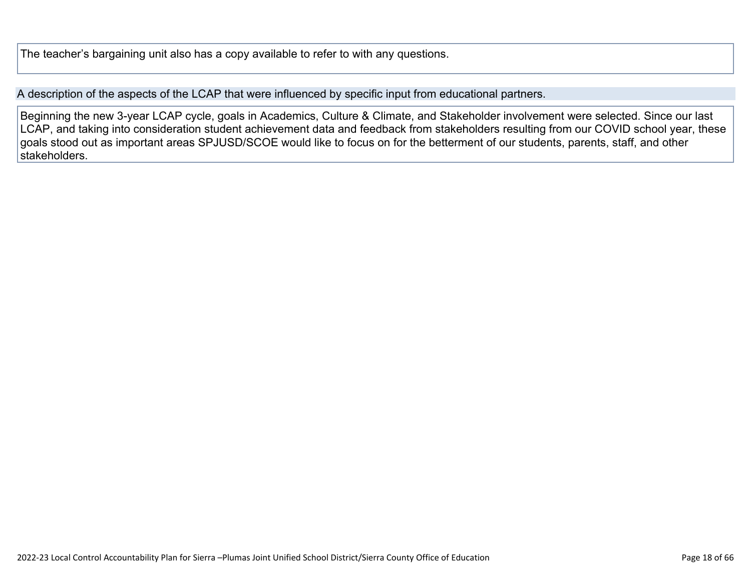The teacher's bargaining unit also has a copy available to refer to with any questions.

A description of the aspects of the LCAP that were influenced by specific input from educational partners.

Beginning the new 3-year LCAP cycle, goals in Academics, Culture & Climate, and Stakeholder involvement were selected. Since our last LCAP, and taking into consideration student achievement data and feedback from stakeholders resulting from our COVID school year, these goals stood out as important areas SPJUSD/SCOE would like to focus on for the betterment of our students, parents, staff, and other stakeholders.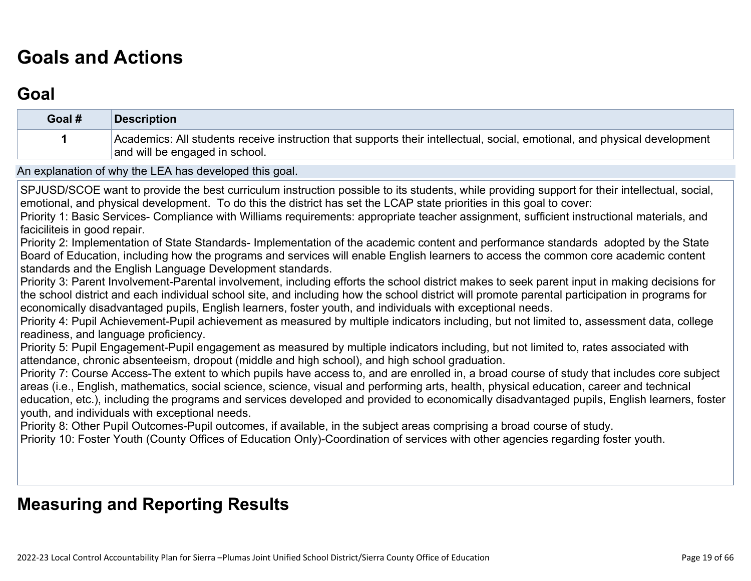# **[Goals and Actions](http://www.doc-tracking.com/screenshots/22LCAP/Instructions/22LCAPInstructions.htm#GoalsandActions)**

# **[Goal](http://www.doc-tracking.com/screenshots/22LCAP/Instructions/22LCAPInstructions.htm#goalDescription)**

| Goal #                       | <b>Description</b>                                                                                                                                                                                                                                                                                                                                                                                                                                                                                                                                                                                                                                                                                                                                                                                                                                                                                                                                                                                                                                                                                                                                                                                                                                                                                                                                                                                                                                                                                                                                                                                                                                                                                                                                                                                                                                                                                                                                                                                                                                                                                                                                                                                                                                                                                                                                                              |
|------------------------------|---------------------------------------------------------------------------------------------------------------------------------------------------------------------------------------------------------------------------------------------------------------------------------------------------------------------------------------------------------------------------------------------------------------------------------------------------------------------------------------------------------------------------------------------------------------------------------------------------------------------------------------------------------------------------------------------------------------------------------------------------------------------------------------------------------------------------------------------------------------------------------------------------------------------------------------------------------------------------------------------------------------------------------------------------------------------------------------------------------------------------------------------------------------------------------------------------------------------------------------------------------------------------------------------------------------------------------------------------------------------------------------------------------------------------------------------------------------------------------------------------------------------------------------------------------------------------------------------------------------------------------------------------------------------------------------------------------------------------------------------------------------------------------------------------------------------------------------------------------------------------------------------------------------------------------------------------------------------------------------------------------------------------------------------------------------------------------------------------------------------------------------------------------------------------------------------------------------------------------------------------------------------------------------------------------------------------------------------------------------------------------|
|                              | Academics: All students receive instruction that supports their intellectual, social, emotional, and physical development<br>and will be engaged in school.                                                                                                                                                                                                                                                                                                                                                                                                                                                                                                                                                                                                                                                                                                                                                                                                                                                                                                                                                                                                                                                                                                                                                                                                                                                                                                                                                                                                                                                                                                                                                                                                                                                                                                                                                                                                                                                                                                                                                                                                                                                                                                                                                                                                                     |
|                              | An explanation of why the LEA has developed this goal.                                                                                                                                                                                                                                                                                                                                                                                                                                                                                                                                                                                                                                                                                                                                                                                                                                                                                                                                                                                                                                                                                                                                                                                                                                                                                                                                                                                                                                                                                                                                                                                                                                                                                                                                                                                                                                                                                                                                                                                                                                                                                                                                                                                                                                                                                                                          |
| faciciliteis in good repair. | SPJUSD/SCOE want to provide the best curriculum instruction possible to its students, while providing support for their intellectual, social,<br>emotional, and physical development. To do this the district has set the LCAP state priorities in this goal to cover:<br>Priority 1: Basic Services- Compliance with Williams requirements: appropriate teacher assignment, sufficient instructional materials, and<br>Priority 2: Implementation of State Standards- Implementation of the academic content and performance standards adopted by the State<br>Board of Education, including how the programs and services will enable English learners to access the common core academic content<br>standards and the English Language Development standards.<br>Priority 3: Parent Involvement-Parental involvement, including efforts the school district makes to seek parent input in making decisions for<br>the school district and each individual school site, and including how the school district will promote parental participation in programs for<br>economically disadvantaged pupils, English learners, foster youth, and individuals with exceptional needs.<br>Priority 4: Pupil Achievement-Pupil achievement as measured by multiple indicators including, but not limited to, assessment data, college<br>readiness, and language proficiency.<br>Priority 5: Pupil Engagement-Pupil engagement as measured by multiple indicators including, but not limited to, rates associated with<br>attendance, chronic absenteeism, dropout (middle and high school), and high school graduation.<br>Priority 7: Course Access-The extent to which pupils have access to, and are enrolled in, a broad course of study that includes core subject<br>areas (i.e., English, mathematics, social science, science, visual and performing arts, health, physical education, career and technical<br>education, etc.), including the programs and services developed and provided to economically disadvantaged pupils, English learners, foster<br>youth, and individuals with exceptional needs.<br>Priority 8: Other Pupil Outcomes-Pupil outcomes, if available, in the subject areas comprising a broad course of study.<br>Priority 10: Foster Youth (County Offices of Education Only)-Coordination of services with other agencies regarding foster youth. |

# **[Measuring and Reporting Results](http://www.doc-tracking.com/screenshots/22LCAP/Instructions/22LCAPInstructions.htm#MeasuringandReportingResults)**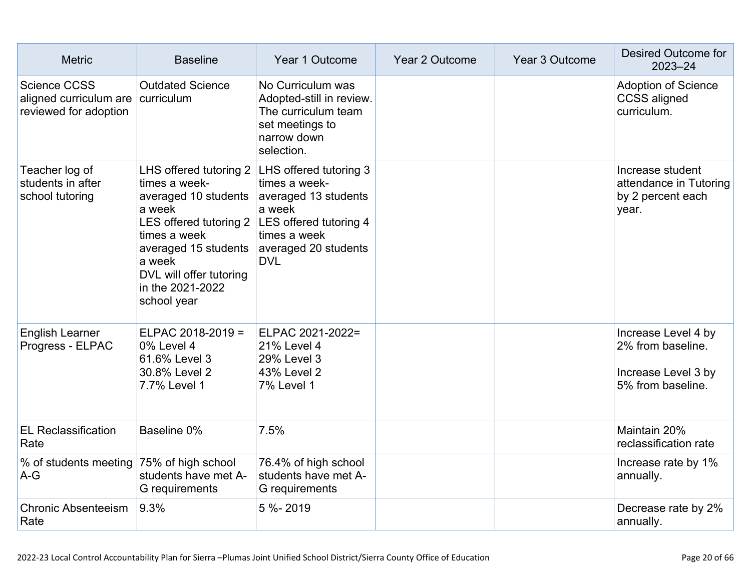| <b>Metric</b>                                                   | <b>Baseline</b>                                                                                                                                                                                                                                            | Year 1 Outcome                                                                                                       | Year 2 Outcome | Year 3 Outcome | Desired Outcome for<br>$2023 - 24$                                                   |
|-----------------------------------------------------------------|------------------------------------------------------------------------------------------------------------------------------------------------------------------------------------------------------------------------------------------------------------|----------------------------------------------------------------------------------------------------------------------|----------------|----------------|--------------------------------------------------------------------------------------|
| Science CCSS<br>aligned curriculum are<br>reviewed for adoption | <b>Outdated Science</b><br>curriculum                                                                                                                                                                                                                      | No Curriculum was<br>Adopted-still in review.<br>The curriculum team<br>set meetings to<br>narrow down<br>selection. |                |                | <b>Adoption of Science</b><br><b>CCSS</b> aligned<br>curriculum.                     |
| Teacher log of<br>students in after<br>school tutoring          | times a week-<br>averaged 10 students averaged 13 students<br>a week<br>LES offered tutoring 2 LES offered tutoring 4<br>times a week<br>averaged 15 students averaged 20 students<br>a week<br>DVL will offer tutoring<br>in the 2021-2022<br>school year | LHS offered tutoring $2$ LHS offered tutoring 3<br>times a week-<br>a week<br>times a week<br><b>DVL</b>             |                |                | Increase student<br>attendance in Tutoring<br>by 2 percent each<br>year.             |
| <b>English Learner</b><br>Progress - ELPAC                      | ELPAC 2018-2019 =<br>0% Level 4<br>61.6% Level 3<br>30.8% Level 2<br>7.7% Level 1                                                                                                                                                                          | ELPAC 2021-2022=<br><b>21% Level 4</b><br>29% Level 3<br>43% Level 2<br>7% Level 1                                   |                |                | Increase Level 4 by<br>2% from baseline.<br>Increase Level 3 by<br>5% from baseline. |
| <b>EL Reclassification</b><br>Rate                              | Baseline 0%                                                                                                                                                                                                                                                | 7.5%                                                                                                                 |                |                | Maintain 20%<br>reclassification rate                                                |
| % of students meeting<br>$A-G$                                  | 75% of high school<br>students have met A-<br>G requirements                                                                                                                                                                                               | 76.4% of high school<br>students have met A-<br>G requirements                                                       |                |                | Increase rate by 1%<br>annually.                                                     |
| <b>Chronic Absenteeism</b><br>Rate                              | 9.3%                                                                                                                                                                                                                                                       | 5 %-2019                                                                                                             |                |                | Decrease rate by 2%<br>annually.                                                     |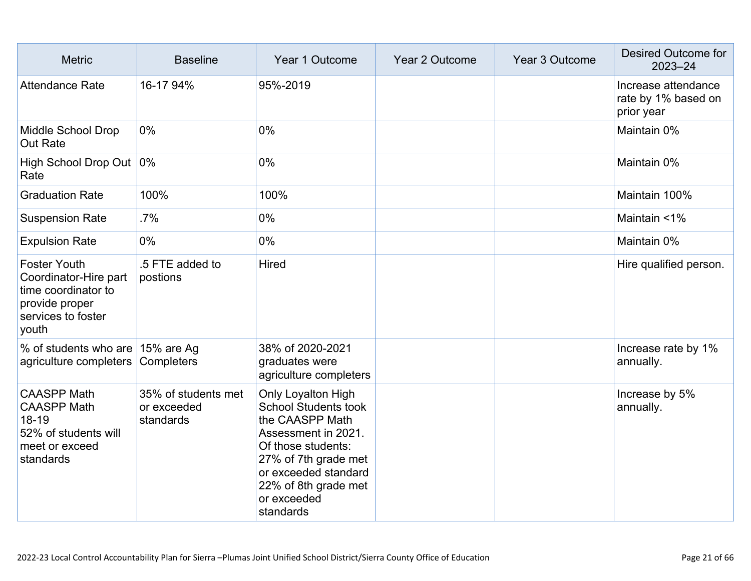| <b>Metric</b>                                                                                                        | <b>Baseline</b>                                 | Year 1 Outcome                                                                                                                                                                                                               | Year 2 Outcome | Year 3 Outcome | <b>Desired Outcome for</b><br>2023-24                    |
|----------------------------------------------------------------------------------------------------------------------|-------------------------------------------------|------------------------------------------------------------------------------------------------------------------------------------------------------------------------------------------------------------------------------|----------------|----------------|----------------------------------------------------------|
| <b>Attendance Rate</b>                                                                                               | 16-17 94%                                       | 95%-2019                                                                                                                                                                                                                     |                |                | Increase attendance<br>rate by 1% based on<br>prior year |
| Middle School Drop<br><b>Out Rate</b>                                                                                | $0\%$                                           | 0%                                                                                                                                                                                                                           |                |                | Maintain 0%                                              |
| High School Drop Out 0%<br>Rate                                                                                      |                                                 | 0%                                                                                                                                                                                                                           |                |                | Maintain 0%                                              |
| <b>Graduation Rate</b>                                                                                               | 100%                                            | 100%                                                                                                                                                                                                                         |                |                | Maintain 100%                                            |
| <b>Suspension Rate</b>                                                                                               | .7%                                             | 0%                                                                                                                                                                                                                           |                |                | Maintain <1%                                             |
| <b>Expulsion Rate</b>                                                                                                | 0%                                              | 0%                                                                                                                                                                                                                           |                |                | Maintain 0%                                              |
| <b>Foster Youth</b><br>Coordinator-Hire part<br>time coordinator to<br>provide proper<br>services to foster<br>youth | .5 FTE added to<br>postions                     | <b>Hired</b>                                                                                                                                                                                                                 |                |                | Hire qualified person.                                   |
| % of students who are 15% are Ag<br>agriculture completers                                                           | Completers                                      | 38% of 2020-2021<br>graduates were<br>agriculture completers                                                                                                                                                                 |                |                | Increase rate by 1%<br>annually.                         |
| <b>CAASPP Math</b><br><b>CAASPP Math</b><br>18-19<br>52% of students will<br>meet or exceed<br>standards             | 35% of students met<br>or exceeded<br>standards | <b>Only Loyalton High</b><br><b>School Students took</b><br>the CAASPP Math<br>Assessment in 2021.<br>Of those students:<br>27% of 7th grade met<br>or exceeded standard<br>22% of 8th grade met<br>or exceeded<br>standards |                |                | Increase by 5%<br>annually.                              |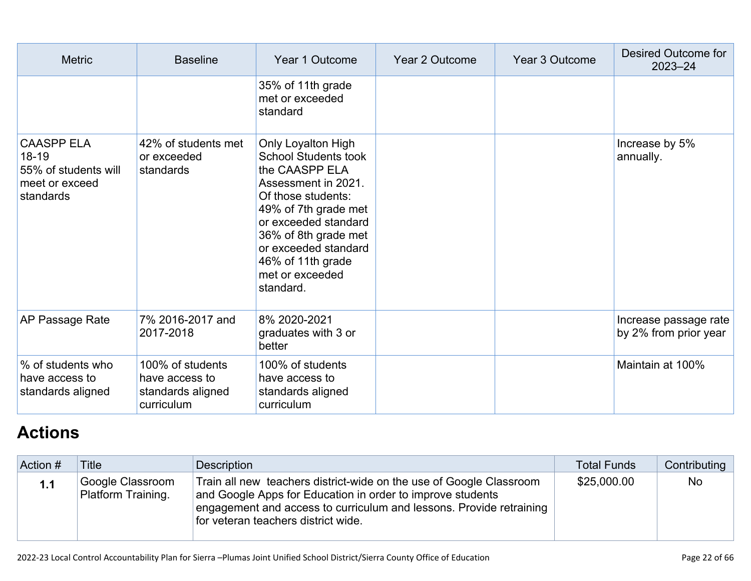| <b>Metric</b>                                                                         | <b>Baseline</b>                                                       | Year 1 Outcome                                                                                                                                                                                                                                                        | Year 2 Outcome | <b>Year 3 Outcome</b> | Desired Outcome for<br>$2023 - 24$             |
|---------------------------------------------------------------------------------------|-----------------------------------------------------------------------|-----------------------------------------------------------------------------------------------------------------------------------------------------------------------------------------------------------------------------------------------------------------------|----------------|-----------------------|------------------------------------------------|
|                                                                                       |                                                                       | 35% of 11th grade<br>met or exceeded<br>standard                                                                                                                                                                                                                      |                |                       |                                                |
| <b>CAASPP ELA</b><br>$18 - 19$<br>55% of students will<br>meet or exceed<br>standards | 42% of students met<br>or exceeded<br>standards                       | Only Loyalton High<br><b>School Students took</b><br>the CAASPP ELA<br>Assessment in 2021.<br>Of those students:<br>49% of 7th grade met<br>or exceeded standard<br>36% of 8th grade met<br>or exceeded standard<br>46% of 11th grade<br>met or exceeded<br>standard. |                |                       | Increase by 5%<br>annually.                    |
| AP Passage Rate                                                                       | 7% 2016-2017 and<br>2017-2018                                         | 8% 2020-2021<br>graduates with 3 or<br>better                                                                                                                                                                                                                         |                |                       | Increase passage rate<br>by 2% from prior year |
| % of students who<br>have access to<br>standards aligned                              | 100% of students<br>have access to<br>standards aligned<br>curriculum | 100% of students<br>have access to<br>standards aligned<br>curriculum                                                                                                                                                                                                 |                |                       | Maintain at 100%                               |

# **[Actions](http://www.doc-tracking.com/screenshots/22LCAP/Instructions/22LCAPInstructions.htm#actions)**

| Action # | <b>Title</b>                           | Description                                                                                                                                                                                                                                     | <b>Total Funds</b> | Contributing |
|----------|----------------------------------------|-------------------------------------------------------------------------------------------------------------------------------------------------------------------------------------------------------------------------------------------------|--------------------|--------------|
| 1.1      | Google Classroom<br>Platform Training. | Train all new teachers district-wide on the use of Google Classroom<br>and Google Apps for Education in order to improve students<br>engagement and access to curriculum and lessons. Provide retraining<br>for veteran teachers district wide. | \$25,000.00        | <b>No</b>    |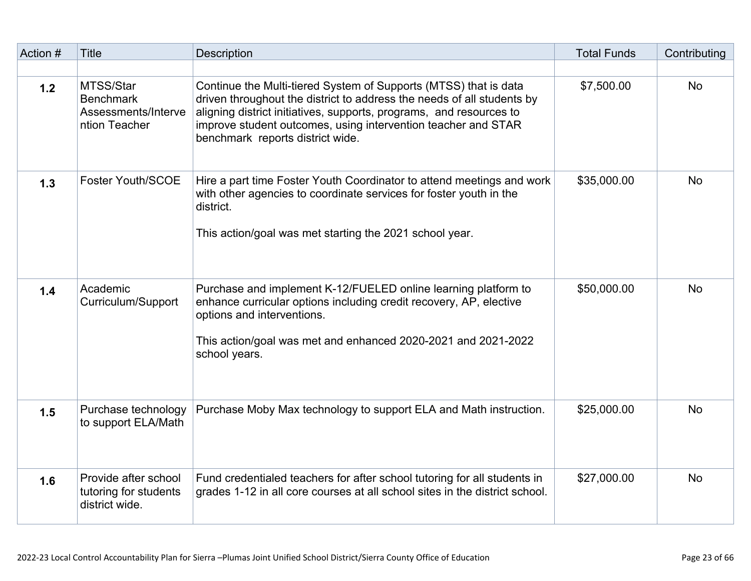| Action # | <b>Title</b>                                                          | <b>Description</b>                                                                                                                                                                                                                                                                                                     | <b>Total Funds</b> | Contributing |
|----------|-----------------------------------------------------------------------|------------------------------------------------------------------------------------------------------------------------------------------------------------------------------------------------------------------------------------------------------------------------------------------------------------------------|--------------------|--------------|
| 1.2      | MTSS/Star<br><b>Benchmark</b><br>Assessments/Interve<br>ntion Teacher | Continue the Multi-tiered System of Supports (MTSS) that is data<br>driven throughout the district to address the needs of all students by<br>aligning district initiatives, supports, programs, and resources to<br>improve student outcomes, using intervention teacher and STAR<br>benchmark reports district wide. | \$7,500.00         | <b>No</b>    |
| 1.3      | <b>Foster Youth/SCOE</b>                                              | Hire a part time Foster Youth Coordinator to attend meetings and work<br>with other agencies to coordinate services for foster youth in the<br>district.<br>This action/goal was met starting the 2021 school year.                                                                                                    | \$35,000.00        | <b>No</b>    |
| 1.4      | Academic<br>Curriculum/Support                                        | Purchase and implement K-12/FUELED online learning platform to<br>enhance curricular options including credit recovery, AP, elective<br>options and interventions.<br>This action/goal was met and enhanced 2020-2021 and 2021-2022<br>school years.                                                                   | \$50,000.00        | <b>No</b>    |
| 1.5      | Purchase technology<br>to support ELA/Math                            | Purchase Moby Max technology to support ELA and Math instruction.                                                                                                                                                                                                                                                      | \$25,000.00        | <b>No</b>    |
| 1.6      | Provide after school<br>tutoring for students<br>district wide.       | Fund credentialed teachers for after school tutoring for all students in<br>grades 1-12 in all core courses at all school sites in the district school.                                                                                                                                                                | \$27,000.00        | <b>No</b>    |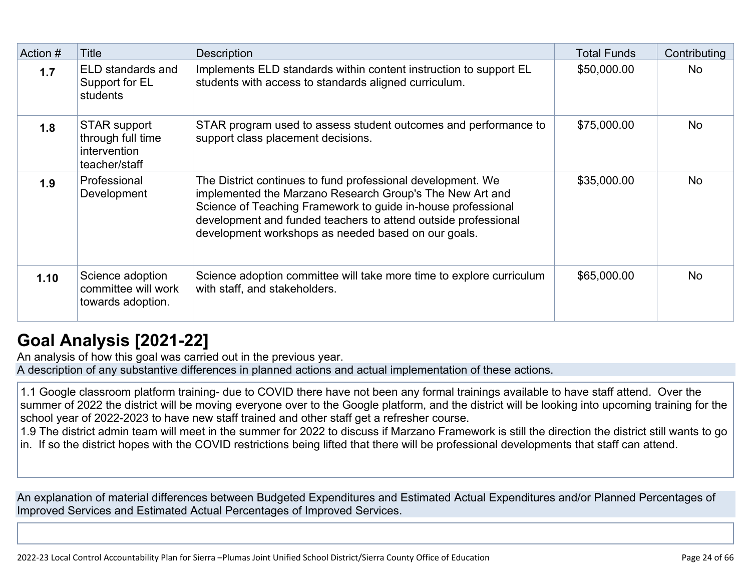| Action # | Title                                                              | <b>Description</b>                                                                                                                                                                                                                                                                                               | <b>Total Funds</b> | Contributing |
|----------|--------------------------------------------------------------------|------------------------------------------------------------------------------------------------------------------------------------------------------------------------------------------------------------------------------------------------------------------------------------------------------------------|--------------------|--------------|
| 1.7      | ELD standards and<br>Support for EL<br>students                    | Implements ELD standards within content instruction to support EL<br>students with access to standards aligned curriculum.                                                                                                                                                                                       | \$50,000.00        | No.          |
| 1.8      | STAR support<br>through full time<br>intervention<br>teacher/staff | STAR program used to assess student outcomes and performance to<br>support class placement decisions.                                                                                                                                                                                                            | \$75,000.00        | No.          |
| 1.9      | Professional<br>Development                                        | The District continues to fund professional development. We<br>implemented the Marzano Research Group's The New Art and<br>Science of Teaching Framework to guide in-house professional<br>development and funded teachers to attend outside professional<br>development workshops as needed based on our goals. | \$35,000.00        | <b>No</b>    |
| 1.10     | Science adoption<br>committee will work<br>towards adoption.       | Science adoption committee will take more time to explore curriculum<br>with staff, and stakeholders.                                                                                                                                                                                                            | \$65,000.00        | <b>No</b>    |

# **[Goal Analysis \[2021-22\]](http://www.doc-tracking.com/screenshots/22LCAP/Instructions/22LCAPInstructions.htm#GoalAnalysis)**

An analysis of how this goal was carried out in the previous year. A description of any substantive differences in planned actions and actual implementation of these actions.

1.1 Google classroom platform training- due to COVID there have not been any formal trainings available to have staff attend. Over the summer of 2022 the district will be moving everyone over to the Google platform, and the district will be looking into upcoming training for the school year of 2022-2023 to have new staff trained and other staff get a refresher course.

1.9 The district admin team will meet in the summer for 2022 to discuss if Marzano Framework is still the direction the district still wants to go in. If so the district hopes with the COVID restrictions being lifted that there will be professional developments that staff can attend.

An explanation of material differences between Budgeted Expenditures and Estimated Actual Expenditures and/or Planned Percentages of Improved Services and Estimated Actual Percentages of Improved Services.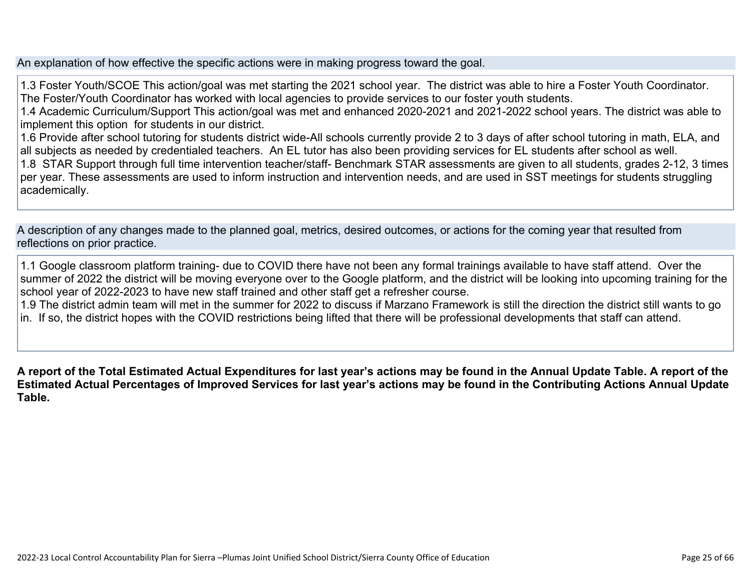An explanation of how effective the specific actions were in making progress toward the goal.

1.3 Foster Youth/SCOE This action/goal was met starting the 2021 school year. The district was able to hire a Foster Youth Coordinator. The Foster/Youth Coordinator has worked with local agencies to provide services to our foster youth students. 1.4 Academic Curriculum/Support This action/goal was met and enhanced 2020-2021 and 2021-2022 school years. The district was able to implement this option for students in our district. 1.6 Provide after school tutoring for students district wide-All schools currently provide 2 to 3 days of after school tutoring in math, ELA, and all subjects as needed by credentialed teachers. An EL tutor has also been providing services for EL students after school as well. 1.8 STAR Support through full time intervention teacher/staff- Benchmark STAR assessments are given to all students, grades 2-12, 3 times per year. These assessments are used to inform instruction and intervention needs, and are used in SST meetings for students struggling academically.

A description of any changes made to the planned goal, metrics, desired outcomes, or actions for the coming year that resulted from reflections on prior practice.

1.1 Google classroom platform training- due to COVID there have not been any formal trainings available to have staff attend. Over the summer of 2022 the district will be moving everyone over to the Google platform, and the district will be looking into upcoming training for the school year of 2022-2023 to have new staff trained and other staff get a refresher course.

1.9 The district admin team will met in the summer for 2022 to discuss if Marzano Framework is still the direction the district still wants to go in. If so, the district hopes with the COVID restrictions being lifted that there will be professional developments that staff can attend.

**A report of the Total Estimated Actual Expenditures for last year's actions may be found in the Annual Update Table. A report of the Estimated Actual Percentages of Improved Services for last year's actions may be found in the Contributing Actions Annual Update Table.**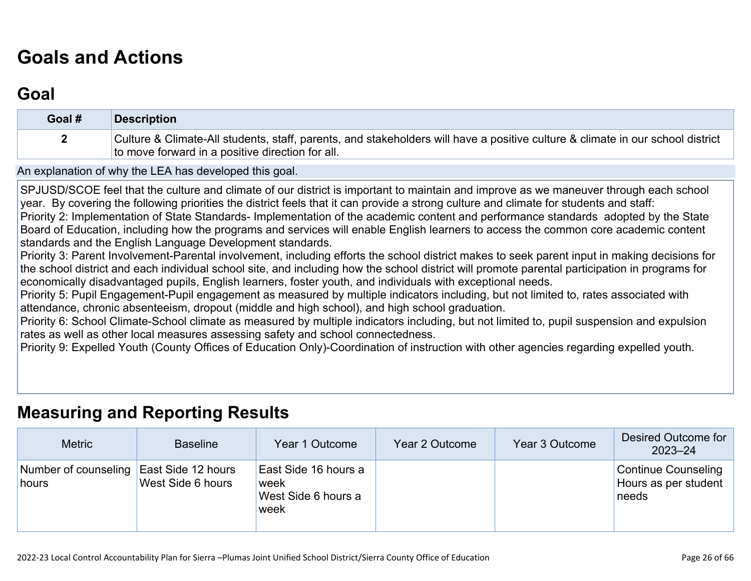# **[Goals and Actions](http://www.doc-tracking.com/screenshots/22LCAP/Instructions/22LCAPInstructions.htm#GoalsandActions)**

## **[Goal](http://www.doc-tracking.com/screenshots/22LCAP/Instructions/22LCAPInstructions.htm#goalDescription)**

| Goal # | <b>Description</b>                                                                                                                                                                 |
|--------|------------------------------------------------------------------------------------------------------------------------------------------------------------------------------------|
|        | Culture & Climate-All students, staff, parents, and stakeholders will have a positive culture & climate in our school district<br>to move forward in a positive direction for all. |

An explanation of why the LEA has developed this goal.

SPJUSD/SCOE feel that the culture and climate of our district is important to maintain and improve as we maneuver through each school year. By covering the following priorities the district feels that it can provide a strong culture and climate for students and staff: Priority 2: Implementation of State Standards- Implementation of the academic content and performance standards adopted by the State Board of Education, including how the programs and services will enable English learners to access the common core academic content

standards and the English Language Development standards.

Priority 3: Parent Involvement-Parental involvement, including efforts the school district makes to seek parent input in making decisions for the school district and each individual school site, and including how the school district will promote parental participation in programs for economically disadvantaged pupils, English learners, foster youth, and individuals with exceptional needs.

Priority 5: Pupil Engagement-Pupil engagement as measured by multiple indicators including, but not limited to, rates associated with attendance, chronic absenteeism, dropout (middle and high school), and high school graduation.

Priority 6: School Climate-School climate as measured by multiple indicators including, but not limited to, pupil suspension and expulsion rates as well as other local measures assessing safety and school connectedness.

Priority 9: Expelled Youth (County Offices of Education Only)-Coordination of instruction with other agencies regarding expelled youth.

### **[Measuring and Reporting Results](http://www.doc-tracking.com/screenshots/22LCAP/Instructions/22LCAPInstructions.htm#MeasuringandReportingResults)**

| <b>Metric</b>                 | <b>Baseline</b>                         | Year 1 Outcome                                               | Year 2 Outcome | Year 3 Outcome | Desired Outcome for<br>$2023 - 24$                          |
|-------------------------------|-----------------------------------------|--------------------------------------------------------------|----------------|----------------|-------------------------------------------------------------|
| Number of counseling<br>hours | East Side 12 hours<br>West Side 6 hours | East Side 16 hours a<br>'week<br>West Side 6 hours a<br>week |                |                | <b>Continue Counseling</b><br>Hours as per student<br>needs |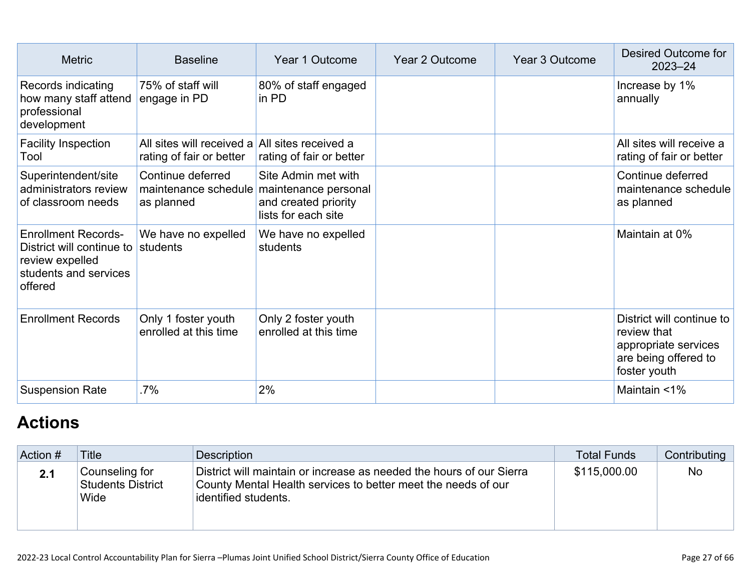| <b>Metric</b>                                                                                                  | <b>Baseline</b>                                                            | Year 1 Outcome                                                                                                  | Year 2 Outcome | <b>Year 3 Outcome</b> | <b>Desired Outcome for</b><br>$2023 - 24$                                                                |
|----------------------------------------------------------------------------------------------------------------|----------------------------------------------------------------------------|-----------------------------------------------------------------------------------------------------------------|----------------|-----------------------|----------------------------------------------------------------------------------------------------------|
| Records indicating<br>how many staff attend<br>professional<br>development                                     | 75% of staff will<br>engage in PD                                          | 80% of staff engaged<br>in PD                                                                                   |                |                       | Increase by 1%<br>annually                                                                               |
| <b>Facility Inspection</b><br>Tool                                                                             | All sites will received a All sites received a<br>rating of fair or better | rating of fair or better                                                                                        |                |                       | All sites will receive a<br>rating of fair or better                                                     |
| Superintendent/site<br>administrators review<br>of classroom needs                                             | Continue deferred<br>as planned                                            | Site Admin met with<br>maintenance schedule maintenance personal<br>and created priority<br>lists for each site |                |                       | Continue deferred<br>maintenance schedule<br>as planned                                                  |
| <b>Enrollment Records-</b><br>District will continue to<br>review expelled<br>students and services<br>offered | We have no expelled<br>students                                            | We have no expelled<br>students                                                                                 |                |                       | Maintain at 0%                                                                                           |
| <b>Enrollment Records</b>                                                                                      | Only 1 foster youth<br>enrolled at this time                               | Only 2 foster youth<br>enrolled at this time                                                                    |                |                       | District will continue to<br>review that<br>appropriate services<br>are being offered to<br>foster youth |
| <b>Suspension Rate</b>                                                                                         | .7%                                                                        | 2%                                                                                                              |                |                       | Maintain <1%                                                                                             |

# **[Actions](http://www.doc-tracking.com/screenshots/22LCAP/Instructions/22LCAPInstructions.htm#actions)**

| Action # | Title                                       | Description                                                                                                                                                   | <b>Total Funds</b> | Contributing |
|----------|---------------------------------------------|---------------------------------------------------------------------------------------------------------------------------------------------------------------|--------------------|--------------|
| 2.1      | Counseling for<br>Students District<br>Wide | District will maintain or increase as needed the hours of our Sierra<br>County Mental Health services to better meet the needs of our<br>identified students. | \$115,000.00       | No           |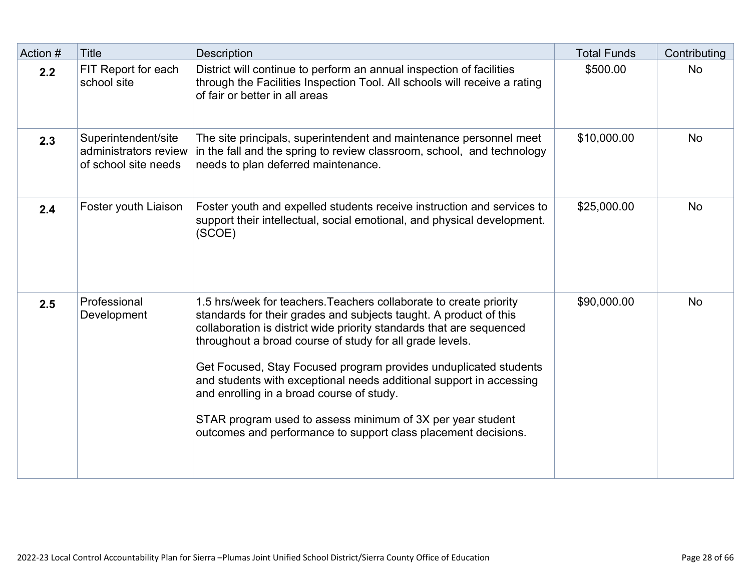| Action # | <b>Title</b>                                                         | <b>Description</b>                                                                                                                                                                                                                                                                                                                                                                                                                                                                                                                                                                                  | <b>Total Funds</b> | Contributing |
|----------|----------------------------------------------------------------------|-----------------------------------------------------------------------------------------------------------------------------------------------------------------------------------------------------------------------------------------------------------------------------------------------------------------------------------------------------------------------------------------------------------------------------------------------------------------------------------------------------------------------------------------------------------------------------------------------------|--------------------|--------------|
| 2.2      | FIT Report for each<br>school site                                   | District will continue to perform an annual inspection of facilities<br>through the Facilities Inspection Tool. All schools will receive a rating<br>of fair or better in all areas                                                                                                                                                                                                                                                                                                                                                                                                                 | \$500.00           | <b>No</b>    |
| 2.3      | Superintendent/site<br>administrators review<br>of school site needs | The site principals, superintendent and maintenance personnel meet<br>in the fall and the spring to review classroom, school, and technology<br>needs to plan deferred maintenance.                                                                                                                                                                                                                                                                                                                                                                                                                 | \$10,000.00        | <b>No</b>    |
| 2.4      | Foster youth Liaison                                                 | Foster youth and expelled students receive instruction and services to<br>support their intellectual, social emotional, and physical development.<br>(SCOE)                                                                                                                                                                                                                                                                                                                                                                                                                                         | \$25,000.00        | <b>No</b>    |
| 2.5      | Professional<br>Development                                          | 1.5 hrs/week for teachers. Teachers collaborate to create priority<br>standards for their grades and subjects taught. A product of this<br>collaboration is district wide priority standards that are sequenced<br>throughout a broad course of study for all grade levels.<br>Get Focused, Stay Focused program provides unduplicated students<br>and students with exceptional needs additional support in accessing<br>and enrolling in a broad course of study.<br>STAR program used to assess minimum of 3X per year student<br>outcomes and performance to support class placement decisions. | \$90,000.00        | <b>No</b>    |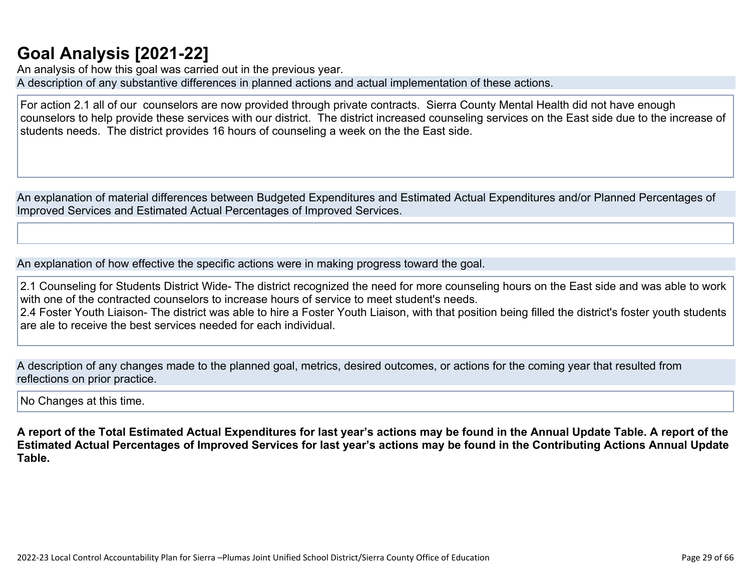# **[Goal Analysis \[2021-22\]](http://www.doc-tracking.com/screenshots/22LCAP/Instructions/22LCAPInstructions.htm#GoalAnalysis)**

An analysis of how this goal was carried out in the previous year. A description of any substantive differences in planned actions and actual implementation of these actions.

For action 2.1 all of our counselors are now provided through private contracts. Sierra County Mental Health did not have enough counselors to help provide these services with our district. The district increased counseling services on the East side due to the increase of students needs. The district provides 16 hours of counseling a week on the the East side.

An explanation of material differences between Budgeted Expenditures and Estimated Actual Expenditures and/or Planned Percentages of Improved Services and Estimated Actual Percentages of Improved Services.

An explanation of how effective the specific actions were in making progress toward the goal.

2.1 Counseling for Students District Wide- The district recognized the need for more counseling hours on the East side and was able to work with one of the contracted counselors to increase hours of service to meet student's needs. 2.4 Foster Youth Liaison- The district was able to hire a Foster Youth Liaison, with that position being filled the district's foster youth students are ale to receive the best services needed for each individual.

A description of any changes made to the planned goal, metrics, desired outcomes, or actions for the coming year that resulted from reflections on prior practice.

No Changes at this time.

**A report of the Total Estimated Actual Expenditures for last year's actions may be found in the Annual Update Table. A report of the Estimated Actual Percentages of Improved Services for last year's actions may be found in the Contributing Actions Annual Update Table.**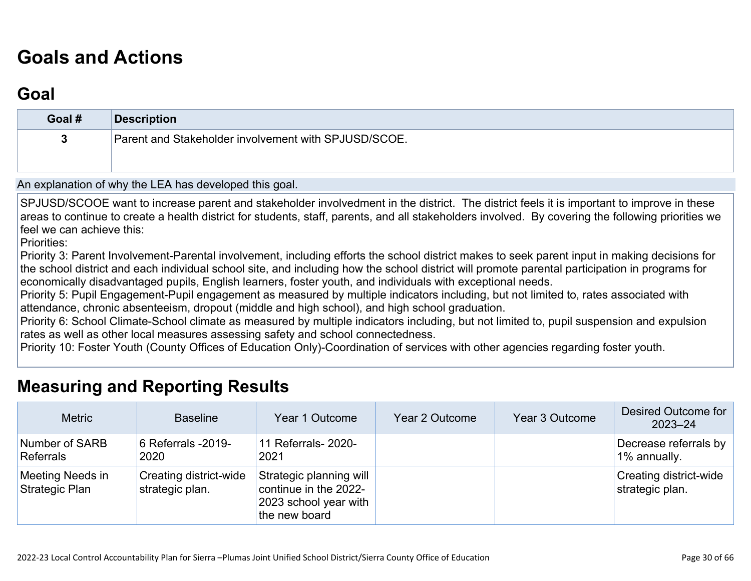# **[Goals and Actions](http://www.doc-tracking.com/screenshots/22LCAP/Instructions/22LCAPInstructions.htm#GoalsandActions)**

# **[Goal](http://www.doc-tracking.com/screenshots/22LCAP/Instructions/22LCAPInstructions.htm#goalDescription)**

| Goal # | <b>Description</b>                                   |
|--------|------------------------------------------------------|
| 3      | Parent and Stakeholder involvement with SPJUSD/SCOE. |
|        |                                                      |

An explanation of why the LEA has developed this goal.

SPJUSD/SCOOE want to increase parent and stakeholder involvedment in the district. The district feels it is important to improve in these areas to continue to create a health district for students, staff, parents, and all stakeholders involved. By covering the following priorities we feel we can achieve this:

Priorities:

Priority 3: Parent Involvement-Parental involvement, including efforts the school district makes to seek parent input in making decisions for the school district and each individual school site, and including how the school district will promote parental participation in programs for economically disadvantaged pupils, English learners, foster youth, and individuals with exceptional needs.

Priority 5: Pupil Engagement-Pupil engagement as measured by multiple indicators including, but not limited to, rates associated with attendance, chronic absenteeism, dropout (middle and high school), and high school graduation.

Priority 6: School Climate-School climate as measured by multiple indicators including, but not limited to, pupil suspension and expulsion rates as well as other local measures assessing safety and school connectedness.

Priority 10: Foster Youth (County Offices of Education Only)-Coordination of services with other agencies regarding foster youth.

## **[Measuring and Reporting Results](http://www.doc-tracking.com/screenshots/22LCAP/Instructions/22LCAPInstructions.htm#MeasuringandReportingResults)**

| <b>Metric</b>                      | <b>Baseline</b>                                  | Year 1 Outcome                                                                             | Year 2 Outcome | Year 3 Outcome | Desired Outcome for<br>$2023 - 24$        |
|------------------------------------|--------------------------------------------------|--------------------------------------------------------------------------------------------|----------------|----------------|-------------------------------------------|
| Number of SARB<br>Referrals        | 6 Referrals -2019-<br>2020                       | 11 Referrals- 2020-<br>2021                                                                |                |                | Decrease referrals by<br>1% annually.     |
| Meeting Needs in<br>Strategic Plan | <b>Creating district-wide</b><br>strategic plan. | Strategic planning will<br>continue in the 2022-<br>2023 school year with<br>the new board |                |                | Creating district-wide<br>strategic plan. |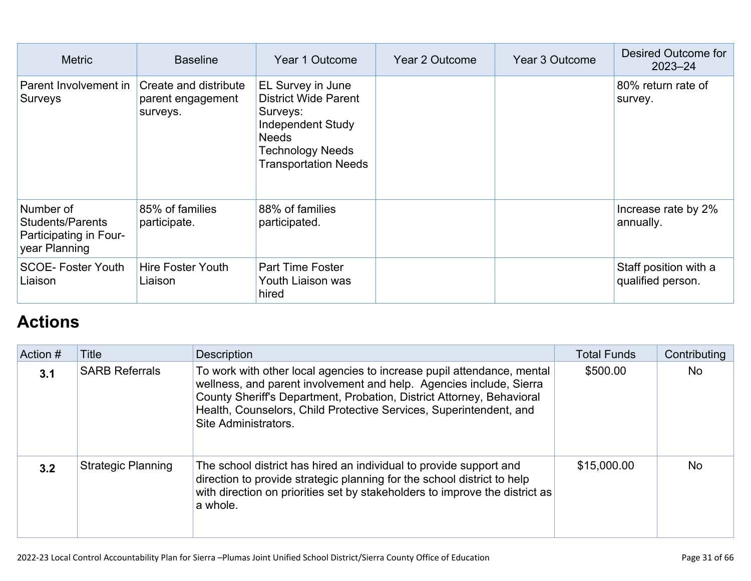| <b>Metric</b>                                                                   | <b>Baseline</b>                                        | Year 1 Outcome                                                                                                                                              | Year 2 Outcome | Year 3 Outcome | Desired Outcome for<br>$2023 - 24$         |
|---------------------------------------------------------------------------------|--------------------------------------------------------|-------------------------------------------------------------------------------------------------------------------------------------------------------------|----------------|----------------|--------------------------------------------|
| Parent Involvement in<br>Surveys                                                | Create and distribute<br>parent engagement<br>surveys. | EL Survey in June<br><b>District Wide Parent</b><br>Surveys:<br>Independent Study<br><b>Needs</b><br><b>Technology Needs</b><br><b>Transportation Needs</b> |                |                | 80% return rate of<br>survey.              |
| Number of<br><b>Students/Parents</b><br>Participating in Four-<br>year Planning | 85% of families<br>participate.                        | 88% of families<br>participated.                                                                                                                            |                |                | Increase rate by 2%<br>annually.           |
| <b>SCOE-Foster Youth</b><br>Liaison                                             | <b>Hire Foster Youth</b><br>Liaison                    | <b>Part Time Foster</b><br>Youth Liaison was<br>hired                                                                                                       |                |                | Staff position with a<br>qualified person. |

# **[Actions](http://www.doc-tracking.com/screenshots/22LCAP/Instructions/22LCAPInstructions.htm#actions)**

| Action # | Title                     | <b>Description</b>                                                                                                                                                                                                                                                                                                   | <b>Total Funds</b> | Contributing |
|----------|---------------------------|----------------------------------------------------------------------------------------------------------------------------------------------------------------------------------------------------------------------------------------------------------------------------------------------------------------------|--------------------|--------------|
| 3.1      | <b>SARB Referrals</b>     | To work with other local agencies to increase pupil attendance, mental<br>wellness, and parent involvement and help. Agencies include, Sierra<br>County Sheriff's Department, Probation, District Attorney, Behavioral<br>Health, Counselors, Child Protective Services, Superintendent, and<br>Site Administrators. | \$500.00           | <b>No</b>    |
| 3.2      | <b>Strategic Planning</b> | The school district has hired an individual to provide support and<br>direction to provide strategic planning for the school district to help<br>with direction on priorities set by stakeholders to improve the district as<br>a whole.                                                                             | \$15,000.00        | <b>No</b>    |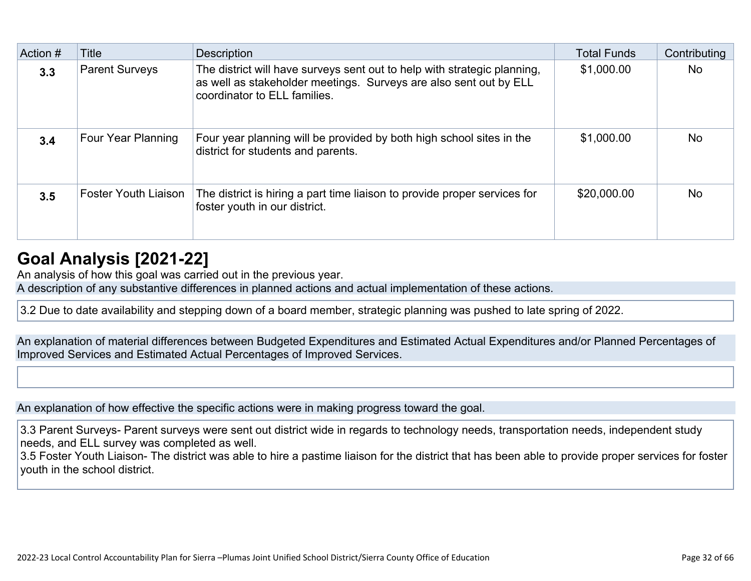| Action # | Title                       | <b>Description</b>                                                                                                                                                            | <b>Total Funds</b> | Contributing |
|----------|-----------------------------|-------------------------------------------------------------------------------------------------------------------------------------------------------------------------------|--------------------|--------------|
| 3.3      | <b>Parent Surveys</b>       | The district will have surveys sent out to help with strategic planning,<br>as well as stakeholder meetings. Surveys are also sent out by ELL<br>coordinator to ELL families. | \$1,000.00         | <b>No</b>    |
| 3.4      | Four Year Planning          | Four year planning will be provided by both high school sites in the<br>district for students and parents.                                                                    | \$1,000.00         | <b>No</b>    |
| 3.5      | <b>Foster Youth Liaison</b> | The district is hiring a part time liaison to provide proper services for<br>foster youth in our district.                                                                    | \$20,000.00        | <b>No</b>    |

# **[Goal Analysis \[2021-22\]](http://www.doc-tracking.com/screenshots/22LCAP/Instructions/22LCAPInstructions.htm#GoalAnalysis)**

An analysis of how this goal was carried out in the previous year.

A description of any substantive differences in planned actions and actual implementation of these actions.

3.2 Due to date availability and stepping down of a board member, strategic planning was pushed to late spring of 2022.

An explanation of material differences between Budgeted Expenditures and Estimated Actual Expenditures and/or Planned Percentages of Improved Services and Estimated Actual Percentages of Improved Services.

An explanation of how effective the specific actions were in making progress toward the goal.

3.3 Parent Surveys- Parent surveys were sent out district wide in regards to technology needs, transportation needs, independent study needs, and ELL survey was completed as well.

3.5 Foster Youth Liaison- The district was able to hire a pastime liaison for the district that has been able to provide proper services for foster youth in the school district.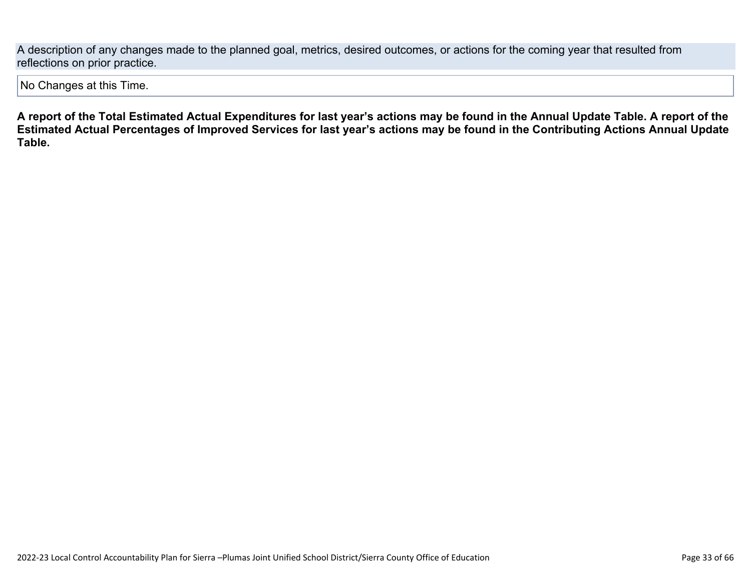A description of any changes made to the planned goal, metrics, desired outcomes, or actions for the coming year that resulted from reflections on prior practice.

No Changes at this Time.

**A report of the Total Estimated Actual Expenditures for last year's actions may be found in the Annual Update Table. A report of the Estimated Actual Percentages of Improved Services for last year's actions may be found in the Contributing Actions Annual Update Table.**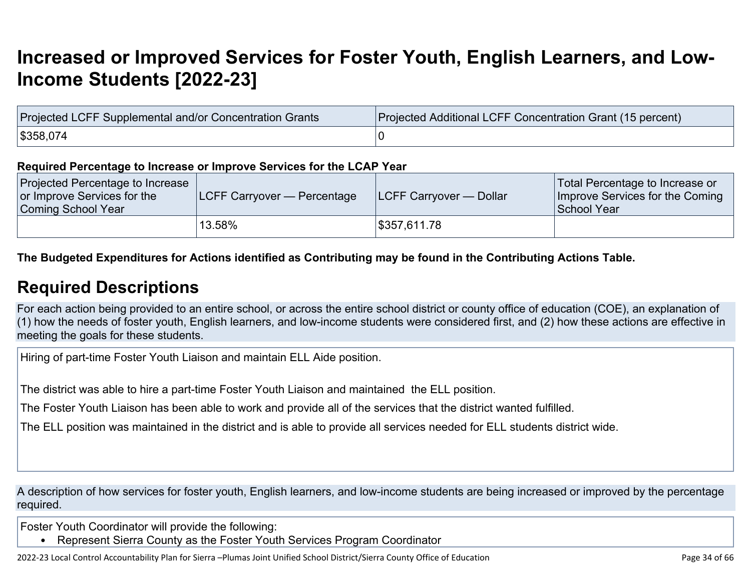# **[Increased or Improved Services for Foster Youth, English Learners, and Low-](http://www.doc-tracking.com/screenshots/22LCAP/Instructions/22LCAPInstructions.htm#IncreasedImprovedServices)[Income Students \[2022-23\]](http://www.doc-tracking.com/screenshots/22LCAP/Instructions/22LCAPInstructions.htm#IncreasedImprovedServices)**

| Projected LCFF Supplemental and/or Concentration Grants | Projected Additional LCFF Concentration Grant (15 percent) |  |  |  |
|---------------------------------------------------------|------------------------------------------------------------|--|--|--|
| \$358,074                                               |                                                            |  |  |  |

#### **Required Percentage to Increase or Improve Services for the LCAP Year**

| Projected Percentage to Increase<br>or Improve Services for the<br>Coming School Year | LCFF Carryover — Percentage | <b>ILCFF Carryover — Dollar</b> | Total Percentage to Increase or<br>Improve Services for the Coming<br>School Year |
|---------------------------------------------------------------------------------------|-----------------------------|---------------------------------|-----------------------------------------------------------------------------------|
|                                                                                       | 13.58%                      | \$357,611.78                    |                                                                                   |

### **The Budgeted Expenditures for Actions identified as Contributing may be found in the Contributing Actions Table.**

### **[Required Descriptions](http://www.doc-tracking.com/screenshots/22LCAP/Instructions/22LCAPInstructions.htm#RequiredDescriptions)**

For each action being provided to an entire school, or across the entire school district or county office of education (COE), an explanation of (1) how the needs of foster youth, English learners, and low-income students were considered first, and (2) how these actions are effective in meeting the goals for these students.

Hiring of part-time Foster Youth Liaison and maintain ELL Aide position.

The district was able to hire a part-time Foster Youth Liaison and maintained the ELL position.

The Foster Youth Liaison has been able to work and provide all of the services that the district wanted fulfilled.

The ELL position was maintained in the district and is able to provide all services needed for ELL students district wide.

A description of how services for foster youth, English learners, and low-income students are being increased or improved by the percentage required.

Foster Youth Coordinator will provide the following:

• Represent Sierra County as the Foster Youth Services Program Coordinator

2022-23 Local Control Accountability Plan for Sierra –Plumas Joint Unified School District/Sierra County Office of Education Page 34 of 66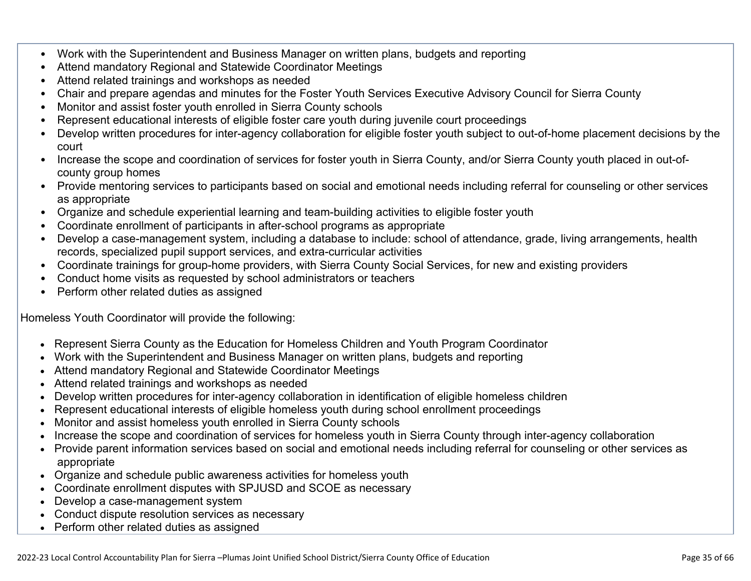- Work with the Superintendent and Business Manager on written plans, budgets and reporting
- Attend mandatory Regional and Statewide Coordinator Meetings
- Attend related trainings and workshops as needed
- Chair and prepare agendas and minutes for the Foster Youth Services Executive Advisory Council for Sierra County
- Monitor and assist foster youth enrolled in Sierra County schools
- Represent educational interests of eligible foster care youth during juvenile court proceedings
- Develop written procedures for inter-agency collaboration for eligible foster youth subject to out-of-home placement decisions by the court
- Increase the scope and coordination of services for foster youth in Sierra County, and/or Sierra County youth placed in out-ofcounty group homes
- Provide mentoring services to participants based on social and emotional needs including referral for counseling or other services as appropriate
- Organize and schedule experiential learning and team-building activities to eligible foster youth
- Coordinate enrollment of participants in after-school programs as appropriate
- Develop a case-management system, including a database to include: school of attendance, grade, living arrangements, health records, specialized pupil support services, and extra-curricular activities
- Coordinate trainings for group-home providers, with Sierra County Social Services, for new and existing providers
- Conduct home visits as requested by school administrators or teachers
- Perform other related duties as assigned

Homeless Youth Coordinator will provide the following:

- Represent Sierra County as the Education for Homeless Children and Youth Program Coordinator
- Work with the Superintendent and Business Manager on written plans, budgets and reporting
- Attend mandatory Regional and Statewide Coordinator Meetings
- Attend related trainings and workshops as needed
- Develop written procedures for inter-agency collaboration in identification of eligible homeless children
- Represent educational interests of eligible homeless youth during school enrollment proceedings
- Monitor and assist homeless youth enrolled in Sierra County schools
- Increase the scope and coordination of services for homeless youth in Sierra County through inter-agency collaboration
- Provide parent information services based on social and emotional needs including referral for counseling or other services as appropriate
- Organize and schedule public awareness activities for homeless youth
- Coordinate enrollment disputes with SPJUSD and SCOE as necessary
- Develop a case-management system
- Conduct dispute resolution services as necessary
- Perform other related duties as assigned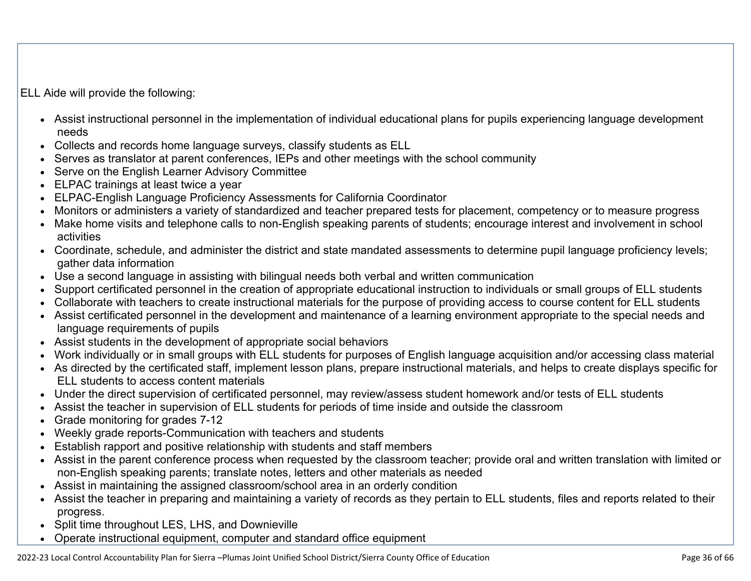ELL Aide will provide the following:

- Assist instructional personnel in the implementation of individual educational plans for pupils experiencing language development needs
- Collects and records home language surveys, classify students as ELL
- Serves as translator at parent conferences, IEPs and other meetings with the school community
- Serve on the English Learner Advisory Committee
- ELPAC trainings at least twice a year
- ELPAC-English Language Proficiency Assessments for California Coordinator
- Monitors or administers a variety of standardized and teacher prepared tests for placement, competency or to measure progress
- Make home visits and telephone calls to non-English speaking parents of students; encourage interest and involvement in school activities
- Coordinate, schedule, and administer the district and state mandated assessments to determine pupil language proficiency levels; gather data information
- Use a second language in assisting with bilingual needs both verbal and written communication
- Support certificated personnel in the creation of appropriate educational instruction to individuals or small groups of ELL students
- Collaborate with teachers to create instructional materials for the purpose of providing access to course content for ELL students
- Assist certificated personnel in the development and maintenance of a learning environment appropriate to the special needs and language requirements of pupils
- Assist students in the development of appropriate social behaviors
- Work individually or in small groups with ELL students for purposes of English language acquisition and/or accessing class material
- As directed by the certificated staff, implement lesson plans, prepare instructional materials, and helps to create displays specific for ELL students to access content materials
- Under the direct supervision of certificated personnel, may review/assess student homework and/or tests of ELL students
- Assist the teacher in supervision of ELL students for periods of time inside and outside the classroom
- Grade monitoring for grades 7-12
- Weekly grade reports-Communication with teachers and students
- Establish rapport and positive relationship with students and staff members
- Assist in the parent conference process when requested by the classroom teacher; provide oral and written translation with limited or non-English speaking parents; translate notes, letters and other materials as needed
- Assist in maintaining the assigned classroom/school area in an orderly condition
- Assist the teacher in preparing and maintaining a variety of records as they pertain to ELL students, files and reports related to their progress.
- Split time throughout LES, LHS, and Downieville
- Operate instructional equipment, computer and standard office equipment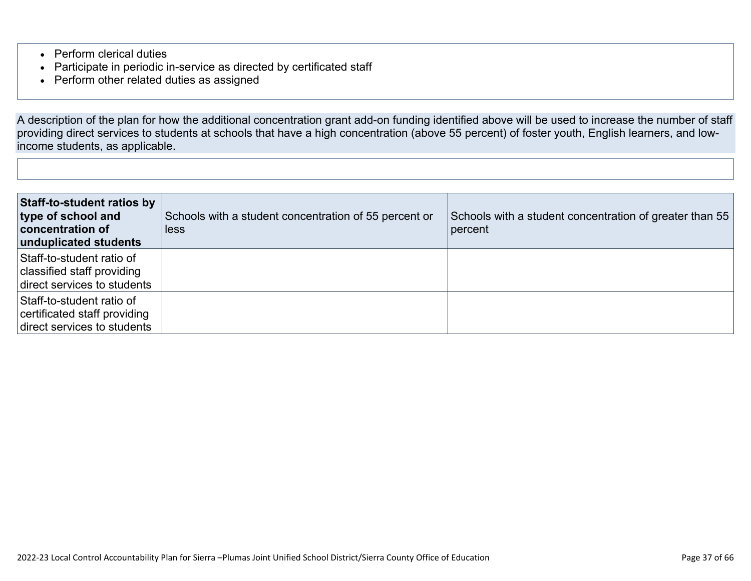- Perform clerical duties
- Participate in periodic in-service as directed by certificated staff
- Perform other related duties as assigned

A description of the plan for how the additional concentration grant add-on funding identified above will be used to increase the number of staff providing direct services to students at schools that have a high concentration (above 55 percent) of foster youth, English learners, and lowincome students, as applicable.

| <b>Staff-to-student ratios by</b><br>type of school and<br><b>concentration of</b><br>unduplicated students | Schools with a student concentration of 55 percent or<br>less | Schools with a student concentration of greater than 55<br>percent |
|-------------------------------------------------------------------------------------------------------------|---------------------------------------------------------------|--------------------------------------------------------------------|
| Staff-to-student ratio of<br>classified staff providing<br>direct services to students                      |                                                               |                                                                    |
| Staff-to-student ratio of<br>certificated staff providing<br>direct services to students                    |                                                               |                                                                    |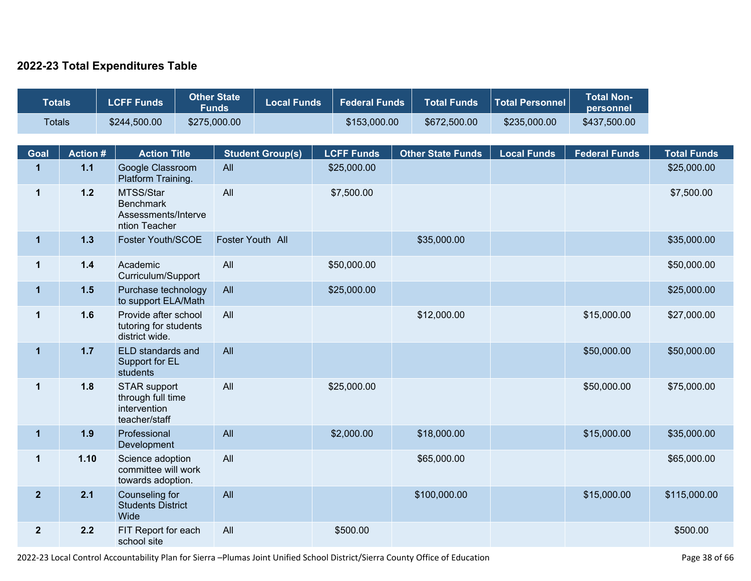### **2022-23 Total Expenditures Table**

| <b>Totals</b>        |                | <b>LCFF Funds</b>                                                         | <b>Other State</b><br><b>Funds</b> | <b>Local Funds</b>      | <b>Federal Funds</b>             | <b>Total Funds</b>       | <b>Total Personnel</b> | <b>Total Non-</b><br>personnel |                                   |
|----------------------|----------------|---------------------------------------------------------------------------|------------------------------------|-------------------------|----------------------------------|--------------------------|------------------------|--------------------------------|-----------------------------------|
| <b>Totals</b>        |                | \$244,500.00                                                              | \$275,000.00                       |                         | \$153,000.00                     | \$672,500.00             | \$235,000.00           | \$437,500.00                   |                                   |
|                      | <b>Action#</b> |                                                                           |                                    |                         |                                  |                          |                        |                                |                                   |
| Goal<br>$\mathbf{1}$ | $1.1$          | <b>Action Title</b><br>Google Classroom                                   | All                                | <b>Student Group(s)</b> | <b>LCFF Funds</b><br>\$25,000.00 | <b>Other State Funds</b> | <b>Local Funds</b>     | <b>Federal Funds</b>           | <b>Total Funds</b><br>\$25,000.00 |
|                      |                | Platform Training.                                                        |                                    |                         |                                  |                          |                        |                                |                                   |
| $\mathbf{1}$         | $1.2$          | MTSS/Star<br><b>Benchmark</b><br>Assessments/Interve<br>ntion Teacher     | All                                |                         | \$7,500.00                       |                          |                        |                                | \$7,500.00                        |
| $\mathbf 1$          | $1.3$          | Foster Youth/SCOE                                                         | Foster Youth All                   |                         |                                  | \$35,000.00              |                        |                                | \$35,000.00                       |
| $\mathbf{1}$         | $1.4$          | Academic<br>Curriculum/Support                                            | All                                |                         | \$50,000.00                      |                          |                        |                                | \$50,000.00                       |
| $\mathbf{1}$         | 1.5            | Purchase technology<br>to support ELA/Math                                | All                                |                         | \$25,000.00                      |                          |                        |                                | \$25,000.00                       |
| $\mathbf{1}$         | 1.6            | Provide after school<br>tutoring for students<br>district wide.           | All                                |                         |                                  | \$12,000.00              |                        | \$15,000.00                    | \$27,000.00                       |
| $\overline{1}$       | 1.7            | ELD standards and<br>Support for EL<br>students                           | All                                |                         |                                  |                          |                        | \$50,000.00                    | \$50,000.00                       |
| $\mathbf{1}$         | 1.8            | <b>STAR support</b><br>through full time<br>intervention<br>teacher/staff | All                                |                         | \$25,000.00                      |                          |                        | \$50,000.00                    | \$75,000.00                       |
| $\mathbf{1}$         | 1.9            | Professional<br>Development                                               | All                                |                         | \$2,000.00                       | \$18,000.00              |                        | \$15,000.00                    | \$35,000.00                       |
| $\mathbf 1$          | 1.10           | Science adoption<br>committee will work<br>towards adoption.              | All                                |                         |                                  | \$65,000.00              |                        |                                | \$65,000.00                       |
| $\mathbf{2}$         | 2.1            | Counseling for<br><b>Students District</b><br>Wide                        | All                                |                         |                                  | \$100,000.00             |                        | \$15,000.00                    | \$115,000.00                      |
| $\mathbf{2}$         | 2.2            | FIT Report for each<br>school site                                        | All                                |                         | \$500.00                         |                          |                        |                                | \$500.00                          |

2022-23 Local Control Accountability Plan for Sierra –Plumas Joint Unified School District/Sierra County Office of Education Page 38 of 66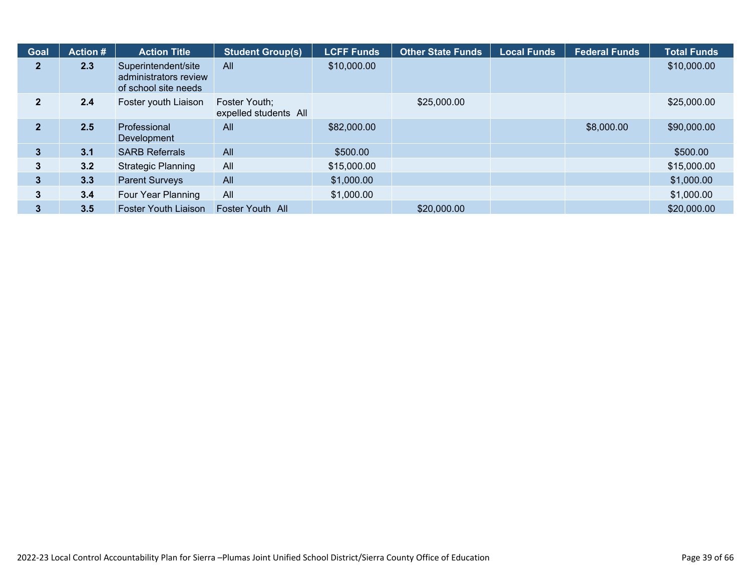| <b>Goal</b>    | <b>Action #</b> | <b>Action Title</b>                                                  | <b>Student Group(s)</b>                | <b>LCFF Funds</b> | <b>Other State Funds</b> | <b>Local Funds</b> | <b>Federal Funds</b> | <b>Total Funds</b> |
|----------------|-----------------|----------------------------------------------------------------------|----------------------------------------|-------------------|--------------------------|--------------------|----------------------|--------------------|
| $\mathbf{2}$   | 2.3             | Superintendent/site<br>administrators review<br>of school site needs | All                                    | \$10,000.00       |                          |                    |                      | \$10,000.00        |
| $\mathbf{2}$   | 2.4             | Foster youth Liaison                                                 | Foster Youth;<br>expelled students All |                   | \$25,000.00              |                    |                      | \$25,000.00        |
| $\overline{2}$ | 2.5             | Professional<br>Development                                          | All                                    | \$82,000.00       |                          |                    | \$8,000.00           | \$90,000.00        |
| 3              | 3.1             | <b>SARB Referrals</b>                                                | All                                    | \$500.00          |                          |                    |                      | \$500.00           |
| 3              | 3.2             | <b>Strategic Planning</b>                                            | All                                    | \$15,000.00       |                          |                    |                      | \$15,000.00        |
| 3              | 3.3             | <b>Parent Surveys</b>                                                | All                                    | \$1,000.00        |                          |                    |                      | \$1,000.00         |
| 3              | 3.4             | Four Year Planning                                                   | All                                    | \$1,000.00        |                          |                    |                      | \$1,000.00         |
| 3              | 3.5             | Foster Youth Liaison                                                 | Foster Youth All                       |                   | \$20,000.00              |                    |                      | \$20,000.00        |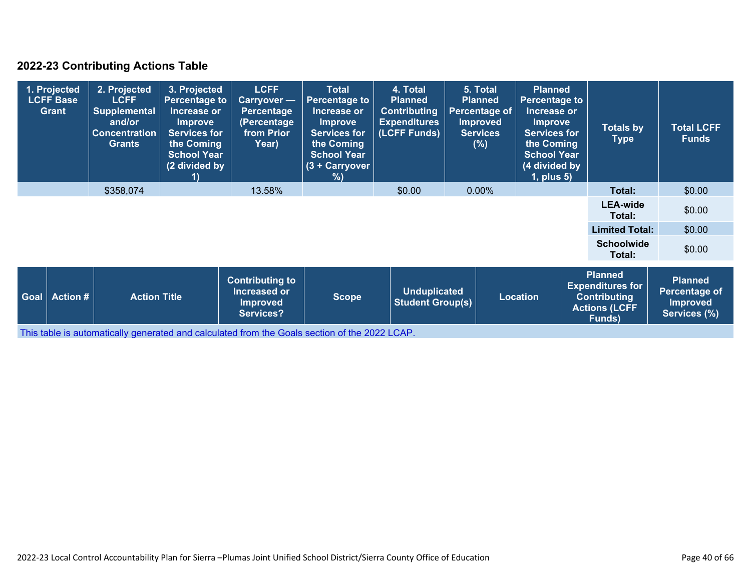### **2022-23 Contributing Actions Table**

|                                                                                                                                               | 1. Projected<br><b>LCFF Base</b><br><b>Grant</b> | 2. Projected<br><b>LCFF</b><br><b>Supplemental</b><br>and/or<br><b>Concentration</b><br><b>Grants</b> | 3. Projected<br><b>Percentage to</b><br>Increase or<br><b>Improve</b><br><b>Services for</b><br>the Coming<br><b>School Year</b><br>(2 divided by | <b>LCFF</b><br>Carryover -<br><b>Percentage</b><br>(Percentage<br>from Prior<br>Year) | <b>Total</b><br><b>Percentage to</b><br>Increase or<br><b>Improve</b><br><b>Services for</b><br>the Coming<br><b>School Year</b><br>(3 + Carryover<br>% | 4. Total<br><b>Planned</b><br><b>Contributing</b><br><b>Expenditures</b><br>(LCFF Funds) | 5. Total<br><b>Planned</b><br><b>Percentage to</b><br><b>Planned</b><br><b>Percentage of</b><br>Increase or<br><b>Improved</b><br><b>Improve</b><br><b>Services</b><br><b>Services for</b><br>the Coming<br>(% )<br><b>School Year</b><br>(4 divided by<br>$1$ , plus $5$ ) |                                                                    |        | <b>Totals by</b><br><b>Type</b> | <b>Total LCFF</b><br><b>Funds</b> |        |
|-----------------------------------------------------------------------------------------------------------------------------------------------|--------------------------------------------------|-------------------------------------------------------------------------------------------------------|---------------------------------------------------------------------------------------------------------------------------------------------------|---------------------------------------------------------------------------------------|---------------------------------------------------------------------------------------------------------------------------------------------------------|------------------------------------------------------------------------------------------|-----------------------------------------------------------------------------------------------------------------------------------------------------------------------------------------------------------------------------------------------------------------------------|--------------------------------------------------------------------|--------|---------------------------------|-----------------------------------|--------|
|                                                                                                                                               |                                                  | \$358,074                                                                                             | 13.58%<br>\$0.00<br>$0.00\%$                                                                                                                      |                                                                                       |                                                                                                                                                         | Total:                                                                                   | \$0.00                                                                                                                                                                                                                                                                      |                                                                    |        |                                 |                                   |        |
|                                                                                                                                               |                                                  |                                                                                                       |                                                                                                                                                   |                                                                                       |                                                                                                                                                         |                                                                                          |                                                                                                                                                                                                                                                                             | <b>LEA-wide</b><br>Total:                                          | \$0.00 |                                 |                                   |        |
|                                                                                                                                               |                                                  |                                                                                                       |                                                                                                                                                   |                                                                                       |                                                                                                                                                         |                                                                                          |                                                                                                                                                                                                                                                                             |                                                                    |        |                                 | <b>Limited Total:</b>             | \$0.00 |
|                                                                                                                                               |                                                  |                                                                                                       |                                                                                                                                                   |                                                                                       |                                                                                                                                                         |                                                                                          |                                                                                                                                                                                                                                                                             |                                                                    |        |                                 | <b>Schoolwide</b><br>Total:       | \$0.00 |
| <b>Contributing to</b><br><b>Increased or</b><br><b>Goal</b><br><b>Action #</b><br><b>Action Title</b><br><b>Improved</b><br><b>Services?</b> |                                                  | <b>Scope</b>                                                                                          | <b>Unduplicated</b><br><b>Student Group(s)</b>                                                                                                    |                                                                                       | <b>Location</b>                                                                                                                                         |                                                                                          | <b>Planned</b><br><b>Expenditures for</b><br><b>Contributing</b><br><b>Actions (LCFF</b><br><b>Funds</b> )                                                                                                                                                                  | <b>Planned</b><br>Percentage of<br><b>Improved</b><br>Services (%) |        |                                 |                                   |        |

This table is automatically generated and calculated from the Goals section of the 2022 LCAP.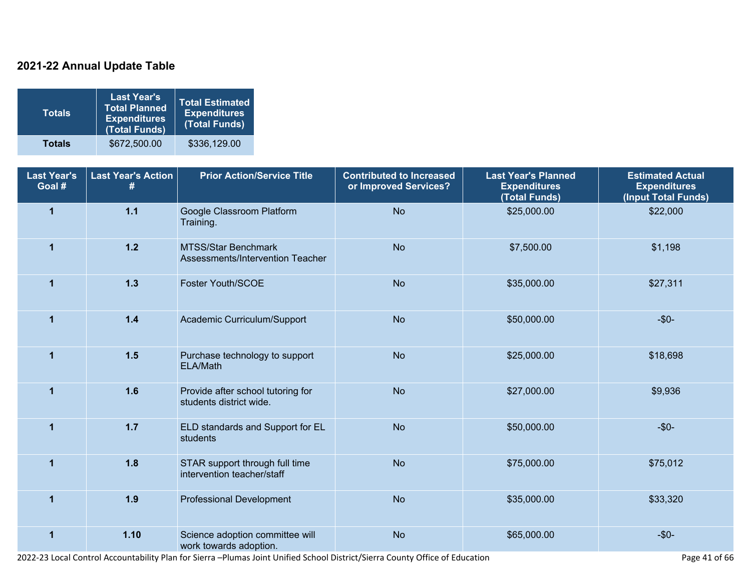### **2021-22 Annual Update Table**

| <b>Totals</b> | <b>Last Year's</b><br><b>Total Planned</b><br><b>Expenditures</b><br>(Total Funds) | <b>Total Estimated</b><br><b>Expenditures</b><br>(Total Funds) |
|---------------|------------------------------------------------------------------------------------|----------------------------------------------------------------|
| <b>Totals</b> | \$672,500.00                                                                       | \$336,129.00                                                   |

| <b>Last Year's</b><br>Goal # | <b>Last Year's Action</b><br># | <b>Prior Action/Service Title</b>                            | <b>Contributed to Increased</b><br>or Improved Services? | <b>Last Year's Planned</b><br><b>Expenditures</b><br>(Total Funds) | <b>Estimated Actual</b><br><b>Expenditures</b><br>(Input Total Funds) |
|------------------------------|--------------------------------|--------------------------------------------------------------|----------------------------------------------------------|--------------------------------------------------------------------|-----------------------------------------------------------------------|
| $\mathbf{1}$                 | $1.1$                          | Google Classroom Platform<br>Training.                       | <b>No</b>                                                | \$25,000.00                                                        | \$22,000                                                              |
| $\mathbf{1}$                 | $1.2$                          | MTSS/Star Benchmark<br>Assessments/Intervention Teacher      | <b>No</b>                                                | \$7,500.00                                                         | \$1,198                                                               |
| $\mathbf{1}$                 | $1.3$                          | Foster Youth/SCOE                                            | <b>No</b>                                                | \$35,000.00                                                        | \$27,311                                                              |
| $\mathbf{1}$                 | $1.4$                          | Academic Curriculum/Support                                  | <b>No</b>                                                | \$50,000.00                                                        | $-$ \$0 $-$                                                           |
| $\mathbf{1}$                 | $1.5$                          | Purchase technology to support<br>ELA/Math                   | <b>No</b>                                                | \$25,000.00                                                        | \$18,698                                                              |
| $\mathbf 1$                  | 1.6                            | Provide after school tutoring for<br>students district wide. | <b>No</b>                                                | \$27,000.00                                                        | \$9,936                                                               |
| $\blacktriangleleft$         | $1.7$                          | ELD standards and Support for EL<br>students                 | <b>No</b>                                                | \$50,000.00                                                        | $-$ \$0 $-$                                                           |
| $\mathbf 1$                  | 1.8                            | STAR support through full time<br>intervention teacher/staff | <b>No</b>                                                | \$75,000.00                                                        | \$75,012                                                              |
| $\blacktriangleleft$         | 1.9                            | <b>Professional Development</b>                              | <b>No</b>                                                | \$35,000.00                                                        | \$33,320                                                              |
| 1                            | 1.10                           | Science adoption committee will<br>work towards adoption.    | <b>No</b>                                                | \$65,000.00                                                        | $-$ \$0-                                                              |

2022-23 Local Control Accountability Plan for Sierra –Plumas Joint Unified School District/Sierra County Office of Education Page 41 of 66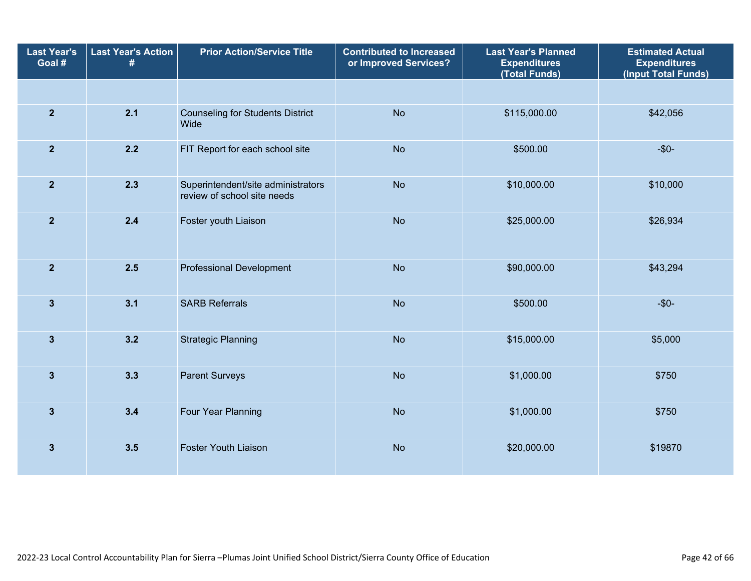| <b>Last Year's</b><br>Goal # | <b>Last Year's Action</b><br># | <b>Prior Action/Service Title</b>                                 | <b>Contributed to Increased</b><br>or Improved Services? | <b>Last Year's Planned</b><br><b>Expenditures</b><br>(Total Funds) | <b>Estimated Actual</b><br><b>Expenditures</b><br>(Input Total Funds) |
|------------------------------|--------------------------------|-------------------------------------------------------------------|----------------------------------------------------------|--------------------------------------------------------------------|-----------------------------------------------------------------------|
|                              |                                |                                                                   |                                                          |                                                                    |                                                                       |
| $\overline{2}$               | 2.1                            | <b>Counseling for Students District</b><br>Wide                   | <b>No</b>                                                | \$115,000.00                                                       | \$42,056                                                              |
| $\overline{2}$               | 2.2                            | FIT Report for each school site                                   | <b>No</b>                                                | \$500.00                                                           | $-\$0-$                                                               |
| $\overline{2}$               | 2.3                            | Superintendent/site administrators<br>review of school site needs | <b>No</b>                                                | \$10,000.00                                                        | \$10,000                                                              |
| $\overline{2}$               | 2.4                            | Foster youth Liaison                                              | <b>No</b>                                                | \$25,000.00                                                        | \$26,934                                                              |
| $\overline{2}$               | 2.5                            | <b>Professional Development</b>                                   | <b>No</b>                                                | \$90,000.00                                                        | \$43,294                                                              |
| $\overline{\mathbf{3}}$      | 3.1                            | <b>SARB Referrals</b>                                             | <b>No</b>                                                | \$500.00                                                           | $-\$0-$                                                               |
| $\mathbf{3}$                 | 3.2                            | <b>Strategic Planning</b>                                         | <b>No</b>                                                | \$15,000.00                                                        | \$5,000                                                               |
| $\mathbf{3}$                 | 3.3                            | <b>Parent Surveys</b>                                             | <b>No</b>                                                | \$1,000.00                                                         | \$750                                                                 |
| $\mathbf{3}$                 | 3.4                            | Four Year Planning                                                | <b>No</b>                                                | \$1,000.00                                                         | \$750                                                                 |
| $\mathbf{3}$                 | 3.5                            | <b>Foster Youth Liaison</b>                                       | <b>No</b>                                                | \$20,000.00                                                        | \$19870                                                               |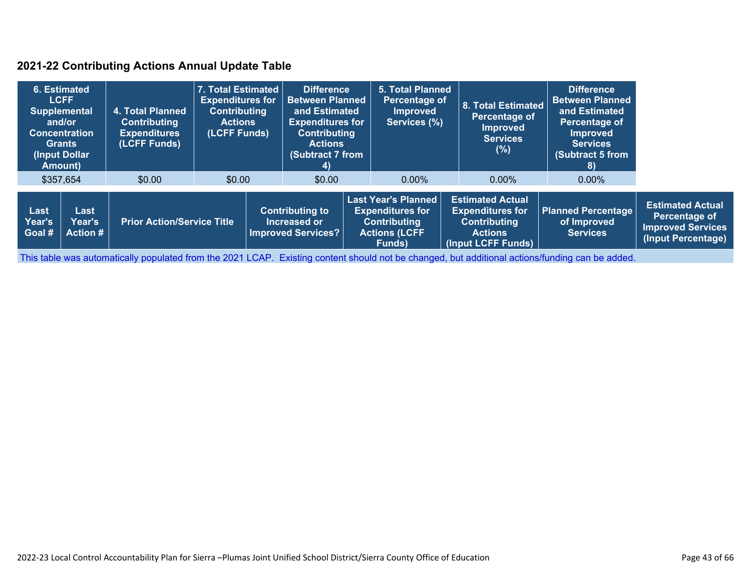### **2021-22 Contributing Actions Annual Update Table**

| 6. Estimated<br><b>LCFF</b><br><b>Supplemental</b><br>and/or<br><b>Concentration</b><br><b>Grants</b><br>(Input Dollar)<br>Amount) |                                          | 4. Total Planned<br><b>Contributing</b><br><b>Expenditures</b><br>(LCFF Funds) |        | 7. Total Estimated<br><b>Difference</b><br><b>Expenditures for</b><br><b>Between Planned</b><br><b>Contributing</b><br>and Estimated<br><b>Expenditures for</b><br><b>Actions</b><br>(LCFF Funds)<br><b>Contributing</b><br><b>Actions</b><br>(Subtract 7 from<br>4) |        | <b>5. Total Planned</b><br>Percentage of<br><b>Improved</b><br>Services (%)                                    |                                                                                                                   | <b>8. Total Estimated</b><br>Percentage of<br><b>Improved</b><br><b>Services</b><br>(%) | <b>Difference</b><br><b>Between Planned</b><br>and Estimated<br>Percentage of<br><b>Improved</b><br><b>Services</b><br>(Subtract 5 from<br>8) |  |
|------------------------------------------------------------------------------------------------------------------------------------|------------------------------------------|--------------------------------------------------------------------------------|--------|----------------------------------------------------------------------------------------------------------------------------------------------------------------------------------------------------------------------------------------------------------------------|--------|----------------------------------------------------------------------------------------------------------------|-------------------------------------------------------------------------------------------------------------------|-----------------------------------------------------------------------------------------|-----------------------------------------------------------------------------------------------------------------------------------------------|--|
|                                                                                                                                    | \$357,654                                | \$0.00                                                                         | \$0.00 |                                                                                                                                                                                                                                                                      | \$0.00 |                                                                                                                | $0.00\%$                                                                                                          | $0.00\%$                                                                                | $0.00\%$                                                                                                                                      |  |
| Last<br>Year's<br>Goal #                                                                                                           | Last<br><b>Year's</b><br><b>Action #</b> | <b>Prior Action/Service Title</b>                                              |        | <b>Contributing to</b><br>Increased or<br><b>Improved Services?</b>                                                                                                                                                                                                  |        | <b>Last Year's Planned</b><br><b>Expenditures for</b><br><b>Contributing</b><br><b>Actions (LCFF</b><br>Funds) | <b>Estimated Actual</b><br><b>Expenditures for</b><br><b>Contributing</b><br><b>Actions</b><br>(Input LCFF Funds) | <b>Planned Percentage</b><br>of Improved<br><b>Services</b>                             | <b>Estimated Actual</b><br>Percentage of<br><b>Improved Services</b><br>(Input Percentage)                                                    |  |

This table was automatically populated from the 2021 LCAP. Existing content should not be changed, but additional actions/funding can be added.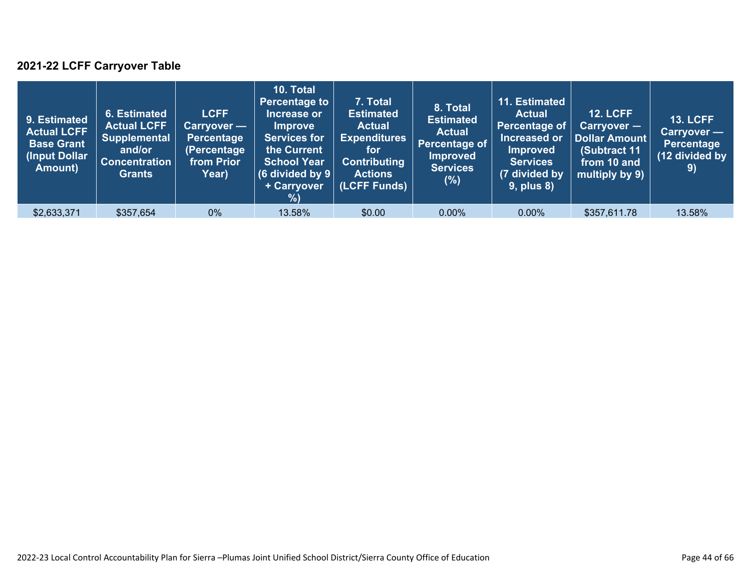### **2021-22 LCFF Carryover Table**

| 9. Estimated<br><b>Actual LCFF</b><br><b>Base Grant</b><br>(Input Dollar<br>Amount) | <b>6. Estimated</b><br><b>Actual LCFF</b><br><b>Supplemental</b><br>and/or<br><b>Concentration</b><br><b>Grants</b> | <b>LCFF</b><br>Carryover —<br><b>Percentage</b><br>(Percentage<br>from Prior<br>Year) | 10. Total<br><b>Percentage to</b><br>Increase or<br><b>Improve</b><br><b>Services for</b><br>the Current<br><b>School Year</b><br>(6 divided by $9$ $ $<br>+ Carryover<br>$\sqrt{2}$ | 7. Total<br><b>Estimated</b><br><b>Actual</b><br><b>Expenditures</b><br>for<br><b>Contributing</b><br><b>Actions</b><br>(LCFF Funds) | 8. Total<br><b>Estimated</b><br><b>Actual</b><br>Percentage of<br><b>Improved</b><br>Services<br>$(\%)$ | 11. Estimated<br><b>Actual</b><br>Percentage of<br>Increased or<br><b>Improved</b><br><b>Services</b><br>(7 divided by<br>$9$ , plus $8$ ) | <b>12. LCFF</b><br>$Carryover -$<br><b>Dollar Amount</b><br>(Subtract 11<br>from 10 and<br>multiply by 9) | <b>13. LCFF</b><br>Carryover —<br><b>Percentage</b><br>(12 divided by<br>$\left( 9\right)$ |
|-------------------------------------------------------------------------------------|---------------------------------------------------------------------------------------------------------------------|---------------------------------------------------------------------------------------|--------------------------------------------------------------------------------------------------------------------------------------------------------------------------------------|--------------------------------------------------------------------------------------------------------------------------------------|---------------------------------------------------------------------------------------------------------|--------------------------------------------------------------------------------------------------------------------------------------------|-----------------------------------------------------------------------------------------------------------|--------------------------------------------------------------------------------------------|
| \$2,633,371                                                                         | \$357,654                                                                                                           | $0\%$                                                                                 | 13.58%                                                                                                                                                                               | \$0.00                                                                                                                               | $0.00\%$                                                                                                | $0.00\%$                                                                                                                                   | \$357,611.78                                                                                              | 13.58%                                                                                     |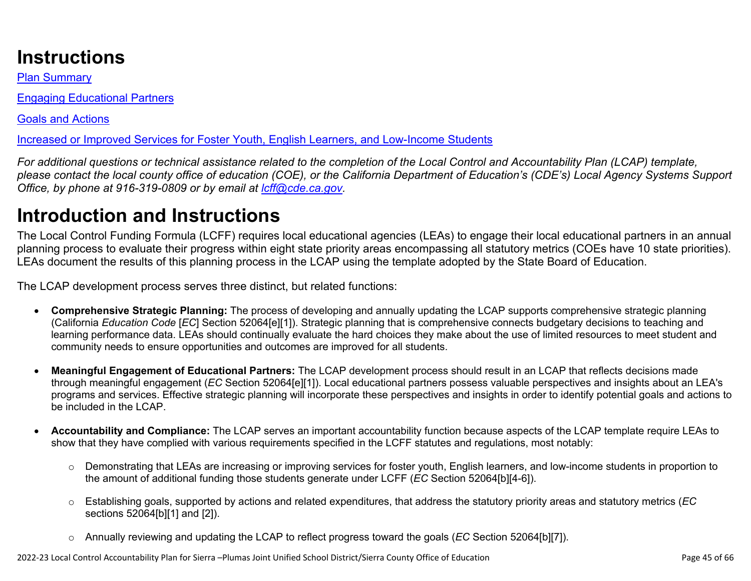# **Instructions**

Plan Summary

Engaging Educational Partners

Goals and Actions

Increased or Improved Services for Foster Youth, English Learners, and Low-Income Students

*For additional questions or technical assistance related to the completion of the Local Control and Accountability Plan (LCAP) template, please contact the local county office of education (COE), or the California Department of Education's (CDE's) Local Agency Systems Support Office, by phone at 916-319-0809 or by email at [lcff@cde.ca.gov](mailto:lcff@cde.ca.gov).*

# **Introduction and Instructions**

The Local Control Funding Formula (LCFF) requires local educational agencies (LEAs) to engage their local educational partners in an annual planning process to evaluate their progress within eight state priority areas encompassing all statutory metrics (COEs have 10 state priorities). LEAs document the results of this planning process in the LCAP using the template adopted by the State Board of Education.

The LCAP development process serves three distinct, but related functions:

- **Comprehensive Strategic Planning:** The process of developing and annually updating the LCAP supports comprehensive strategic planning (California *Education Code* [*EC*] Section 52064[e][1]). Strategic planning that is comprehensive connects budgetary decisions to teaching and learning performance data. LEAs should continually evaluate the hard choices they make about the use of limited resources to meet student and community needs to ensure opportunities and outcomes are improved for all students.
- **Meaningful Engagement of Educational Partners:** The LCAP development process should result in an LCAP that reflects decisions made through meaningful engagement (*EC* Section 52064[e][1]). Local educational partners possess valuable perspectives and insights about an LEA's programs and services. Effective strategic planning will incorporate these perspectives and insights in order to identify potential goals and actions to be included in the LCAP.
- **Accountability and Compliance:** The LCAP serves an important accountability function because aspects of the LCAP template require LEAs to show that they have complied with various requirements specified in the LCFF statutes and regulations, most notably:
	- o Demonstrating that LEAs are increasing or improving services for foster youth, English learners, and low-income students in proportion to the amount of additional funding those students generate under LCFF (*EC* Section 52064[b][4-6]).
	- o Establishing goals, supported by actions and related expenditures, that address the statutory priority areas and statutory metrics (*EC* sections 52064[b][1] and [2]).
	- o Annually reviewing and updating the LCAP to reflect progress toward the goals (*EC* Section 52064[b][7]).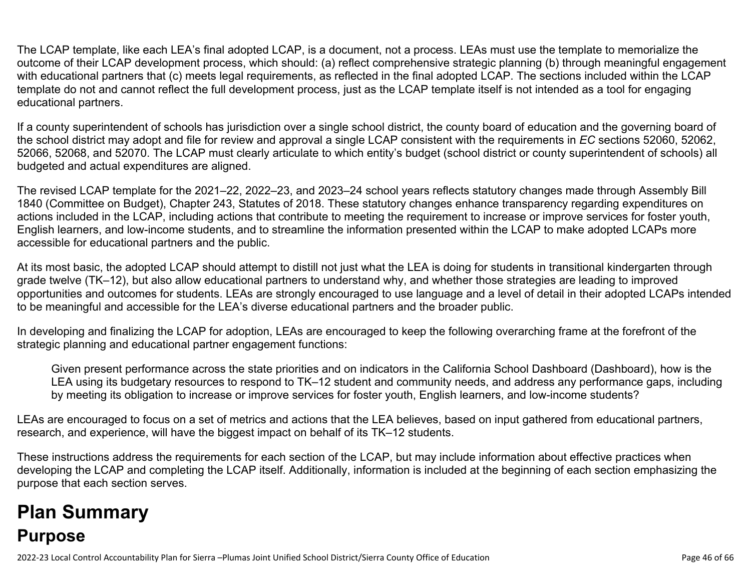The LCAP template, like each LEA's final adopted LCAP, is a document, not a process. LEAs must use the template to memorialize the outcome of their LCAP development process, which should: (a) reflect comprehensive strategic planning (b) through meaningful engagement with educational partners that (c) meets legal requirements, as reflected in the final adopted LCAP. The sections included within the LCAP template do not and cannot reflect the full development process, just as the LCAP template itself is not intended as a tool for engaging educational partners.

If a county superintendent of schools has jurisdiction over a single school district, the county board of education and the governing board of the school district may adopt and file for review and approval a single LCAP consistent with the requirements in *EC* sections 52060, 52062, 52066, 52068, and 52070. The LCAP must clearly articulate to which entity's budget (school district or county superintendent of schools) all budgeted and actual expenditures are aligned.

The revised LCAP template for the 2021–22, 2022–23, and 2023–24 school years reflects statutory changes made through Assembly Bill 1840 (Committee on Budget), Chapter 243, Statutes of 2018. These statutory changes enhance transparency regarding expenditures on actions included in the LCAP, including actions that contribute to meeting the requirement to increase or improve services for foster youth, English learners, and low-income students, and to streamline the information presented within the LCAP to make adopted LCAPs more accessible for educational partners and the public.

At its most basic, the adopted LCAP should attempt to distill not just what the LEA is doing for students in transitional kindergarten through grade twelve (TK–12), but also allow educational partners to understand why, and whether those strategies are leading to improved opportunities and outcomes for students. LEAs are strongly encouraged to use language and a level of detail in their adopted LCAPs intended to be meaningful and accessible for the LEA's diverse educational partners and the broader public.

In developing and finalizing the LCAP for adoption, LEAs are encouraged to keep the following overarching frame at the forefront of the strategic planning and educational partner engagement functions:

Given present performance across the state priorities and on indicators in the California School Dashboard (Dashboard), how is the LEA using its budgetary resources to respond to TK–12 student and community needs, and address any performance gaps, including by meeting its obligation to increase or improve services for foster youth, English learners, and low-income students?

LEAs are encouraged to focus on a set of metrics and actions that the LEA believes, based on input gathered from educational partners, research, and experience, will have the biggest impact on behalf of its TK–12 students.

These instructions address the requirements for each section of the LCAP, but may include information about effective practices when developing the LCAP and completing the LCAP itself. Additionally, information is included at the beginning of each section emphasizing the purpose that each section serves.

# **Plan Summary Purpose**

2022-23 Local Control Accountability Plan for Sierra –Plumas Joint Unified School District/Sierra County Office of Education Page 46 of 66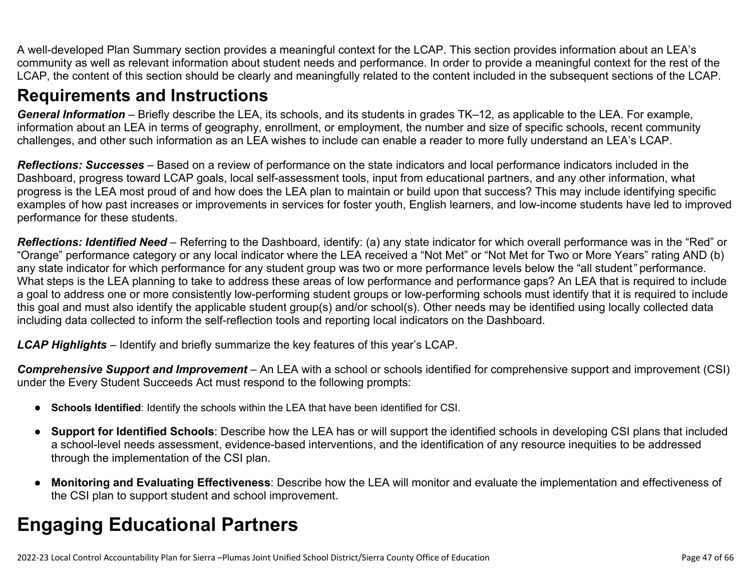A well-developed Plan Summary section provides a meaningful context for the LCAP. This section provides information about an LEA's community as well as relevant information about student needs and performance. In order to provide a meaningful context for the rest of the LCAP, the content of this section should be clearly and meaningfully related to the content included in the subsequent sections of the LCAP.

## **Requirements and Instructions**

*General Information* – Briefly describe the LEA, its schools, and its students in grades TK–12, as applicable to the LEA. For example, information about an LEA in terms of geography, enrollment, or employment, the number and size of specific schools, recent community challenges, and other such information as an LEA wishes to include can enable a reader to more fully understand an LEA's LCAP.

*Reflections: Successes* – Based on a review of performance on the state indicators and local performance indicators included in the Dashboard, progress toward LCAP goals, local self-assessment tools, input from educational partners, and any other information, what progress is the LEA most proud of and how does the LEA plan to maintain or build upon that success? This may include identifying specific examples of how past increases or improvements in services for foster youth, English learners, and low-income students have led to improved performance for these students.

*Reflections: Identified Need* – Referring to the Dashboard, identify: (a) any state indicator for which overall performance was in the "Red" or "Orange" performance category or any local indicator where the LEA received a "Not Met" or "Not Met for Two or More Years" rating AND (b) any state indicator for which performance for any student group was two or more performance levels below the "all student*"* performance. What steps is the LEA planning to take to address these areas of low performance and performance gaps? An LEA that is required to include a goal to address one or more consistently low-performing student groups or low-performing schools must identify that it is required to include this goal and must also identify the applicable student group(s) and/or school(s). Other needs may be identified using locally collected data including data collected to inform the self-reflection tools and reporting local indicators on the Dashboard.

*LCAP Highlights* – Identify and briefly summarize the key features of this year's LCAP.

*Comprehensive Support and Improvement* – An LEA with a school or schools identified for comprehensive support and improvement (CSI) under the Every Student Succeeds Act must respond to the following prompts:

- **Schools Identified**: Identify the schools within the LEA that have been identified for CSI.
- **Support for Identified Schools**: Describe how the LEA has or will support the identified schools in developing CSI plans that included a school-level needs assessment, evidence-based interventions, and the identification of any resource inequities to be addressed through the implementation of the CSI plan.
- **Monitoring and Evaluating Effectiveness**: Describe how the LEA will monitor and evaluate the implementation and effectiveness of the CSI plan to support student and school improvement.

# **Engaging Educational Partners**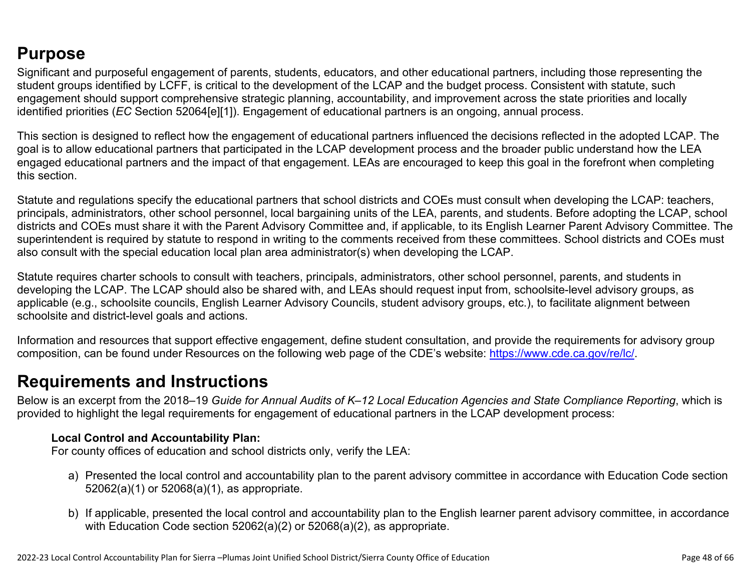## **Purpose**

Significant and purposeful engagement of parents, students, educators, and other educational partners, including those representing the student groups identified by LCFF, is critical to the development of the LCAP and the budget process. Consistent with statute, such engagement should support comprehensive strategic planning, accountability, and improvement across the state priorities and locally identified priorities (*EC* Section 52064[e][1]). Engagement of educational partners is an ongoing, annual process.

This section is designed to reflect how the engagement of educational partners influenced the decisions reflected in the adopted LCAP. The goal is to allow educational partners that participated in the LCAP development process and the broader public understand how the LEA engaged educational partners and the impact of that engagement. LEAs are encouraged to keep this goal in the forefront when completing this section.

Statute and regulations specify the educational partners that school districts and COEs must consult when developing the LCAP: teachers, principals, administrators, other school personnel, local bargaining units of the LEA, parents, and students. Before adopting the LCAP, school districts and COEs must share it with the Parent Advisory Committee and, if applicable, to its English Learner Parent Advisory Committee. The superintendent is required by statute to respond in writing to the comments received from these committees. School districts and COEs must also consult with the special education local plan area administrator(s) when developing the LCAP.

Statute requires charter schools to consult with teachers, principals, administrators, other school personnel, parents, and students in developing the LCAP. The LCAP should also be shared with, and LEAs should request input from, schoolsite-level advisory groups, as applicable (e.g., schoolsite councils, English Learner Advisory Councils, student advisory groups, etc.), to facilitate alignment between schoolsite and district-level goals and actions.

Information and resources that support effective engagement, define student consultation, and provide the requirements for advisory group composition, can be found under Resources on the following web page of the CDE's website: <https://www.cde.ca.gov/re/lc/>.

## **Requirements and Instructions**

Below is an excerpt from the 2018–19 *Guide for Annual Audits of K–12 Local Education Agencies and State Compliance Reporting*, which is provided to highlight the legal requirements for engagement of educational partners in the LCAP development process:

### **Local Control and Accountability Plan:**

For county offices of education and school districts only, verify the LEA:

- a) Presented the local control and accountability plan to the parent advisory committee in accordance with Education Code section 52062(a)(1) or 52068(a)(1), as appropriate.
- b) If applicable, presented the local control and accountability plan to the English learner parent advisory committee, in accordance with Education Code section 52062(a)(2) or 52068(a)(2), as appropriate.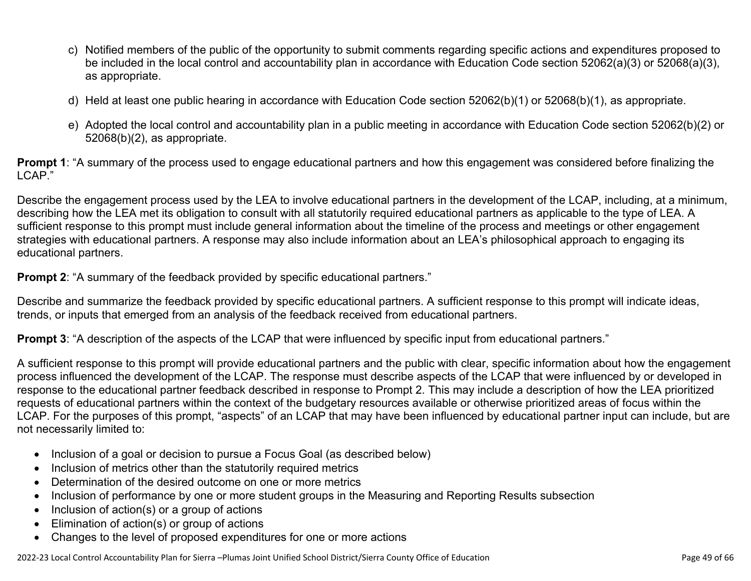- c) Notified members of the public of the opportunity to submit comments regarding specific actions and expenditures proposed to be included in the local control and accountability plan in accordance with Education Code section 52062(a)(3) or 52068(a)(3), as appropriate.
- d) Held at least one public hearing in accordance with Education Code section 52062(b)(1) or 52068(b)(1), as appropriate.
- e) Adopted the local control and accountability plan in a public meeting in accordance with Education Code section 52062(b)(2) or 52068(b)(2), as appropriate.

**Prompt 1**: "A summary of the process used to engage educational partners and how this engagement was considered before finalizing the LCAP."

Describe the engagement process used by the LEA to involve educational partners in the development of the LCAP, including, at a minimum, describing how the LEA met its obligation to consult with all statutorily required educational partners as applicable to the type of LEA. A sufficient response to this prompt must include general information about the timeline of the process and meetings or other engagement strategies with educational partners. A response may also include information about an LEA's philosophical approach to engaging its educational partners.

**Prompt 2:** "A summary of the feedback provided by specific educational partners."

Describe and summarize the feedback provided by specific educational partners. A sufficient response to this prompt will indicate ideas, trends, or inputs that emerged from an analysis of the feedback received from educational partners.

**Prompt 3**: "A description of the aspects of the LCAP that were influenced by specific input from educational partners."

A sufficient response to this prompt will provide educational partners and the public with clear, specific information about how the engagement process influenced the development of the LCAP. The response must describe aspects of the LCAP that were influenced by or developed in response to the educational partner feedback described in response to Prompt 2. This may include a description of how the LEA prioritized requests of educational partners within the context of the budgetary resources available or otherwise prioritized areas of focus within the LCAP. For the purposes of this prompt, "aspects" of an LCAP that may have been influenced by educational partner input can include, but are not necessarily limited to:

- Inclusion of a goal or decision to pursue a Focus Goal (as described below)
- Inclusion of metrics other than the statutorily required metrics
- Determination of the desired outcome on one or more metrics
- Inclusion of performance by one or more student groups in the Measuring and Reporting Results subsection
- Inclusion of action(s) or a group of actions
- Elimination of action(s) or group of actions
- Changes to the level of proposed expenditures for one or more actions

2022-23 Local Control Accountability Plan for Sierra –Plumas Joint Unified School District/Sierra County Office of Education Page 49 of 66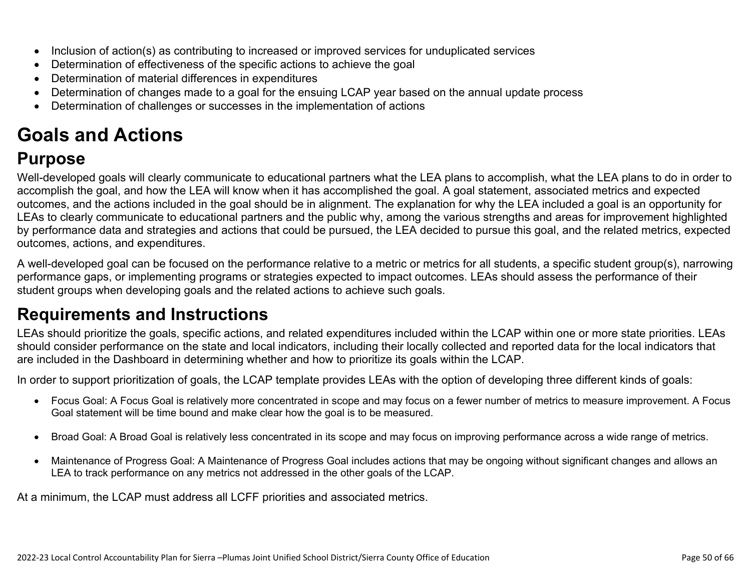- Inclusion of action(s) as contributing to increased or improved services for unduplicated services
- Determination of effectiveness of the specific actions to achieve the goal
- Determination of material differences in expenditures
- Determination of changes made to a goal for the ensuing LCAP year based on the annual update process
- Determination of challenges or successes in the implementation of actions

# **Goals and Actions**

# **Purpose**

Well-developed goals will clearly communicate to educational partners what the LEA plans to accomplish, what the LEA plans to do in order to accomplish the goal, and how the LEA will know when it has accomplished the goal. A goal statement, associated metrics and expected outcomes, and the actions included in the goal should be in alignment. The explanation for why the LEA included a goal is an opportunity for LEAs to clearly communicate to educational partners and the public why, among the various strengths and areas for improvement highlighted by performance data and strategies and actions that could be pursued, the LEA decided to pursue this goal, and the related metrics, expected outcomes, actions, and expenditures.

A well-developed goal can be focused on the performance relative to a metric or metrics for all students, a specific student group(s), narrowing performance gaps, or implementing programs or strategies expected to impact outcomes. LEAs should assess the performance of their student groups when developing goals and the related actions to achieve such goals.

# **Requirements and Instructions**

LEAs should prioritize the goals, specific actions, and related expenditures included within the LCAP within one or more state priorities. LEAs should consider performance on the state and local indicators, including their locally collected and reported data for the local indicators that are included in the Dashboard in determining whether and how to prioritize its goals within the LCAP.

In order to support prioritization of goals, the LCAP template provides LEAs with the option of developing three different kinds of goals:

- Focus Goal: A Focus Goal is relatively more concentrated in scope and may focus on a fewer number of metrics to measure improvement. A Focus Goal statement will be time bound and make clear how the goal is to be measured.
- Broad Goal: A Broad Goal is relatively less concentrated in its scope and may focus on improving performance across a wide range of metrics.
- Maintenance of Progress Goal: A Maintenance of Progress Goal includes actions that may be ongoing without significant changes and allows an LEA to track performance on any metrics not addressed in the other goals of the LCAP.

At a minimum, the LCAP must address all LCFF priorities and associated metrics.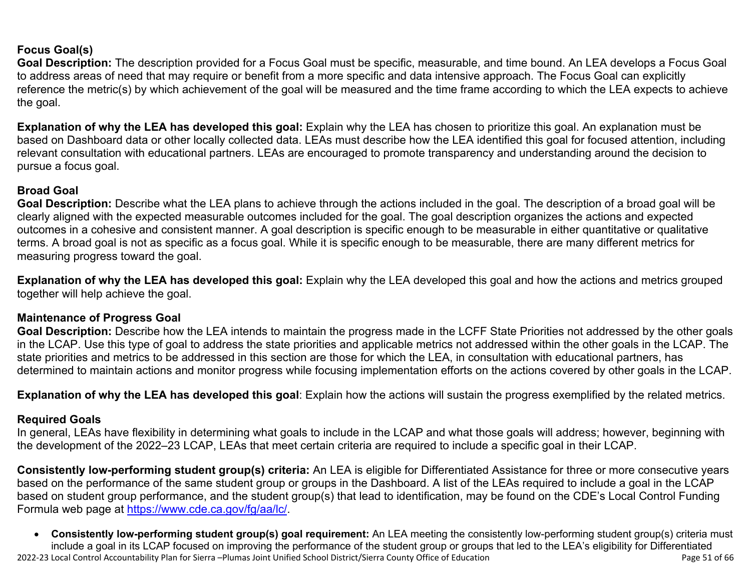### **Focus Goal(s)**

**Goal Description:** The description provided for a Focus Goal must be specific, measurable, and time bound. An LEA develops a Focus Goal to address areas of need that may require or benefit from a more specific and data intensive approach. The Focus Goal can explicitly reference the metric(s) by which achievement of the goal will be measured and the time frame according to which the LEA expects to achieve the goal.

**Explanation of why the LEA has developed this goal:** Explain why the LEA has chosen to prioritize this goal. An explanation must be based on Dashboard data or other locally collected data. LEAs must describe how the LEA identified this goal for focused attention, including relevant consultation with educational partners. LEAs are encouraged to promote transparency and understanding around the decision to pursue a focus goal.

### **Broad Goal**

Goal Description: Describe what the LEA plans to achieve through the actions included in the goal. The description of a broad goal will be clearly aligned with the expected measurable outcomes included for the goal. The goal description organizes the actions and expected outcomes in a cohesive and consistent manner. A goal description is specific enough to be measurable in either quantitative or qualitative terms. A broad goal is not as specific as a focus goal. While it is specific enough to be measurable, there are many different metrics for measuring progress toward the goal.

**Explanation of why the LEA has developed this goal:** Explain why the LEA developed this goal and how the actions and metrics grouped together will help achieve the goal.

#### **Maintenance of Progress Goal**

**Goal Description:** Describe how the LEA intends to maintain the progress made in the LCFF State Priorities not addressed by the other goals in the LCAP. Use this type of goal to address the state priorities and applicable metrics not addressed within the other goals in the LCAP. The state priorities and metrics to be addressed in this section are those for which the LEA, in consultation with educational partners, has determined to maintain actions and monitor progress while focusing implementation efforts on the actions covered by other goals in the LCAP.

**Explanation of why the LEA has developed this goal**: Explain how the actions will sustain the progress exemplified by the related metrics.

#### **Required Goals**

In general, LEAs have flexibility in determining what goals to include in the LCAP and what those goals will address; however, beginning with the development of the 2022–23 LCAP, LEAs that meet certain criteria are required to include a specific goal in their LCAP.

**Consistently low-performing student group(s) criteria:** An LEA is eligible for Differentiated Assistance for three or more consecutive years based on the performance of the same student group or groups in the Dashboard. A list of the LEAs required to include a goal in the LCAP based on student group performance, and the student group(s) that lead to identification, may be found on the CDE's Local Control Funding Formula web page at [https://www.cde.ca.gov/fg/aa/lc/.](https://www.cde.ca.gov/fg/aa/lc/)

2022-23 Local Control Accountability Plan for Sierra –Plumas Joint Unified School District/Sierra County Office of Education Page 51 of 66 • **Consistently low-performing student group(s) goal requirement:** An LEA meeting the consistently low-performing student group(s) criteria must include a goal in its LCAP focused on improving the performance of the student group or groups that led to the LEA's eligibility for Differentiated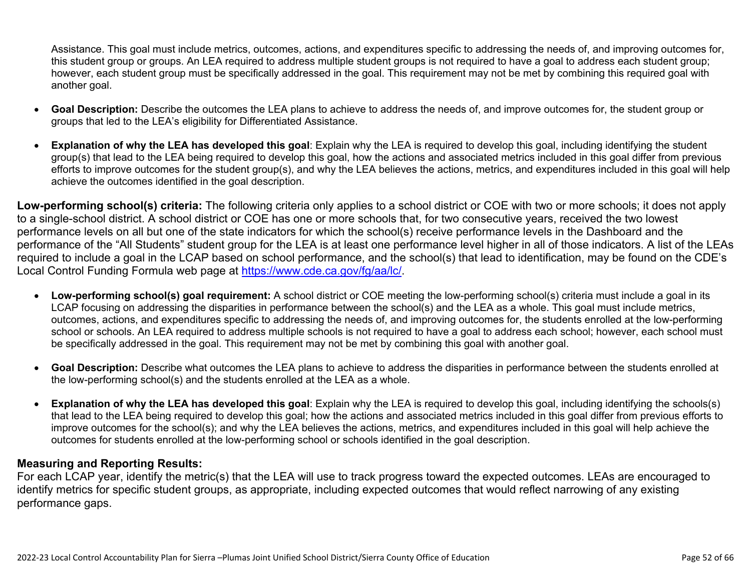Assistance. This goal must include metrics, outcomes, actions, and expenditures specific to addressing the needs of, and improving outcomes for, this student group or groups. An LEA required to address multiple student groups is not required to have a goal to address each student group; however, each student group must be specifically addressed in the goal. This requirement may not be met by combining this required goal with another goal.

- **Goal Description:** Describe the outcomes the LEA plans to achieve to address the needs of, and improve outcomes for, the student group or groups that led to the LEA's eligibility for Differentiated Assistance.
- **Explanation of why the LEA has developed this goal**: Explain why the LEA is required to develop this goal, including identifying the student group(s) that lead to the LEA being required to develop this goal, how the actions and associated metrics included in this goal differ from previous efforts to improve outcomes for the student group(s), and why the LEA believes the actions, metrics, and expenditures included in this goal will help achieve the outcomes identified in the goal description.

**Low-performing school(s) criteria:** The following criteria only applies to a school district or COE with two or more schools; it does not apply to a single-school district. A school district or COE has one or more schools that, for two consecutive years, received the two lowest performance levels on all but one of the state indicators for which the school(s) receive performance levels in the Dashboard and the performance of the "All Students" student group for the LEA is at least one performance level higher in all of those indicators. A list of the LEAs required to include a goal in the LCAP based on school performance, and the school(s) that lead to identification, may be found on the CDE's Local Control Funding Formula web page at [https://www.cde.ca.gov/fg/aa/lc/.](https://www.cde.ca.gov/fg/aa/lc/)

- **Low-performing school(s) goal requirement:** A school district or COE meeting the low-performing school(s) criteria must include a goal in its LCAP focusing on addressing the disparities in performance between the school(s) and the LEA as a whole. This goal must include metrics, outcomes, actions, and expenditures specific to addressing the needs of, and improving outcomes for, the students enrolled at the low-performing school or schools. An LEA required to address multiple schools is not required to have a goal to address each school; however, each school must be specifically addressed in the goal. This requirement may not be met by combining this goal with another goal.
- **Goal Description:** Describe what outcomes the LEA plans to achieve to address the disparities in performance between the students enrolled at the low-performing school(s) and the students enrolled at the LEA as a whole.
- **Explanation of why the LEA has developed this goal**: Explain why the LEA is required to develop this goal, including identifying the schools(s) that lead to the LEA being required to develop this goal; how the actions and associated metrics included in this goal differ from previous efforts to improve outcomes for the school(s); and why the LEA believes the actions, metrics, and expenditures included in this goal will help achieve the outcomes for students enrolled at the low-performing school or schools identified in the goal description.

### **Measuring and Reporting Results:**

For each LCAP year, identify the metric(s) that the LEA will use to track progress toward the expected outcomes. LEAs are encouraged to identify metrics for specific student groups, as appropriate, including expected outcomes that would reflect narrowing of any existing performance gaps.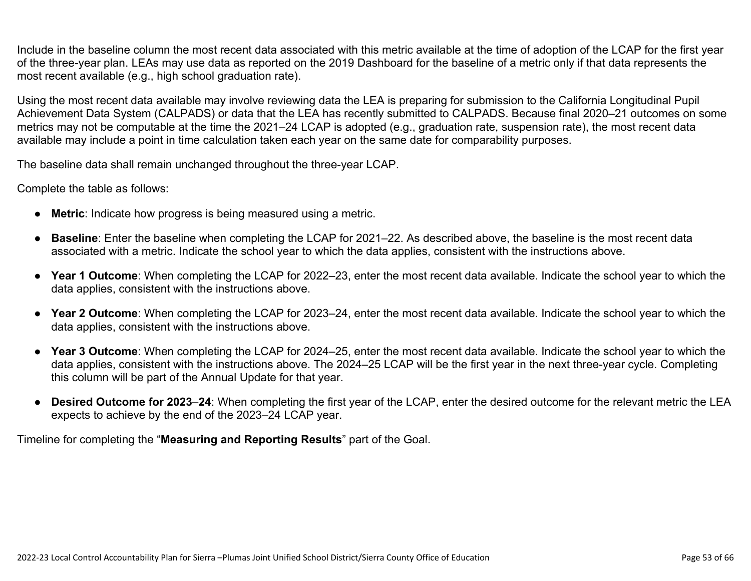Include in the baseline column the most recent data associated with this metric available at the time of adoption of the LCAP for the first year of the three-year plan. LEAs may use data as reported on the 2019 Dashboard for the baseline of a metric only if that data represents the most recent available (e.g., high school graduation rate).

Using the most recent data available may involve reviewing data the LEA is preparing for submission to the California Longitudinal Pupil Achievement Data System (CALPADS) or data that the LEA has recently submitted to CALPADS. Because final 2020–21 outcomes on some metrics may not be computable at the time the 2021–24 LCAP is adopted (e.g., graduation rate, suspension rate), the most recent data available may include a point in time calculation taken each year on the same date for comparability purposes.

The baseline data shall remain unchanged throughout the three-year LCAP.

Complete the table as follows:

- **Metric**: Indicate how progress is being measured using a metric.
- **Baseline**: Enter the baseline when completing the LCAP for 2021–22. As described above, the baseline is the most recent data associated with a metric. Indicate the school year to which the data applies, consistent with the instructions above.
- **Year 1 Outcome**: When completing the LCAP for 2022–23, enter the most recent data available. Indicate the school year to which the data applies, consistent with the instructions above.
- **Year 2 Outcome**: When completing the LCAP for 2023–24, enter the most recent data available. Indicate the school year to which the data applies, consistent with the instructions above.
- **Year 3 Outcome**: When completing the LCAP for 2024–25, enter the most recent data available. Indicate the school year to which the data applies, consistent with the instructions above. The 2024–25 LCAP will be the first year in the next three-year cycle. Completing this column will be part of the Annual Update for that year.
- **Desired Outcome for 2023**–**24**: When completing the first year of the LCAP, enter the desired outcome for the relevant metric the LEA expects to achieve by the end of the 2023–24 LCAP year.

Timeline for completing the "**Measuring and Reporting Results**" part of the Goal.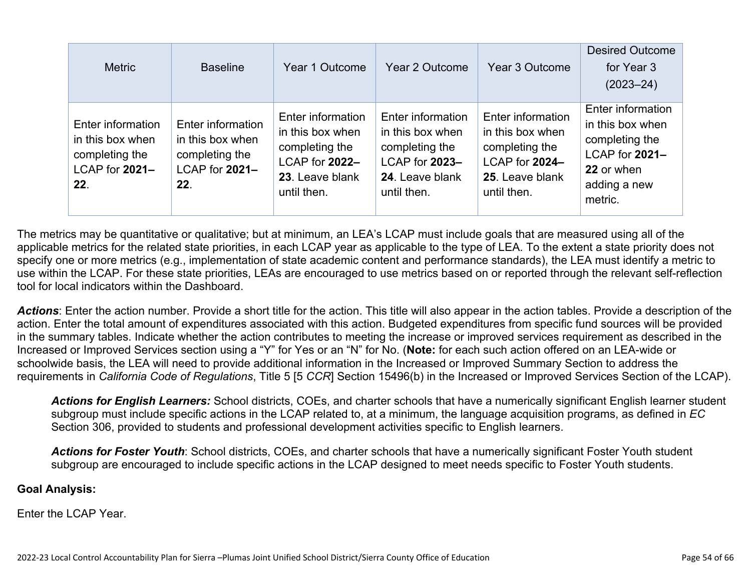| <b>Metric</b>                                                                    | <b>Baseline</b>                                                                  | Year 1 Outcome                                                                                              | Year 2 Outcome                                                                                              | Year 3 Outcome                                                                                              | <b>Desired Outcome</b><br>for Year 3<br>$(2023 - 24)$                                                              |
|----------------------------------------------------------------------------------|----------------------------------------------------------------------------------|-------------------------------------------------------------------------------------------------------------|-------------------------------------------------------------------------------------------------------------|-------------------------------------------------------------------------------------------------------------|--------------------------------------------------------------------------------------------------------------------|
| Enter information<br>in this box when<br>completing the<br>LCAP for 2021-<br>22. | Enter information<br>in this box when<br>completing the<br>LCAP for 2021-<br>22. | Enter information<br>in this box when<br>completing the<br>LCAP for 2022-<br>23. Leave blank<br>until then. | Enter information<br>in this box when<br>completing the<br>LCAP for 2023-<br>24. Leave blank<br>until then. | Enter information<br>in this box when<br>completing the<br>LCAP for 2024-<br>25. Leave blank<br>until then. | Enter information<br>in this box when<br>completing the<br>LCAP for 2021-<br>22 or when<br>adding a new<br>metric. |

The metrics may be quantitative or qualitative; but at minimum, an LEA's LCAP must include goals that are measured using all of the applicable metrics for the related state priorities, in each LCAP year as applicable to the type of LEA. To the extent a state priority does not specify one or more metrics (e.g., implementation of state academic content and performance standards), the LEA must identify a metric to use within the LCAP. For these state priorities, LEAs are encouraged to use metrics based on or reported through the relevant self-reflection tool for local indicators within the Dashboard.

*Actions*: Enter the action number. Provide a short title for the action. This title will also appear in the action tables. Provide a description of the action. Enter the total amount of expenditures associated with this action. Budgeted expenditures from specific fund sources will be provided in the summary tables. Indicate whether the action contributes to meeting the increase or improved services requirement as described in the Increased or Improved Services section using a "Y" for Yes or an "N" for No. (**Note:** for each such action offered on an LEA-wide or schoolwide basis, the LEA will need to provide additional information in the Increased or Improved Summary Section to address the requirements in *California Code of Regulations*, Title 5 [5 *CCR*] Section 15496(b) in the Increased or Improved Services Section of the LCAP).

*Actions for English Learners:* School districts, COEs, and charter schools that have a numerically significant English learner student subgroup must include specific actions in the LCAP related to, at a minimum, the language acquisition programs, as defined in *EC* Section 306, provided to students and professional development activities specific to English learners.

*Actions for Foster Youth*: School districts, COEs, and charter schools that have a numerically significant Foster Youth student subgroup are encouraged to include specific actions in the LCAP designed to meet needs specific to Foster Youth students.

#### **Goal Analysis:**

Enter the LCAP Year.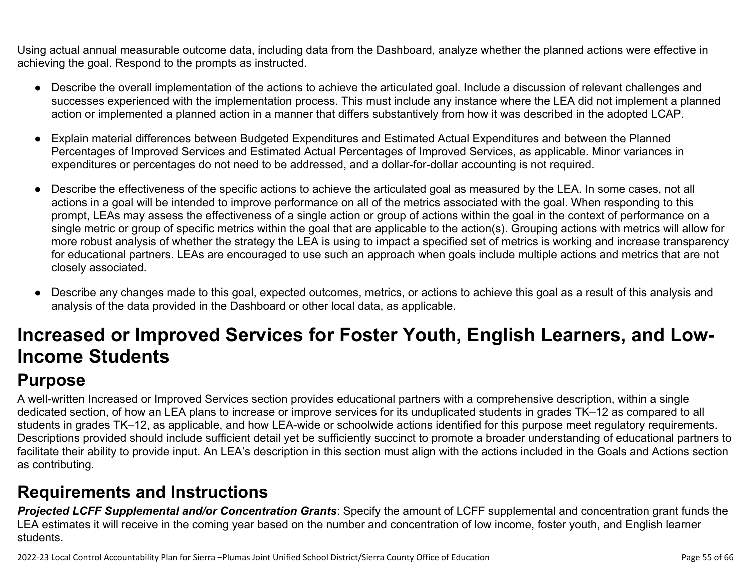Using actual annual measurable outcome data, including data from the Dashboard, analyze whether the planned actions were effective in achieving the goal. Respond to the prompts as instructed.

- Describe the overall implementation of the actions to achieve the articulated goal. Include a discussion of relevant challenges and successes experienced with the implementation process. This must include any instance where the LEA did not implement a planned action or implemented a planned action in a manner that differs substantively from how it was described in the adopted LCAP.
- Explain material differences between Budgeted Expenditures and Estimated Actual Expenditures and between the Planned Percentages of Improved Services and Estimated Actual Percentages of Improved Services, as applicable. Minor variances in expenditures or percentages do not need to be addressed, and a dollar-for-dollar accounting is not required.
- Describe the effectiveness of the specific actions to achieve the articulated goal as measured by the LEA. In some cases, not all actions in a goal will be intended to improve performance on all of the metrics associated with the goal. When responding to this prompt, LEAs may assess the effectiveness of a single action or group of actions within the goal in the context of performance on a single metric or group of specific metrics within the goal that are applicable to the action(s). Grouping actions with metrics will allow for more robust analysis of whether the strategy the LEA is using to impact a specified set of metrics is working and increase transparency for educational partners. LEAs are encouraged to use such an approach when goals include multiple actions and metrics that are not closely associated.
- Describe any changes made to this goal, expected outcomes, metrics, or actions to achieve this goal as a result of this analysis and analysis of the data provided in the Dashboard or other local data, as applicable.

# **Increased or Improved Services for Foster Youth, English Learners, and Low-Income Students**

# **Purpose**

A well-written Increased or Improved Services section provides educational partners with a comprehensive description, within a single dedicated section, of how an LEA plans to increase or improve services for its unduplicated students in grades TK–12 as compared to all students in grades TK–12, as applicable, and how LEA-wide or schoolwide actions identified for this purpose meet regulatory requirements. Descriptions provided should include sufficient detail yet be sufficiently succinct to promote a broader understanding of educational partners to facilitate their ability to provide input. An LEA's description in this section must align with the actions included in the Goals and Actions section as contributing.

# **Requirements and Instructions**

*Projected LCFF Supplemental and/or Concentration Grants*: Specify the amount of LCFF supplemental and concentration grant funds the LEA estimates it will receive in the coming year based on the number and concentration of low income, foster youth, and English learner students.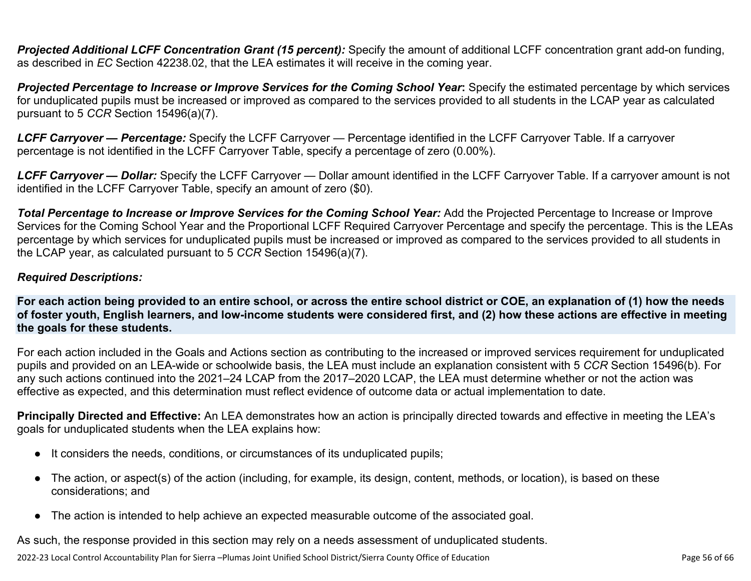**Projected Additional LCFF Concentration Grant (15 percent):** Specify the amount of additional LCFF concentration grant add-on funding, as described in *EC* Section 42238.02, that the LEA estimates it will receive in the coming year.

*Projected Percentage to Increase or Improve Services for the Coming School Year***:** Specify the estimated percentage by which services for unduplicated pupils must be increased or improved as compared to the services provided to all students in the LCAP year as calculated pursuant to 5 *CCR* Section 15496(a)(7).

*LCFF Carryover — Percentage:* Specify the LCFF Carryover — Percentage identified in the LCFF Carryover Table. If a carryover percentage is not identified in the LCFF Carryover Table, specify a percentage of zero (0.00%).

*LCFF Carryover — Dollar:* Specify the LCFF Carryover — Dollar amount identified in the LCFF Carryover Table. If a carryover amount is not identified in the LCFF Carryover Table, specify an amount of zero (\$0).

**Total Percentage to Increase or Improve Services for the Coming School Year:** Add the Projected Percentage to Increase or Improve Services for the Coming School Year and the Proportional LCFF Required Carryover Percentage and specify the percentage. This is the LEAs percentage by which services for unduplicated pupils must be increased or improved as compared to the services provided to all students in the LCAP year, as calculated pursuant to 5 *CCR* Section 15496(a)(7).

### *Required Descriptions:*

**For each action being provided to an entire school, or across the entire school district or COE, an explanation of (1) how the needs of foster youth, English learners, and low-income students were considered first, and (2) how these actions are effective in meeting the goals for these students.**

For each action included in the Goals and Actions section as contributing to the increased or improved services requirement for unduplicated pupils and provided on an LEA-wide or schoolwide basis, the LEA must include an explanation consistent with 5 *CCR* Section 15496(b). For any such actions continued into the 2021–24 LCAP from the 2017–2020 LCAP, the LEA must determine whether or not the action was effective as expected, and this determination must reflect evidence of outcome data or actual implementation to date.

**Principally Directed and Effective:** An LEA demonstrates how an action is principally directed towards and effective in meeting the LEA's goals for unduplicated students when the LEA explains how:

- It considers the needs, conditions, or circumstances of its unduplicated pupils;
- The action, or aspect(s) of the action (including, for example, its design, content, methods, or location), is based on these considerations; and
- The action is intended to help achieve an expected measurable outcome of the associated goal.

As such, the response provided in this section may rely on a needs assessment of unduplicated students.

2022-23 Local Control Accountability Plan for Sierra –Plumas Joint Unified School District/Sierra County Office of Education Page 56 of 66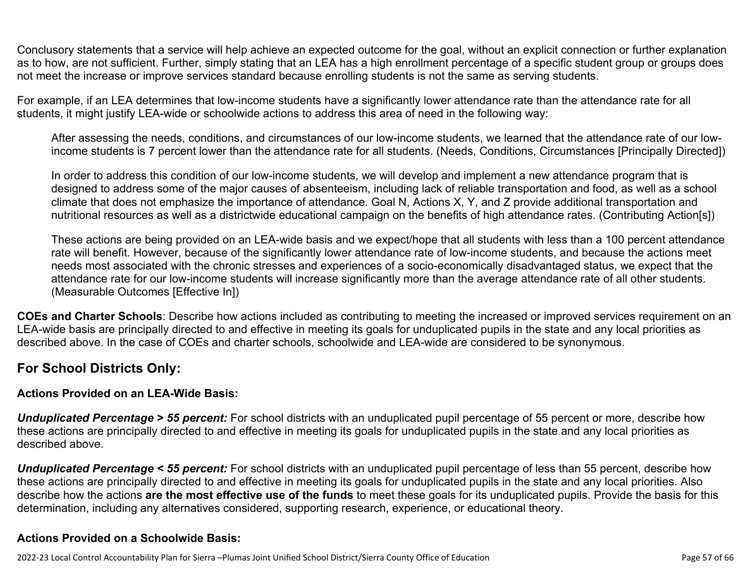Conclusory statements that a service will help achieve an expected outcome for the goal, without an explicit connection or further explanation as to how, are not sufficient. Further, simply stating that an LEA has a high enrollment percentage of a specific student group or groups does not meet the increase or improve services standard because enrolling students is not the same as serving students.

For example, if an LEA determines that low-income students have a significantly lower attendance rate than the attendance rate for all students, it might justify LEA-wide or schoolwide actions to address this area of need in the following way:

After assessing the needs, conditions, and circumstances of our low-income students, we learned that the attendance rate of our lowincome students is 7 percent lower than the attendance rate for all students. (Needs, Conditions, Circumstances [Principally Directed])

In order to address this condition of our low-income students, we will develop and implement a new attendance program that is designed to address some of the major causes of absenteeism, including lack of reliable transportation and food, as well as a school climate that does not emphasize the importance of attendance. Goal N, Actions X, Y, and Z provide additional transportation and nutritional resources as well as a districtwide educational campaign on the benefits of high attendance rates. (Contributing Action[s])

These actions are being provided on an LEA-wide basis and we expect/hope that all students with less than a 100 percent attendance rate will benefit. However, because of the significantly lower attendance rate of low-income students, and because the actions meet needs most associated with the chronic stresses and experiences of a socio-economically disadvantaged status, we expect that the attendance rate for our low-income students will increase significantly more than the average attendance rate of all other students. (Measurable Outcomes [Effective In])

**COEs and Charter Schools**: Describe how actions included as contributing to meeting the increased or improved services requirement on an LEA-wide basis are principally directed to and effective in meeting its goals for unduplicated pupils in the state and any local priorities as described above. In the case of COEs and charter schools, schoolwide and LEA-wide are considered to be synonymous.

### **For School Districts Only:**

### **Actions Provided on an LEA-Wide Basis:**

*Unduplicated Percentage > 55 percent:* For school districts with an unduplicated pupil percentage of 55 percent or more, describe how these actions are principally directed to and effective in meeting its goals for unduplicated pupils in the state and any local priorities as described above.

*Unduplicated Percentage < 55 percent:* For school districts with an unduplicated pupil percentage of less than 55 percent, describe how these actions are principally directed to and effective in meeting its goals for unduplicated pupils in the state and any local priorities. Also describe how the actions **are the most effective use of the funds** to meet these goals for its unduplicated pupils. Provide the basis for this determination, including any alternatives considered, supporting research, experience, or educational theory.

### **Actions Provided on a Schoolwide Basis:**

2022-23 Local Control Accountability Plan for Sierra –Plumas Joint Unified School District/Sierra County Office of Education Page 57 of 66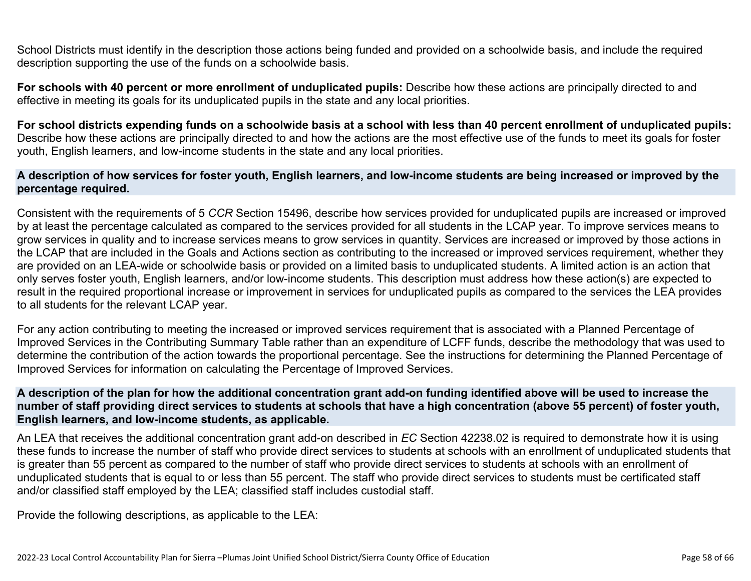School Districts must identify in the description those actions being funded and provided on a schoolwide basis, and include the required description supporting the use of the funds on a schoolwide basis.

**For schools with 40 percent or more enrollment of unduplicated pupils:** Describe how these actions are principally directed to and effective in meeting its goals for its unduplicated pupils in the state and any local priorities.

**For school districts expending funds on a schoolwide basis at a school with less than 40 percent enrollment of unduplicated pupils:** Describe how these actions are principally directed to and how the actions are the most effective use of the funds to meet its goals for foster youth, English learners, and low-income students in the state and any local priorities.

#### **A description of how services for foster youth, English learners, and low-income students are being increased or improved by the percentage required.**

Consistent with the requirements of 5 *CCR* Section 15496, describe how services provided for unduplicated pupils are increased or improved by at least the percentage calculated as compared to the services provided for all students in the LCAP year. To improve services means to grow services in quality and to increase services means to grow services in quantity. Services are increased or improved by those actions in the LCAP that are included in the Goals and Actions section as contributing to the increased or improved services requirement, whether they are provided on an LEA-wide or schoolwide basis or provided on a limited basis to unduplicated students. A limited action is an action that only serves foster youth, English learners, and/or low-income students. This description must address how these action(s) are expected to result in the required proportional increase or improvement in services for unduplicated pupils as compared to the services the LEA provides to all students for the relevant LCAP year.

For any action contributing to meeting the increased or improved services requirement that is associated with a Planned Percentage of Improved Services in the Contributing Summary Table rather than an expenditure of LCFF funds, describe the methodology that was used to determine the contribution of the action towards the proportional percentage. See the instructions for determining the Planned Percentage of Improved Services for information on calculating the Percentage of Improved Services.

#### **A description of the plan for how the additional concentration grant add-on funding identified above will be used to increase the number of staff providing direct services to students at schools that have a high concentration (above 55 percent) of foster youth, English learners, and low-income students, as applicable.**

An LEA that receives the additional concentration grant add-on described in *EC* Section 42238.02 is required to demonstrate how it is using these funds to increase the number of staff who provide direct services to students at schools with an enrollment of unduplicated students that is greater than 55 percent as compared to the number of staff who provide direct services to students at schools with an enrollment of unduplicated students that is equal to or less than 55 percent. The staff who provide direct services to students must be certificated staff and/or classified staff employed by the LEA; classified staff includes custodial staff.

Provide the following descriptions, as applicable to the LEA: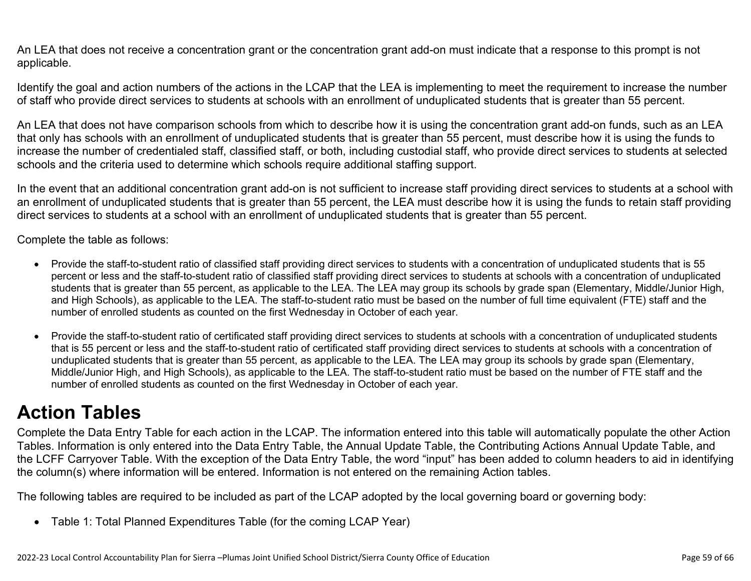An LEA that does not receive a concentration grant or the concentration grant add-on must indicate that a response to this prompt is not applicable.

Identify the goal and action numbers of the actions in the LCAP that the LEA is implementing to meet the requirement to increase the number of staff who provide direct services to students at schools with an enrollment of unduplicated students that is greater than 55 percent.

An LEA that does not have comparison schools from which to describe how it is using the concentration grant add-on funds, such as an LEA that only has schools with an enrollment of unduplicated students that is greater than 55 percent, must describe how it is using the funds to increase the number of credentialed staff, classified staff, or both, including custodial staff, who provide direct services to students at selected schools and the criteria used to determine which schools require additional staffing support.

In the event that an additional concentration grant add-on is not sufficient to increase staff providing direct services to students at a school with an enrollment of unduplicated students that is greater than 55 percent, the LEA must describe how it is using the funds to retain staff providing direct services to students at a school with an enrollment of unduplicated students that is greater than 55 percent.

Complete the table as follows:

- Provide the staff-to-student ratio of classified staff providing direct services to students with a concentration of unduplicated students that is 55 percent or less and the staff-to-student ratio of classified staff providing direct services to students at schools with a concentration of unduplicated students that is greater than 55 percent, as applicable to the LEA. The LEA may group its schools by grade span (Elementary, Middle/Junior High, and High Schools), as applicable to the LEA. The staff-to-student ratio must be based on the number of full time equivalent (FTE) staff and the number of enrolled students as counted on the first Wednesday in October of each year.
- Provide the staff-to-student ratio of certificated staff providing direct services to students at schools with a concentration of unduplicated students that is 55 percent or less and the staff-to-student ratio of certificated staff providing direct services to students at schools with a concentration of unduplicated students that is greater than 55 percent, as applicable to the LEA. The LEA may group its schools by grade span (Elementary, Middle/Junior High, and High Schools), as applicable to the LEA. The staff-to-student ratio must be based on the number of FTE staff and the number of enrolled students as counted on the first Wednesday in October of each year.

# **Action Tables**

Complete the Data Entry Table for each action in the LCAP. The information entered into this table will automatically populate the other Action Tables. Information is only entered into the Data Entry Table, the Annual Update Table, the Contributing Actions Annual Update Table, and the LCFF Carryover Table. With the exception of the Data Entry Table, the word "input" has been added to column headers to aid in identifying the column(s) where information will be entered. Information is not entered on the remaining Action tables.

The following tables are required to be included as part of the LCAP adopted by the local governing board or governing body:

• Table 1: Total Planned Expenditures Table (for the coming LCAP Year)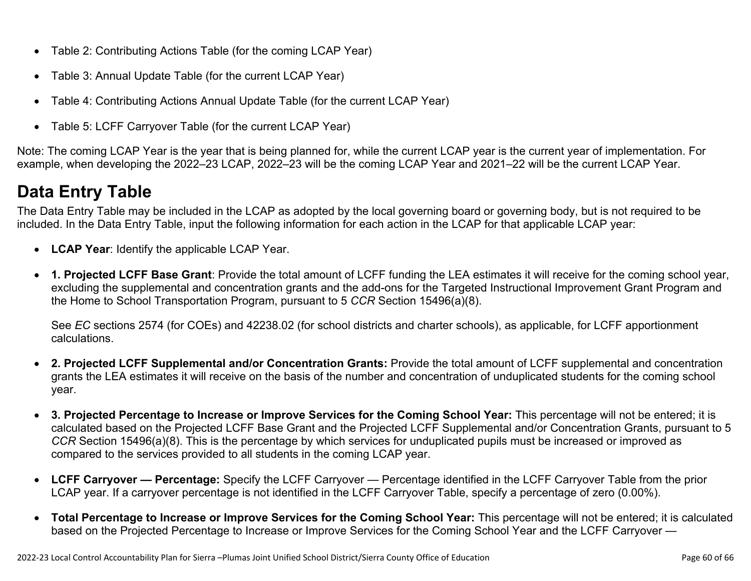- Table 2: Contributing Actions Table (for the coming LCAP Year)
- Table 3: Annual Update Table (for the current LCAP Year)
- Table 4: Contributing Actions Annual Update Table (for the current LCAP Year)
- Table 5: LCFF Carryover Table (for the current LCAP Year)

Note: The coming LCAP Year is the year that is being planned for, while the current LCAP year is the current year of implementation. For example, when developing the 2022–23 LCAP, 2022–23 will be the coming LCAP Year and 2021–22 will be the current LCAP Year.

# **Data Entry Table**

The Data Entry Table may be included in the LCAP as adopted by the local governing board or governing body, but is not required to be included. In the Data Entry Table, input the following information for each action in the LCAP for that applicable LCAP year:

- **LCAP Year**: Identify the applicable LCAP Year.
- **1. Projected LCFF Base Grant**: Provide the total amount of LCFF funding the LEA estimates it will receive for the coming school year, excluding the supplemental and concentration grants and the add-ons for the Targeted Instructional Improvement Grant Program and the Home to School Transportation Program, pursuant to 5 *CCR* Section 15496(a)(8).

See *EC* sections 2574 (for COEs) and 42238.02 (for school districts and charter schools), as applicable, for LCFF apportionment calculations.

- **2. Projected LCFF Supplemental and/or Concentration Grants:** Provide the total amount of LCFF supplemental and concentration grants the LEA estimates it will receive on the basis of the number and concentration of unduplicated students for the coming school year.
- **3. Projected Percentage to Increase or Improve Services for the Coming School Year:** This percentage will not be entered; it is calculated based on the Projected LCFF Base Grant and the Projected LCFF Supplemental and/or Concentration Grants, pursuant to 5 *CCR* Section 15496(a)(8). This is the percentage by which services for unduplicated pupils must be increased or improved as compared to the services provided to all students in the coming LCAP year.
- **LCFF Carryover Percentage:** Specify the LCFF Carryover Percentage identified in the LCFF Carryover Table from the prior LCAP year. If a carryover percentage is not identified in the LCFF Carryover Table, specify a percentage of zero (0.00%).
- **Total Percentage to Increase or Improve Services for the Coming School Year:** This percentage will not be entered; it is calculated based on the Projected Percentage to Increase or Improve Services for the Coming School Year and the LCFF Carryover —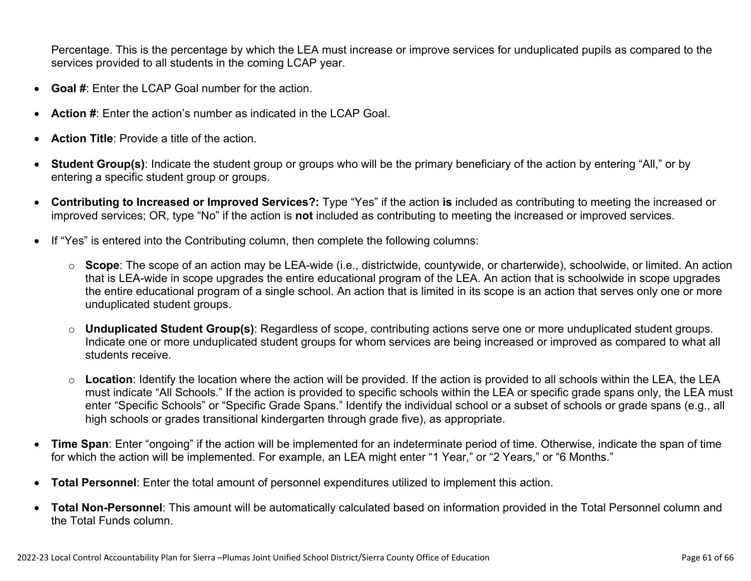Percentage. This is the percentage by which the LEA must increase or improve services for unduplicated pupils as compared to the services provided to all students in the coming LCAP year.

- **Goal #**: Enter the LCAP Goal number for the action.
- **Action #**: Enter the action's number as indicated in the LCAP Goal.
- **Action Title**: Provide a title of the action.
- **Student Group(s)**: Indicate the student group or groups who will be the primary beneficiary of the action by entering "All," or by entering a specific student group or groups.
- **Contributing to Increased or Improved Services?:** Type "Yes" if the action **is** included as contributing to meeting the increased or improved services; OR, type "No" if the action is **not** included as contributing to meeting the increased or improved services.
- If "Yes" is entered into the Contributing column, then complete the following columns:
	- o **Scope**: The scope of an action may be LEA-wide (i.e., districtwide, countywide, or charterwide), schoolwide, or limited. An action that is LEA-wide in scope upgrades the entire educational program of the LEA. An action that is schoolwide in scope upgrades the entire educational program of a single school. An action that is limited in its scope is an action that serves only one or more unduplicated student groups.
	- o **Unduplicated Student Group(s)**: Regardless of scope, contributing actions serve one or more unduplicated student groups. Indicate one or more unduplicated student groups for whom services are being increased or improved as compared to what all students receive.
	- o **Location**: Identify the location where the action will be provided. If the action is provided to all schools within the LEA, the LEA must indicate "All Schools." If the action is provided to specific schools within the LEA or specific grade spans only, the LEA must enter "Specific Schools" or "Specific Grade Spans." Identify the individual school or a subset of schools or grade spans (e.g., all high schools or grades transitional kindergarten through grade five), as appropriate.
- **Time Span**: Enter "ongoing" if the action will be implemented for an indeterminate period of time. Otherwise, indicate the span of time for which the action will be implemented. For example, an LEA might enter "1 Year," or "2 Years," or "6 Months."
- **Total Personnel**: Enter the total amount of personnel expenditures utilized to implement this action.
- **Total Non-Personnel**: This amount will be automatically calculated based on information provided in the Total Personnel column and the Total Funds column.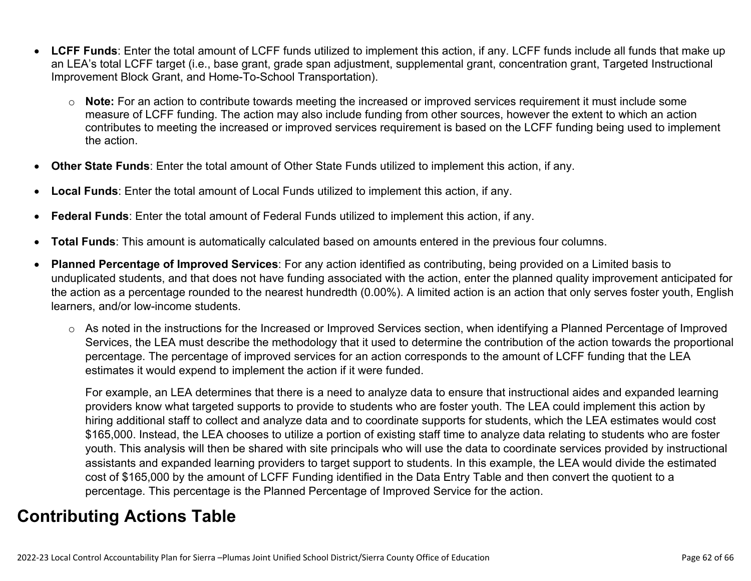- **LCFF Funds**: Enter the total amount of LCFF funds utilized to implement this action, if any. LCFF funds include all funds that make up an LEA's total LCFF target (i.e., base grant, grade span adjustment, supplemental grant, concentration grant, Targeted Instructional Improvement Block Grant, and Home-To-School Transportation).
	- o **Note:** For an action to contribute towards meeting the increased or improved services requirement it must include some measure of LCFF funding. The action may also include funding from other sources, however the extent to which an action contributes to meeting the increased or improved services requirement is based on the LCFF funding being used to implement the action.
- **Other State Funds**: Enter the total amount of Other State Funds utilized to implement this action, if any.
- **Local Funds**: Enter the total amount of Local Funds utilized to implement this action, if any.
- **Federal Funds**: Enter the total amount of Federal Funds utilized to implement this action, if any.
- **Total Funds**: This amount is automatically calculated based on amounts entered in the previous four columns.
- **Planned Percentage of Improved Services**: For any action identified as contributing, being provided on a Limited basis to unduplicated students, and that does not have funding associated with the action, enter the planned quality improvement anticipated for the action as a percentage rounded to the nearest hundredth (0.00%). A limited action is an action that only serves foster youth, English learners, and/or low-income students.
	- o As noted in the instructions for the Increased or Improved Services section, when identifying a Planned Percentage of Improved Services, the LEA must describe the methodology that it used to determine the contribution of the action towards the proportional percentage. The percentage of improved services for an action corresponds to the amount of LCFF funding that the LEA estimates it would expend to implement the action if it were funded.

For example, an LEA determines that there is a need to analyze data to ensure that instructional aides and expanded learning providers know what targeted supports to provide to students who are foster youth. The LEA could implement this action by hiring additional staff to collect and analyze data and to coordinate supports for students, which the LEA estimates would cost \$165,000. Instead, the LEA chooses to utilize a portion of existing staff time to analyze data relating to students who are foster youth. This analysis will then be shared with site principals who will use the data to coordinate services provided by instructional assistants and expanded learning providers to target support to students. In this example, the LEA would divide the estimated cost of \$165,000 by the amount of LCFF Funding identified in the Data Entry Table and then convert the quotient to a percentage. This percentage is the Planned Percentage of Improved Service for the action.

# **Contributing Actions Table**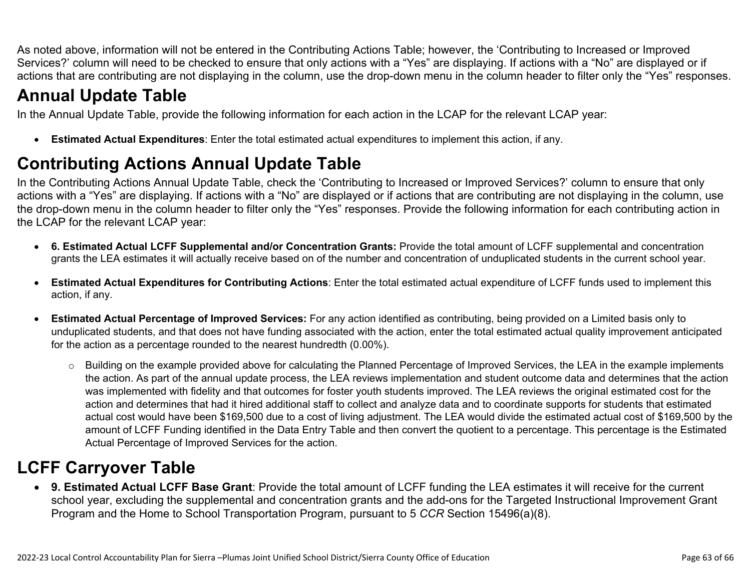As noted above, information will not be entered in the Contributing Actions Table; however, the 'Contributing to Increased or Improved Services?' column will need to be checked to ensure that only actions with a "Yes" are displaying. If actions with a "No" are displayed or if actions that are contributing are not displaying in the column, use the drop-down menu in the column header to filter only the "Yes" responses.

# **Annual Update Table**

In the Annual Update Table, provide the following information for each action in the LCAP for the relevant LCAP year:

• **Estimated Actual Expenditures**: Enter the total estimated actual expenditures to implement this action, if any.

# **Contributing Actions Annual Update Table**

In the Contributing Actions Annual Update Table, check the 'Contributing to Increased or Improved Services?' column to ensure that only actions with a "Yes" are displaying. If actions with a "No" are displayed or if actions that are contributing are not displaying in the column, use the drop-down menu in the column header to filter only the "Yes" responses. Provide the following information for each contributing action in the LCAP for the relevant LCAP year:

- **6. Estimated Actual LCFF Supplemental and/or Concentration Grants:** Provide the total amount of LCFF supplemental and concentration grants the LEA estimates it will actually receive based on of the number and concentration of unduplicated students in the current school year.
- **Estimated Actual Expenditures for Contributing Actions**: Enter the total estimated actual expenditure of LCFF funds used to implement this action, if any.
- **Estimated Actual Percentage of Improved Services:** For any action identified as contributing, being provided on a Limited basis only to unduplicated students, and that does not have funding associated with the action, enter the total estimated actual quality improvement anticipated for the action as a percentage rounded to the nearest hundredth (0.00%).
	- o Building on the example provided above for calculating the Planned Percentage of Improved Services, the LEA in the example implements the action. As part of the annual update process, the LEA reviews implementation and student outcome data and determines that the action was implemented with fidelity and that outcomes for foster youth students improved. The LEA reviews the original estimated cost for the action and determines that had it hired additional staff to collect and analyze data and to coordinate supports for students that estimated actual cost would have been \$169,500 due to a cost of living adjustment. The LEA would divide the estimated actual cost of \$169,500 by the amount of LCFF Funding identified in the Data Entry Table and then convert the quotient to a percentage. This percentage is the Estimated Actual Percentage of Improved Services for the action.

# **LCFF Carryover Table**

• **9. Estimated Actual LCFF Base Grant**: Provide the total amount of LCFF funding the LEA estimates it will receive for the current school year, excluding the supplemental and concentration grants and the add-ons for the Targeted Instructional Improvement Grant Program and the Home to School Transportation Program, pursuant to 5 *CCR* Section 15496(a)(8).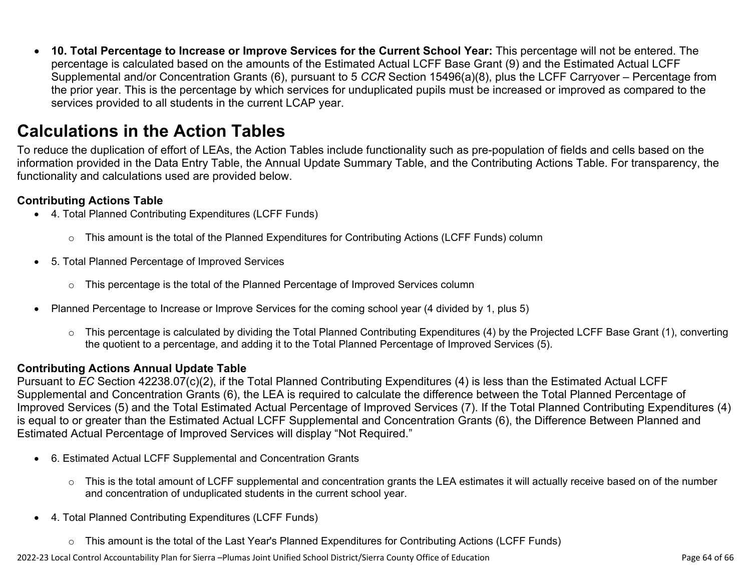• **10. Total Percentage to Increase or Improve Services for the Current School Year:** This percentage will not be entered. The percentage is calculated based on the amounts of the Estimated Actual LCFF Base Grant (9) and the Estimated Actual LCFF Supplemental and/or Concentration Grants (6), pursuant to 5 *CCR* Section 15496(a)(8), plus the LCFF Carryover – Percentage from the prior year. This is the percentage by which services for unduplicated pupils must be increased or improved as compared to the services provided to all students in the current LCAP year.

## **Calculations in the Action Tables**

To reduce the duplication of effort of LEAs, the Action Tables include functionality such as pre-population of fields and cells based on the information provided in the Data Entry Table, the Annual Update Summary Table, and the Contributing Actions Table. For transparency, the functionality and calculations used are provided below.

### **Contributing Actions Table**

- 4. Total Planned Contributing Expenditures (LCFF Funds)
	- $\circ$  This amount is the total of the Planned Expenditures for Contributing Actions (LCFF Funds) column
- 5. Total Planned Percentage of Improved Services
	- $\circ$  This percentage is the total of the Planned Percentage of Improved Services column
- Planned Percentage to Increase or Improve Services for the coming school year (4 divided by 1, plus 5)
	- o This percentage is calculated by dividing the Total Planned Contributing Expenditures (4) by the Projected LCFF Base Grant (1), converting the quotient to a percentage, and adding it to the Total Planned Percentage of Improved Services (5).

### **Contributing Actions Annual Update Table**

Pursuant to *EC* Section 42238.07(c)(2), if the Total Planned Contributing Expenditures (4) is less than the Estimated Actual LCFF Supplemental and Concentration Grants (6), the LEA is required to calculate the difference between the Total Planned Percentage of Improved Services (5) and the Total Estimated Actual Percentage of Improved Services (7). If the Total Planned Contributing Expenditures (4) is equal to or greater than the Estimated Actual LCFF Supplemental and Concentration Grants (6), the Difference Between Planned and Estimated Actual Percentage of Improved Services will display "Not Required."

- 6. Estimated Actual LCFF Supplemental and Concentration Grants
	- o This is the total amount of LCFF supplemental and concentration grants the LEA estimates it will actually receive based on of the number and concentration of unduplicated students in the current school year.
- 4. Total Planned Contributing Expenditures (LCFF Funds)
	- $\circ$  This amount is the total of the Last Year's Planned Expenditures for Contributing Actions (LCFF Funds)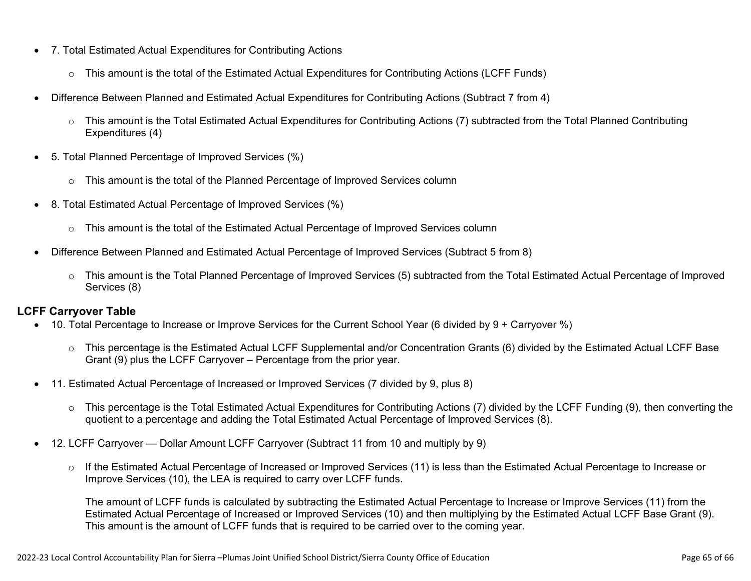- 7. Total Estimated Actual Expenditures for Contributing Actions
	- o This amount is the total of the Estimated Actual Expenditures for Contributing Actions (LCFF Funds)
- Difference Between Planned and Estimated Actual Expenditures for Contributing Actions (Subtract 7 from 4)
	- $\circ$  This amount is the Total Estimated Actual Expenditures for Contributing Actions (7) subtracted from the Total Planned Contributing Expenditures (4)
- 5. Total Planned Percentage of Improved Services (%)
	- o This amount is the total of the Planned Percentage of Improved Services column
- 8. Total Estimated Actual Percentage of Improved Services (%)
	- o This amount is the total of the Estimated Actual Percentage of Improved Services column
- Difference Between Planned and Estimated Actual Percentage of Improved Services (Subtract 5 from 8)
	- o This amount is the Total Planned Percentage of Improved Services (5) subtracted from the Total Estimated Actual Percentage of Improved Services (8)

### **LCFF Carryover Table**

- 10. Total Percentage to Increase or Improve Services for the Current School Year (6 divided by 9 + Carryover %)
	- $\circ$  This percentage is the Estimated Actual LCFF Supplemental and/or Concentration Grants (6) divided by the Estimated Actual LCFF Base Grant (9) plus the LCFF Carryover – Percentage from the prior year.
- 11. Estimated Actual Percentage of Increased or Improved Services (7 divided by 9, plus 8)
	- o This percentage is the Total Estimated Actual Expenditures for Contributing Actions (7) divided by the LCFF Funding (9), then converting the quotient to a percentage and adding the Total Estimated Actual Percentage of Improved Services (8).
- 12. LCFF Carryover Dollar Amount LCFF Carryover (Subtract 11 from 10 and multiply by 9)
	- $\circ$  If the Estimated Actual Percentage of Increased or Improved Services (11) is less than the Estimated Actual Percentage to Increase or Improve Services (10), the LEA is required to carry over LCFF funds.

The amount of LCFF funds is calculated by subtracting the Estimated Actual Percentage to Increase or Improve Services (11) from the Estimated Actual Percentage of Increased or Improved Services (10) and then multiplying by the Estimated Actual LCFF Base Grant (9). This amount is the amount of LCFF funds that is required to be carried over to the coming year.